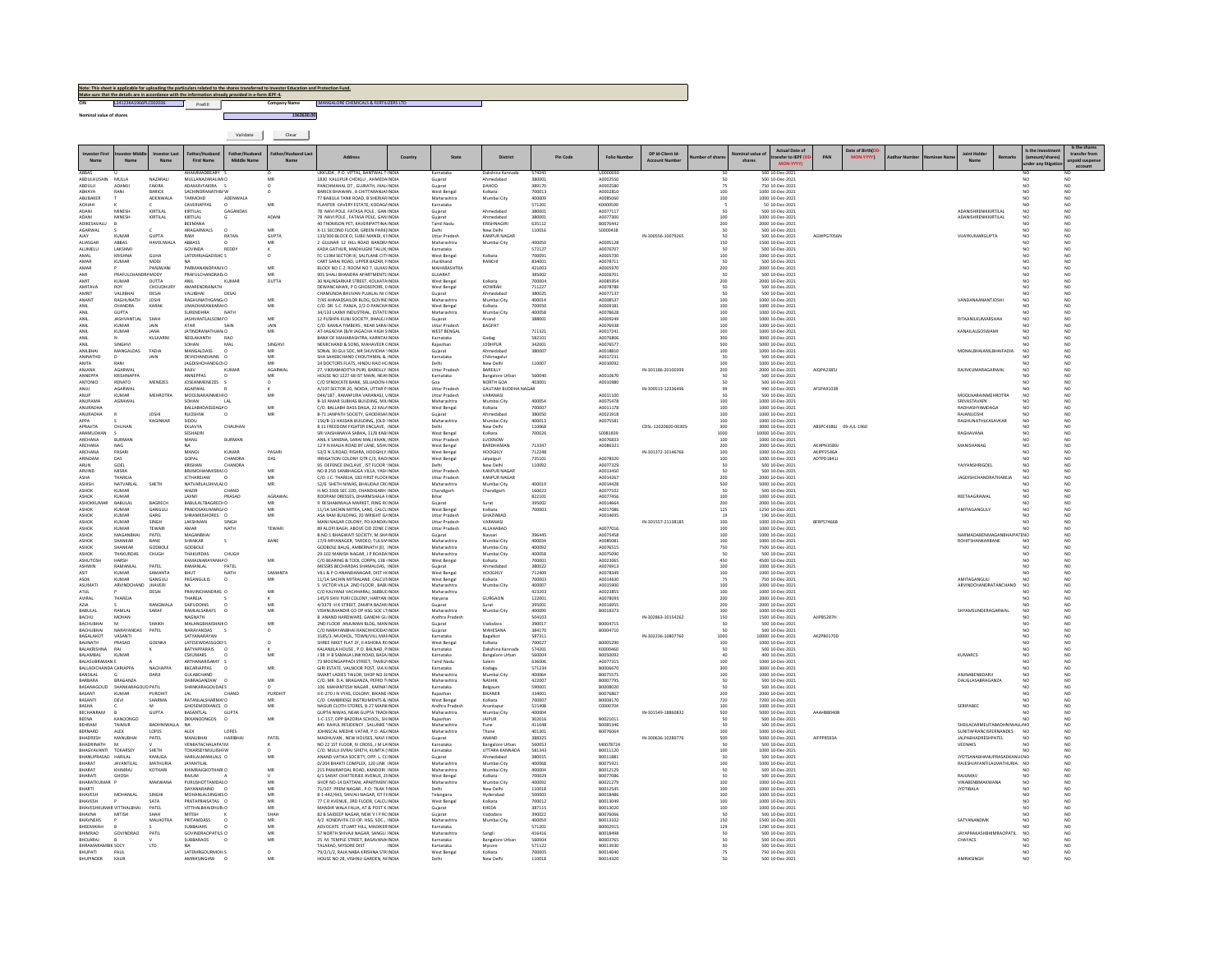|                                      |                              |                           | ulars related to the shares t<br>Make sure that the details are in accordance with the information already provided in e-form IEPF-4, |                    |                 |                                                                                                                          |              |                                       |                                            |                            |         |                      |                      |                                           |        |                                                          |                        |                               |  |                                      |                 |                                    |                               |
|--------------------------------------|------------------------------|---------------------------|---------------------------------------------------------------------------------------------------------------------------------------|--------------------|-----------------|--------------------------------------------------------------------------------------------------------------------------|--------------|---------------------------------------|--------------------------------------------|----------------------------|---------|----------------------|----------------------|-------------------------------------------|--------|----------------------------------------------------------|------------------------|-------------------------------|--|--------------------------------------|-----------------|------------------------------------|-------------------------------|
|                                      | L24123KA1966PLC002036        |                           | Prefill                                                                                                                               |                    | Company Name    | MANGALORE CHEMICALS & FERTILIZERS LTD                                                                                    |              |                                       |                                            |                            |         |                      |                      |                                           |        |                                                          |                        |                               |  |                                      |                 |                                    |                               |
| nal value of shares                  |                              |                           |                                                                                                                                       |                    | 1363630.00      |                                                                                                                          |              |                                       |                                            |                            |         |                      |                      |                                           |        |                                                          |                        |                               |  |                                      |                 |                                    |                               |
|                                      |                              |                           |                                                                                                                                       |                    |                 |                                                                                                                          |              |                                       |                                            |                            |         |                      |                      |                                           |        |                                                          |                        |                               |  |                                      |                 |                                    |                               |
|                                      |                              |                           |                                                                                                                                       | Validate           | Clear           |                                                                                                                          |              |                                       |                                            |                            |         |                      |                      |                                           |        |                                                          |                        |                               |  |                                      |                 |                                    |                               |
|                                      |                              |                           |                                                                                                                                       |                    |                 | <b>Address</b>                                                                                                           | Country      | State                                 | District                                   |                            | Pin Cod | Folio N              | DP Id-Client Id      |                                           |        | Actual Date of                                           |                        | Date of Birth( <mark>C</mark> |  |                                      |                 | is the Inv                         | Is the share<br>transfer from |
| Name                                 | Name                         | Name                      | <b>First Name</b>                                                                                                                     | Middle Name        | Name            |                                                                                                                          |              |                                       |                                            |                            |         |                      | <b>Arcount Numbe</b> |                                           | shares | ansfer to IEPF<br>MON-YYYY                               |                        |                               |  | Name                                 |                 |                                    | npaid susp                    |
| <b>PARAS</b><br><b>MIA2LIH ILINA</b> | MULLA                        | NAZARALI                  | AHAMMADBEARY :<br>MULLANAZARALIMIC                                                                                                    |                    | MR              | UKKUDA . P.O. VITTAL, BANTWAL T INDIA<br>1830 KALUPUR CHOKULL AHMEDAINDIA                                                |              | Karnataka<br>Guiarat                  | Dakshina Kannada<br>Ahmedabad              | 574243<br>380001           |         | U0000030<br>40002550 |                      | so                                        |        | 500 10-Dec-2021<br>500 10-Dec-2021                       |                        |                               |  |                                      |                 | NO                                 | NO                            |
| ABDULJI                              | ADAMJI                       | FAKIRA                    | ADAMJIVFAKIRA                                                                                                                         |                    |                 | ANCHMAHAL DT, GUJRATH, JHAL INDIA                                                                                        |              | Gujarat                               | DAHOD                                      | 389170                     |         | A0002580             |                      |                                           |        | 750 10-Dec-2021                                          |                        |                               |  |                                      |                 |                                    |                               |
| ABHAYA<br>ABUBAKER                   | RANI                         | BARICK<br>ADENWALA        | SACHINDRANATHB/ W<br>TARMOHD                                                                                                          | ADENWALA           | $\circ$         | BARICK BHAWAN . 8 CHITTARANJAI INDIA<br>77 BABULA TANK ROAD, B SHERIAR INDIA                                             |              | West Bengal<br>Maharashtra            | Kolkata<br>Mumbai City                     | 700013<br>400009           |         | A0002810<br>A0085060 |                      | 100<br>100                                |        | 1000 10-Dec-2021<br>1000 10-Dec-2021                     |                        |                               |  |                                      |                 | NO.                                | NO.                           |
| ACHIAH<br>ADANI                      | MINES                        | KIRTILAI                  | CAVERIAPPAS<br>KIRTILAL                                                                                                               | GAGANDA            | MR              | PLANTER CAVERY ESTATE, KODAG/ INDIA<br>78 NAVI POLE FATASA POLE, GAN INDIA                                               |              | Karnataka<br>Gujarat                  | Ahmedabad                                  | 571201<br>380001           |         | K0000590<br>A0077117 |                      |                                           |        | 50 10-Dec-2021<br>500 10-Dec-2021                        |                        |                               |  | ADANISHRENIKKIRTILAL                 |                 |                                    | NO                            |
| ADANI                                | MINESH                       | KIRTILAL                  | KIRTILAL<br>BEEMAN                                                                                                                    |                    | ADAN            | 78 NAVI POLE . FATASA POLE, GAN INDIA<br>10 THOMSON PET, KAVERIPATTINA INDI                                              |              | Guiarat<br>Tamil Nadu                 | Ahmedabad<br>KRISHNAGIR                    | 380001<br>635112           |         | A0077300<br>B0076442 |                      | 100<br>200                                |        | 1000 10-Dec-2021<br>2000 10-Dec-2021                     |                        |                               |  | ADANISHRENIKKIRTILAL                 |                 | NO                                 | NO                            |
| AGARWAL<br><b>AIAV</b>               | KUMAR                        | <b>GUPTA</b>              | HRAGARWALS<br>RAM                                                                                                                     | <b>RATAN</b>       | MR<br>GUPTA     | X-11 SECOND FLOOR, GREEN PARK(INDIA<br>133/300 BLOCK O. SUBJI MANDI, KI INDIA                                            |              | Delhi<br>Uttar Pradesh                | New Delhi<br>KANPUR NAGAR                  | 110016                     |         | \$0000438            | IN-300556-10079265   | 50<br>so                                  |        | 500 10-Dec-2021<br>500.10-0ec-2021                       | <b>AGWPG7056N</b>      |                               |  | VUAYKUMARGUPTA                       |                 | NO<br>NO                           | NO<br>NO                      |
| ALIASGAR                             | ABBAS                        | HAVELIWALA                | ABBASS                                                                                                                                |                    | MR              | 2 GULNAR 12 HILL ROAD BANDR/INDIA                                                                                        |              | Maharashtra                           | Mumbai City                                | 400050                     |         | A0005128             |                      | 150                                       |        | 1500 10-Dec-2021                                         |                        |                               |  |                                      |                 | NO <sub>1</sub>                    | NO                            |
| <b>ALLIMELLI</b><br>AMAI             | <b>LAKSHM</b><br>KRISHNA     | <b>GUHA</b>               | GOVINDA<br>LATEMRIAGADISHO S                                                                                                          | REDDY              | $\circ$         | KADA GATHUR MADHUGNI TALUK INDIA<br>FC-119M SECTOR III, SALTLANE CITHNDIA                                                |              | Karnataka<br>West Bengal              | Kolkata                                    | 572127<br>700091           |         | 40076707<br>A0005730 |                      | 50<br>100                                 |        | 500 10-Dec-2021<br>1000 10-Dec-2021                      |                        |                               |  |                                      |                 | NO<br>NO                           | NO<br>NO                      |
| AMAR                                 | KUMAR                        | MODI<br>PANJWANI          | <b>MA</b><br>PARMANANDPANJVC                                                                                                          |                    | $_{\rm MR}$     | CART SARAI ROAD, UPPER RAZAR, FINDIA<br>BLOCK NO C-2, ROOM NO 7, ULHASINDIA                                              |              | tharkhand<br><b>MAHARASHTRA</b>       | RANCHI                                     | 834001<br>421003           |         | 40078711<br>A0005970 |                      | 50<br>200                                 |        | 500 10-Dec-2021<br>2000 10-Dec-2021                      |                        |                               |  |                                      |                 | N <sub>0</sub>                     | NO<br>NO                      |
| <b>AMI</b>                           | PRAFLIL CHAN<br>KUMAR        | RAMODY<br>DUTTA           | PRAFULCHANDRAD O                                                                                                                      | KUMAR              | MR<br>DUTTA     | 905 SHALL BHANDRA APARTMENTS INDIA<br>30 NALINSARKAR STREET, KOLKATA INDIA                                               |              | GUIARAT<br>Nest Benga                 | Kolkata                                    | 385002<br>700004           |         | 40006701<br>40085954 |                      | $\begin{array}{c} 50 \\ 200 \end{array}$  |        | 500 10-Dec-2021<br>2000 10-Dec-2021                      |                        |                               |  |                                      |                 | NO                                 | NO<br>NO                      |
| <b>AMITAVA</b>                       | ROY                          | CHOUDHURY                 | AMARENDRANATH                                                                                                                         |                    |                 | DEWANCHAWK, P O GHOSEPORE, EINDIA                                                                                        |              | West Bengal                           | <b>HOWRAH</b>                              | 711227                     |         | A0078789             |                      | 50                                        |        | 500 10-Dec-2021                                          |                        |                               |  |                                      |                 | NO.                                | NO                            |
| AMRIT<br>ANANT                       | VALIBHA<br>RAGHUNATH         | DESAI<br>JOSHI            | <b>AHBILIAN</b><br>RAGHUNATHGANG/O                                                                                                    | DESAI              | MR              | CHAMUNDA BHUVAN PUJALAL NI CINDIA<br>7/45 AHMADSAILOR BLDG, GOVINE INDIA                                                 |              | Gujarat<br>Maharashtra                | Ahmedabag<br>Mumbai City                   | 380025<br>400014           |         | A0077137<br>A0008537 |                      | 50<br>100                                 |        | 500 10-Dec-2021<br>1000 10-Dec-2021                      |                        |                               |  | VANDANAANANTJOSHI                    |                 | NO                                 | NO<br>NO                      |
| ANIL                                 | CHANDRA<br>GUPTA             | KARA                      | <b>UMACHARANKARAIO</b><br><b>SURENDHRA</b>                                                                                            | NATH               | MR              | C/O. DR. S.C. PANJA, 2/2 D PANCHAINDIA<br>34/133 LAXMI INDUSTRIAL, ESTATE INDIA                                          |              | West Bengal<br>Maharashtra            | Kolkata<br>Mumbai City                     | 700050<br>400058           |         | 40009181<br>A0078628 |                      | 100<br>100                                |        | 1000 10-Dec-2021<br>1000 10-Dec-2021                     |                        |                               |  |                                      |                 | NO                                 | NO<br>NO                      |
| ANIL                                 | <b>JASHVANTI AI</b>          | SHAH                      | JASHVANTLALSOM# O                                                                                                                     |                    | MR              | 12 PUSHPA KUNJ SOCIETY, BHALEJ INDIA                                                                                     |              | Guiarat                               | Anand                                      | 388001                     |         | 40009249             |                      | 100<br>100                                |        | 1000 10-Dec-2021                                         |                        |                               |  | RITAANILKUMARSHAH                    |                 | NO <sub>1</sub>                    | NO                            |
| ANIL<br>ANIL<br>ANIL                 | KUMAR<br>KUMAR               | JAIN<br>14NA              | <b>ATAR</b><br>IATINDRANATHIAN O                                                                                                      | SAIN               | JAIN<br>MR      | C/O. KAMLA TIMBERS, NEAR SARA INDIA<br>AT-IAGACHA (R/H IAGACHA HIGH SINDIA                                               |              | Uttar Pradesh<br>WEST RENGAL          | BAGPAT                                     | 711321                     |         | A0076938<br>40017241 |                      | 100<br>300                                |        | 1000 10-Dec-2021<br>1000 10-Dec-2021                     |                        |                               |  | KANAILALGOSWAMI                      |                 | NO <sub>1</sub><br>NO <sub>1</sub> | NO<br>NO<br>NO                |
| ANIL                                 | SINGHV                       | KULKARM                   | NEELAKANTH<br>SOHAN                                                                                                                   | RAC<br>MAI         | SINGHV          | BANK OF MAHARASHTRA, KARNTAHNDL<br>NEMICHAND & SONS, MAHAVEER CINDIA                                                     |              | Karnataka<br>Rajasthan                | Gadag<br><b>JODHPUR</b>                    | 582101<br>342001           |         | 10076806<br>A0076577 |                      | 500                                       |        | 8000 10-Dec-2021<br>5000 10-Dec-2021                     |                        |                               |  |                                      |                 |                                    | NO                            |
| <b>ANILBHA</b><br><b>ANINATHE</b>    | MANGALDAS                    | FADIA<br>JAIN             | MANGALDASS<br>DEVICHANDIAINS O                                                                                                        |                    | MR<br><b>MR</b> | SONAL 30 GUJ SOC, NR SHUVIDHA : INDIA<br>SHA SAHEBCHAND CHOUTHMAL & INDIA                                                |              | Gujarat<br>Karnataka                  | Ahmedabad<br>Chikmagalur                   | 380007                     |         | A0018810<br>A0017231 |                      | 100<br>50                                 |        | 000 10-Dec-202<br>500 10-Dec-2021                        |                        |                               |  | <b>MONALBHAIANILBHAIFADIA</b>        |                 |                                    | NO                            |
| ANITA                                |                              |                           | AGDISHCHANDGO\C                                                                                                                       |                    |                 | 24 DOCTORS FLATS, HINDU RAO HCINDIA                                                                                      |              | Delhi                                 | New Delh                                   | 110007                     |         | A0010092             |                      | 100                                       |        | 1000 10-Dec-2021                                         |                        |                               |  |                                      |                 |                                    |                               |
| ANJANA<br><b>ANNEPPA</b>             | AGARWAL<br><b>KRISHNAPPA</b> |                           | RAJIV<br>ANNEPPAS                                                                                                                     | KUMAR              | AGARWAI<br>MR   | 27, VIKRAMADITYA PURI, BAREILLY INDIA<br>HOUSE NO 1227 68 IST MAIN, NEAHNDIA                                             |              | <b>Uttar Pradesh</b><br>Karnataka     | BAREILLY<br><b>Bangalore Urban</b>         | 560040                     |         | A0010670             | IN-301186-20100399   | 200<br><sub>50</sub>                      |        | 2000 10-Dec-2021<br>500 10-Dec-2021                      | AIQPA23851             |                               |  | RAJIVKUMARAGARWAL                    |                 | NO.                                | NO<br>NO                      |
| ANTONIO<br>ANUJ                      | RENATO<br>AGARWAI            | MENEZES                   | <b>JOSEANMENEZES</b><br>AGARWAL                                                                                                       |                    | $\circ$         | C/O SYNDICATE BANK, SELUADON-IINDIA<br>A/197 SECTOR 20, NOIDA, UTTAR P INDIA                                             |              | Goa<br><b>Uttar Pradesh</b>           | NORTH GOA<br>GAUTAM BUDDHA NAGAR           | 403001                     |         | A0010980             | IN-300513-12336496   | 50<br>99                                  |        | 500 10-Dec-2021<br>990 10-Dec-2021                       | AFSPA9103R             |                               |  |                                      |                 |                                    | NO<br>NO                      |
| ANUF<br>ANUPAMA                      | KUMAR<br>AGRAWAL             | <b>MEHROTR</b>            | MOOLNARAI<br><b>IEHIO</b><br>SOHAN                                                                                                    | LAL                | MR              | D44/187, RAMAPURA VARANASI, VINDIA<br>B-10 AMAR SUBHAS BUILDING. MILINDIA                                                |              | Uttar Pradesh<br>Maharashtra          | VARANASI<br>Mumbai City                    | 400054                     |         | A0011100<br>A0075478 |                      | 100                                       |        | 500 10-Dec-2021<br>1000 10-Dec-2021                      |                        |                               |  | MOOLNARAINMEHROTRA<br>SRIVASTAVAPK   |                 | NO.                                | NO<br>NO                      |
| ANURADHA                             |                              |                           | BALLABHDASSDAGA O                                                                                                                     |                    | MR              | C/O. BALLABH DASS DAGA, 22 KAL/ INDIA                                                                                    |              | West Bengal                           | Kolkata                                    | 700007                     |         | A0011178             |                      | 100                                       |        | 1000 10-Dec-2021                                         |                        |                               |  | RADHASHYAMDAGA                       |                 |                                    |                               |
| ANURADHA                             |                              | JOSHI<br>KAGINKAR         | <b>RJJOSHIW</b><br>$\Omega$<br>SIDDU                                                                                                  |                    | MR              | B-71 JANPATH SOCIETY, GHODASAFINDIA<br>156/B-13 HASSAN BUILDING, (OLD INDIA                                              |              | Guiarat<br>.<br>Maharashtra           | Ahmedabad<br>Mumbai City                   | 380050<br>400013           |         | A0021918<br>A0075581 |                      | 100<br>100                                |        | 1000 10-Dec-2021<br>1000 10-Dec-202                      |                        |                               |  | RAJANJJOSHI<br>RAGHUNATHLKASAVKAI    |                 | NO.<br>NO                          | NO<br>NO                      |
| APRAJITA                             | CHUHAN                       |                           | EKLAVYA<br>SESHADR                                                                                                                    | CHAUHAN            |                 | <b>B 11 FREEDOM FIGHTER ENCLAVE. INDIA</b>                                                                               |              | Delhi<br>West Bengal                  | New Delhi                                  | 110068<br>700026           |         | \$0081839            | CDSL-12020600-00305  | 300                                       |        | 3000 10-Dec-2021<br>10000 10-Dec-2021                    | ABSPC4386J 09-JUL-1960 |                               |  | RAGHAVANA                            |                 | NO                                 | NO                            |
| ARCHANA<br>ARCHANA                   | BURMAN<br>NAG.               |                           | MANU<br>MA.                                                                                                                           | BURMAN             |                 | SRI VAISHANAVA SABHA, 11/B KABI INDIA<br>ANIL K SANENA, SARAI MALI KHAN, INDIA<br>12 P.N. MALIA ROAD BY LANE, SISHLINDIA |              | <b>Uttar Prades</b><br>West Bengal    | Kolkata<br>LUCKNOW<br>RARDHAMAN            | 713347                     |         | A0076833<br>40086321 |                      | 1000<br>100<br>200                        |        | 1000 10-Dec-2021<br>2000 10-Dec-2021                     | <b>AKHPN35891</b>      |                               |  | <b>MANISHANAG</b>                    |                 | N <sub>0</sub>                     | NO<br>NO<br>NO                |
| ARCHANA                              | PASARI                       |                           | MANOJ                                                                                                                                 | KUMAR              | PASARI          | 53/2 N.S.ROAD, RISHRA, HOOGHLY INDIA                                                                                     |              | West Bengal                           | HOOGHLY                                    | 712248                     |         |                      | IN-301372-10146766   | 100                                       |        | 1000 10-Dec-2021                                         | AKIPP2546A             |                               |  |                                      |                 |                                    | NO                            |
| MANINE<br>ARUN                       | nas.<br>GOEL                 |                           | GOPAL<br>KRISHAN                                                                                                                      | CHANDRA<br>CHANDRA | DAS             | IRRIGATION COLONY OTR C/3 RAC INDIA<br>95 DEFENCE ENCLAVE, IST FLOOR 'INDIA                                              |              | West Bengal<br>Delhi                  | Jalpaiguri<br>New Delhi                    | 735101<br>110092           |         | 40078320<br>A0077329 |                      | 100<br>50                                 |        | 1000 10-Dec-2021<br>500 10-Dec-2021                      | ADTPD1841              |                               |  | <b>YAJYANSHRIGOEL</b>                |                 | NO                                 | NO<br>NO                      |
| ARVIND<br>ASHA                       | MISRA<br>THAREJA             |                           | BRUMOHANMISRAS O<br><b>JCTHAREJAW</b>                                                                                                 |                    | MR<br>MR        | NO B 25D SANBHAGGA VILLA, YASH INDIA<br>C/O. J.C. THAREJA, 183 FIRST FLOOHNDIA                                           |              | <b>Uttar Pradesh</b><br>Uttar Pradesh | KANPUR NAGAR<br>KANPUR NAGAR               |                            |         | A0013450<br>A0014267 |                      | 50<br>200                                 |        | 500 10-Dec-2021<br>2000 10-Dec-2021                      |                        |                               |  | <b>JAGDISHCHANDRATHAREJA</b>         |                 |                                    | NO<br>NO                      |
| ASHISH                               | NATVARLAL                    | SHETH                     | NATVARLALSHIVLAL O                                                                                                                    |                    | MR              | 52/6 SHETH NIWAS, BHAUDAJI CR(INDIA                                                                                      |              | Maharashtra                           | Mumbai City                                | 400019                     |         | A0014428<br>A0077102 |                      | 500                                       |        | 5000 10-Dec-2021                                         |                        |                               |  |                                      |                 | NO                                 | NO                            |
| ASHOK                                | KUMAR                        |                           | WAZIR<br>LAXMI                                                                                                                        | PRASAD             | AGRAWA          | H.NO.3303 SEC 22D, CHANDIGARH INDIA<br>ROOPAM DRESSES, DHARMSHALA IINDIA                                                 |              | Chandigarh<br>Bihar                   | Chandigarh                                 | 160022<br>822101           |         | A0077456             |                      | $\frac{50}{100}$                          |        | 500 10-Dec-2021<br>1000 10-Dec-2021                      |                        |                               |  | REETAAGRAWAL                         |                 | NO                                 | NO                            |
| ASHOWEL<br>ASHOK                     | RABUILAL<br>KUMAR            | RAGRECH<br>GANGULI        | RABULAI TRAGRECHO<br>PRADOSAKUMARG/O                                                                                                  |                    | MR<br>MR        | 9 RESHAMWALA MARKET, RING RONDIA<br>11/1A SACHIN MITRA, LANE, CALCLINDIA                                                 |              | Gujarat<br>West Bengal                | Surat<br>Kolkata                           | 395002<br>700003           |         | 40014664<br>A0017086 |                      | 200<br>125                                |        | 2000 10-Dec-2021<br>1250 10-Dec-2021                     |                        |                               |  | AMITAGANGULY                         |                 | N <sub>0</sub><br>NO.              | NO<br>NO                      |
| ASHOK<br>ASHOK                       | KUMAR<br>KUMAR               | GARG<br>SINGH             | SHRAMKISHORES O<br>LAKSHMAN                                                                                                           | SINGH              | <b>MR</b>       | ASA RAM RUILDING 20 WRIGHT GUNDIA<br>MANI NAGAR COLONY, PO-KANDA\INDIA                                                   |              | <b>Littar Praded</b><br>Uttar Pradesh | <b>GHAZIARAD</b><br>VARANASI               |                            |         | A0014695             | IN-301557-21138185   | 19<br>100                                 |        | 190.10-Dec-2021<br>1000 10-Dec-2021                      | BFRPS74668             |                               |  |                                      |                 | N <sub>0</sub><br>NO               | $\mathbf{N}$<br>NO            |
| ASHOK<br>ASHOK                       | KUMAR<br>MAGANBH             | TEWARI<br>PATEL           | AMAR<br>MAGANBHA                                                                                                                      | <b>NATH</b>        | <b>TEWARI</b>   | 89 ALOPLRAGH, AROVE CID ZONE CINDIA<br>B.NO.1 BHAGWATI SOCIETY, M.SHAINDIA                                               |              | <b>Uttar Pradesh</b>                  | <b>ALLAHARAD</b>                           | 396445                     |         | 40077016<br>A0075458 |                      | $\begin{array}{c} 100 \\ 100 \end{array}$ |        | 1000 10-Dec-2021<br>1000 10-Dec-2021                     |                        |                               |  | <b>JARMADABENMAGAN</b>               | ATENO           | NO                                 | NO                            |
| ASHOK                                | SHANKAR<br>SHANKAR           | RANE                      | SHANKAR<br>$\sim$                                                                                                                     |                    | RANE            | 17/9 ARYANAGER TARDED THI SIMINDIA                                                                                       |              | Gujarat<br>Maharashtra                | Navsari<br>Mumbai City                     | 400034                     |         | 40085081             |                      |                                           |        | 1000 10-Dec-2021                                         |                        |                               |  | ROHITSHANKARRANE                     |                 | NO <sub>NO</sub>                   | NO<br>NO                      |
| ASHOK<br>ASHOK                       | THAKURDAS                    | GODBOL<br>CHUGH           | GODBOLE<br>THAKURDAS                                                                                                                  | CHUGH              |                 | GODBOLE BAUG, AMBERNATH (E), INDIA<br>29-102 MANISH NAGAR, J P ROADA INDIA                                               |              | Maharashtra<br>Maharashtra            | Mumbai City<br>Mumbai City                 | 400092<br>400058           |         | A0076515<br>A0075090 |                      | 100<br>750<br>50                          |        | 7500 10-Dec-2021<br>500 10-Dec-2021                      |                        |                               |  |                                      |                 | NO                                 | NO<br>NO                      |
| <b>ASHLITOS</b><br>ASHWIN            | HARSH<br>RAMANLAL            | PATEL                     | KAMAI NARAYA<br>RAMANLAL                                                                                                              | PATEL              | MR              | C/O BEARING & TOOL CORPN, 138 INDIA<br>MESSRS BECHARDAS SHAMALDAS, INDIA                                                 |              | West Benga<br>Gujarat                 | Kolkata<br>Ahmedabad                       | 700001<br>380022           |         | A0023065<br>A0076913 |                      | 450<br>100                                |        | 4500 10-Dec-2021<br>1000 10-Dec-2021                     |                        |                               |  |                                      |                 | NO<br>NO                           | NO<br>NO                      |
| ASIT                                 | KUMAR                        | SAMANTA                   | RHIT<br>PKGANGULIS                                                                                                                    | NATH               | SAMANTA         | VILL & P O ANANDANAGAR, DIST HUNDIA                                                                                      |              | West Bengal                           | HOOGHLY                                    | 712409                     |         | 40078349             |                      | 100<br>75                                 |        | 1000 10-Dec-2021                                         |                        |                               |  | AMITAGANGULI                         |                 | NO                                 | NO<br>NO                      |
| ASOK<br><b>ASLIMAT</b>               | KUMAR<br><b>ARVINDOH</b>     | GANGULI<br><b>IHAVERI</b> | <b>MA</b>                                                                                                                             |                    | MR              | 11/1A SACHIN MITRALANE, CALCUTINDIA<br>5 VICTOR VILLA 2ND FLOOR . BABLINDIA                                              |              | West Bengal<br>Maharashtra            | Kolkata<br>Mumbai City                     | 700003<br>400007           |         | A0014630<br>40015900 |                      | 100                                       |        | 750 10-Dec-2021<br>1000 10-Dec-2021                      |                        |                               |  | ARVINDCHANDRATANCHAND                | NO <sub>1</sub> |                                    | NO                            |
| ATUL<br>AVIRAL                       | THAREJA                      | DESAI                     | PRAVINCHANDRAS O<br>THAREJA                                                                                                           |                    | MR              | C/O KALYANJI VACHHARAJ, 368BUL INDIA<br>145/9 SHIV PURI COLONY, HARYAN INDIA                                             |              | Maharashtra<br>Harvana                | GURGAON                                    | 423203<br>122001           |         | A0023855<br>A0078095 |                      | 100<br>200                                |        | 1000 10-Dec-2021<br>2000 10-Dec-2021                     |                        |                               |  |                                      |                 |                                    | NO<br>NO                      |
| BABULAL                              | RAMLAL                       | RANGWAL<br>SARAF          | SAIFUDDINS<br>RAMLALSARAFS                                                                                                            |                    | MR              | 4/3379 H K STREET, ZAMPA BAZAR INDIA<br>VISHNUMANDIR CO OP HSG SOC LTINDIA                                               |              | <b>Sujarat</b><br>Maharashtra         | Surat<br>Mumbai City                       | 395001<br>400090           |         | A0016955<br>B0018373 |                      | 100                                       |        | 2000 10-Dec-2021<br>1000 10-Dec-2021                     |                        |                               |  | SHYAMSUNDERAGARWAL                   |                 | NO                                 | NO                            |
| BACHU<br>BACHUBHA                    | MOHAN<br>M                   | SHAIKH                    | NAGNATH<br><b>MALANGBHAISHAIKC</b>                                                                                                    |                    | MR              | B ANAND HARDWARE, GANDHI GUINDIA<br>2ND FLOOR ANJUMAN BLDG. MAN INDIA                                                    |              | Andhra Prades<br>Guiarat              | Vadodara                                   | 504103<br>390017           |         | B0004715             | IN-302863-10154262   | 150<br>50                                 |        | 1500 10-Dec-2021<br>500 10-Dec-2021                      | AJIPB5287H             |                               |  |                                      |                 | NO.                                | NO                            |
| BACHUBHAI<br>BAGALAKOT               | <b>NAPAVAMDAS</b>            | PATEL                     | NARAYANDAS                                                                                                                            |                    | $\circ$         | C/O NARAYANBHAI RANCHHODDA! INDIA                                                                                        |              | Gujarat                               | MAHESANA                                   | 384170                     |         | B0004710             |                      | so                                        |        | 500 10-Dec-202                                           |                        |                               |  |                                      |                 |                                    |                               |
| <b>BAILMATH</b>                      | VASANTI<br>PRASAD            | <b>GOENKA</b>             | SATYANARAYAN<br>LATESEWDASSGOEPS                                                                                                      |                    | $\circ$         | 3185/3, MUDHOL, TOWN/VILL MAHNDIA<br>SHREE NIKET FLAT 2F, II ASHOKA RCINDIA                                              |              | Karnataka<br>West Benga               | Bagalkot<br>Kolkata                        | 587311<br>700027           |         | ROODS290             | IN-302236-10807760   | 1000<br>100                               |        | 10000 10-Dec-2021<br>1000 10-Dec-2021                    | AKZPB0170D             |                               |  |                                      |                 | NO                                 | NO<br>NO                      |
| BALAKRISHNA<br>BALAMBAL              | RAI<br><b>KUMAR</b>          |                           | BATYAPPARAIS<br><b>CSKUMARS</b>                                                                                                       |                    | MR              | KALANJILA HOUSE, P.O. BALNAD, PINDIA<br>198 H B SAMAJA LINK ROAD, BASA INDIA                                             |              | Karnataka<br>Karnataka                | Dakshina Kannada<br><b>Bangalore Urban</b> | 574201<br>560004           |         | K0000460<br>B0050092 |                      | 50<br>40                                  |        | 500 10-Dec-2021<br>400 10-Dec-2021                       |                        |                               |  | <b>KUMARCS</b>                       |                 | NO<br>NO <sub>1</sub>              | NO<br>NO                      |
| BALLADICHANDA CARIAPPA               |                              | NACHAPPA                  | ARTHANARISAMY<br><b>BKCARIAPPAS</b>                                                                                                   |                    | MR              | 73 MOONGAPPADI STREET, TAMILI INDIA<br>GIRI ESTATE, VALNOOR POST, VIA KINDIA                                             |              | Tamil Nadu<br>Karnataka               | Salem                                      | 636006<br>571234           |         | A0077315<br>B0006670 |                      | 100<br>300                                |        | 1000 10-Dec-2021<br>3000 10-Dec-2021                     |                        |                               |  |                                      |                 | NO                                 | NO                            |
| NSILAL                               |                              | DARJI                     | <b>GULABCHAND</b>                                                                                                                     |                    |                 | SMART LADIES TAILOR, SHOP NO 31 INDIA                                                                                    |              | Maharashtra                           | Kodagu<br>Mumbai City                      | 400064                     |         | B0075575             |                      | 100                                       |        | 1000 10-Dec-2021                                         |                        |                               |  | NJNABENBDARJ                         |                 |                                    |                               |
| BARBARA                              | BRAGANZA<br>SHANKARA         | PATIL                     | DABRAGANZAW<br>$\sim$<br><b>SHANKARAGOUDAES</b>                                                                                       |                    | MR              | C/O. MR. D.A. BRAGANZA, PEFRD T INDIA<br>106 MAHANTESH NAGAR, KARNATINDI                                                 |              | Maharashtra<br>Karnataka              | <b>NASHIK</b><br>Belgaun                   | 422007<br>590001           |         | B0007795<br>B0008020 |                      | 50                                        |        | 500 10-Dec-2021<br>500 10-Dec-2021                       |                        |                               |  | DAUGLASABRAGANZA                     |                 | NO.                                | NO                            |
| BASANT<br>RASANT                     | <b>KUMAR</b><br>DEVI         | PUROHIT<br>HARMA          | 1.41<br><b>RATANI AI SHARMAIC</b>                                                                                                     | CHAND              | PUROHIT         | II-E-270 J N VYAS, COLONY, BIKANE INDIA                                                                                  |              | Rajasthan<br>.<br>West Bengal         | BIKANER<br>Kolkata                         | 334001                     |         | B0076867<br>80008170 |                      | 200                                       |        | 2000 10-Dec-2021                                         |                        |                               |  |                                      |                 | NO <sub>1</sub>                    | NO                            |
| BASHA<br>RECHANRAM                   |                              | <b>GUPTA</b>              | GHOSEMODIANCS O<br>RASANTI AL                                                                                                         | GUPTA              | MR<br>MR        | C/O. CAMBRIDGE INSTRUMENTS & INDIA<br>NAGUR CLOTH STORES, 8-27 MAINI INDIA<br>GUPTA NIWAS NEAR GUPTA TRADUNDIA           |              | Andhra Pradesl<br>Maharashtra         | Anantapu<br>Mumbai City                    | 700007<br>515408<br>annona |         | C0000704             | IN-301549-18860832   | 720<br>100<br>500                         |        | 7200 10-Dec-2021<br>1000 10-Dec-2021<br>5000 10-0ec-2021 | AAAHRS040B             |                               |  | SERIPABEC                            |                 | NO                                 | NO<br>NO<br>NO                |
| BEENA<br>REHRAM                      | KANDONGO<br><b>TAIMUR</b>    | <b>RADHNIWALLO</b>        | DKKANOONGOS<br>$^{\circ}$<br><b>MA</b>                                                                                                |                    | <b>MR</b>       | 1-C-157, OPP BAZORIA SCHOOL, SHINDIA<br>845 RAHLIL RESIDENCY, SALLINKE UNDIA                                             |              | Rajasthan<br>Maharashtra              | JAIPUR                                     | 302016<br>411048           |         | B0021011<br>BOD85346 |                      | so                                        |        | 500 10-Dec-2021<br>500 10-Dec-2021                       |                        |                               |  | SHEILACARMELITARADHNIWALL NO         |                 |                                    | NO<br>NO                      |
| BERNARD                              | ALEX                         | LOPES                     | ALEX                                                                                                                                  | LOPES              |                 | JOHNSCAL MEDHE VATAR, P.O. AG/INDIA                                                                                      |              | Maharashtra                           | Pune<br>Thane                              | 401301                     |         | B0076064             |                      | 100                                       |        | 1000 10-Dec-2021                                         |                        |                               |  | SUNITAFRANCISFERNANDES               |                 | $_{\rm NO}$                        | NO                            |
| BHADRESH                             | MANUBHAI                     | PATEL                     | MANUBHAI<br><b>VENKATACHALAPATM</b>                                                                                                   | HARIBHAI           | PATEL           | MADHUVAN . NEW HOUSES, NAVI HNDIA<br>NO 22 1ST FLOOR, IV CROSS, J M LA INDIA                                             |              | Guiarat<br>Karnataka                  | ANAND<br><b>Bangalore Urban</b>            | 388325<br>560053           |         | M0078724             | IN-300636-10289776   | 500                                       |        | 5000 10-Dec-2021<br>500 10-Dec-2021                      | AIFPP8593A             |                               |  | <b>JALPABHADRESHPATEL</b><br>VEENAKS |                 | NO                                 | NO<br>NO                      |
| <b>BHAGYAVANTI</b><br>BHANUPRASAD    | TOKARSEY<br><b>HARILAL</b>   | SHETH<br>KANLIGA          | TOKARSEYMULISHEW<br>HARILALMANILALS O                                                                                                 |                    | MR              | C/O. MULII JIVRAJ SHETH, KUMTA (INDIA<br>ANAND VATIKA SOCIETY, OPP. L. CCINDIA                                           |              | Karnataka<br>Gujarat                  | UTTARA KANNADA<br>Ahmedahad                | 581343<br>380015           |         | B0011120<br>R0011881 |                      | 100<br>50                                 |        | 1000 10-Dec-2021<br>500 10-Dec-2021                      |                        |                               |  | JYOTSANABHANUPRASADKANU(NO           |                 | NO                                 | NO<br>NO                      |
| BHARAT                               | JAYANTILAL                   | MATHURIA                  | <b>JAYANTILAL</b>                                                                                                                     |                    |                 | D/204 BHAKTI COMPLEX, 120 LINK INDIA                                                                                     |              | Maharashtra                           | Mumbai City                                | 400068                     |         | B0075921             |                      | 100                                       |        | 1000 10-Dec-2021                                         |                        |                               |  | RAJESHJAYANTILALMATHURIA NO          |                 |                                    | NO                            |
| RHARAT<br><b>IARATI</b>              | KHIMRAL<br>GHOSH             | KOTHARI                   | KHIMRAIGKOTHARLO<br>RAJUM                                                                                                             |                    | MR              | 215 PANJRAPOAL ROAD, KANDORI INDIA<br>6/1 SARAT CHATTERIEE AVENUE, 21 INDIA                                              |              | Maharashtra<br>West Bengal            | Mumbai City<br>Kolkata                     | 400004<br>700029           |         | 80012129<br>B0077086 |                      | 50<br>so                                  |        | 500.10-0ec-2021<br>500 10-Dec-2021                       |                        |                               |  | RAJUMAV                              |                 | NO                                 | $\mathbf{N}$<br>NO            |
| <b>BHARATKLIMAR</b><br>BHARTI        |                              | MAKWANA                   | ΡΗΒΗΝΗΟΤΤΑΜΩΔΝΟ<br>DAYANARAIND C                                                                                                      |                    | MR<br>MR        | SHOP NO-14 DATTANI APARTMEN' INDIA<br>71/107 PREM NAGAR, P.O. TILAK HNDIA                                                |              | Maharashtra<br>Delhi                  | Mumhai City<br>New Delhi                   | 400092<br>110018           |         | B0021279<br>B0012545 |                      | 100<br>100                                |        | 1000 10-Dec-2021<br>1000 10-Dec-2021                     |                        |                               |  | VINARENRMAKWANA<br><b>JYOTIBALA</b>  |                 | N <sub>0</sub><br>NO.              | NO<br>NO                      |
| RHAVESH<br>BHAVESH                   | MOHANLAL                     | SINGHI<br><b>SATA</b>     | MOHANI AI SINGHISC<br>PRATAPRAISATAS O                                                                                                |                    | MR              | 8-1-442/443 SHIVAII NAGAR IST FUNDIA                                                                                     |              | Telangana                             | Hyderabad                                  | sooons                     |         | B0018486<br>B0013049 |                      | 100<br>100                                |        | 1000 10-Dec-2021                                         |                        |                               |  |                                      |                 | N <sub>0</sub>                     | $\mathbf{N}$<br>NO            |
| <b>RHAVESHKI IMAR VITTHAI RHAI</b>   |                              | PATEL                     | <b>VITTHAIRHAIDHLIRIO</b>                                                                                                             |                    | MR<br>MR        | 77 C R AVENUE, 3RD FLOOR, CALCUINDIA<br>MANDIR WALA FALIA AT & POST K INDIA                                              |              | West Bengal<br>Gujarat                | Kolkata<br>KHEDA                           | 700012<br>387115           |         | 80013020             |                      | 100<br>50                                 |        | 1000 10-Dec-2021<br>1000 10-Dec-2021                     |                        |                               |  |                                      |                 |                                    | NO                            |
| <b>AVNA</b><br>BHAVNEHS              |                              | MALHOTRA                  | <b>MITISH</b><br>PRITAMDASS                                                                                                           |                    | SHAI<br>MR      | 82 B SAIDEEP NAGAR, NEW V I P RC INDIA<br>4/2 KONDIVITA CO OP. HSG. SOC., INDIA                                          |              | Gujarat<br>Maharashtra                | Vadodara<br>Mumbai City                    | 390022<br>400059           |         | 80076066<br>B0013102 |                      | 150                                       |        | 500 10-Dec-2021<br>1500 10-Dec-2021                      |                        |                               |  | SATYANANDMK                          |                 | NO                                 | NO                            |
| <b>QUEEMAIAL</b><br><b>BHIMRAO</b>   | GOVINDRAO                    | PATIL                     | <b>CURRAIANC</b><br><b>GOVINDRADPATILS O</b>                                                                                          |                    | MR<br><b>MR</b> | ADVOCATE STUART HILL, MADIKER INDIA<br>57 NORTH SHIVAJI NAGAR, SANGLI INDIA                                              |              | Karnataka<br>Maharashtra              | Sangli                                     | 571201<br>416416           |         | B0002915<br>B0018498 |                      | 129                                       |        | 1290 10-Dec-2021<br>500 10-Dec-2021                      |                        |                               |  | JAYAPRAKASHBHIMRAOPATIL              | <b>NO</b>       |                                    |                               |
| RHOIARAI                             |                              |                           | <b>SUBRARAOS</b>                                                                                                                      |                    | MR              | 25 M. TEMPLE STREET, BASAVANA INDIA                                                                                      | <b>INDIA</b> | Karnataka                             | <b>Bangalore Urban</b>                     | 560004                     |         | <b>BODD3765</b>      |                      |                                           |        | 500 10-Dec-2021                                          |                        |                               |  | CHAYACS                              |                 | NO                                 |                               |
| BHRAMARAMBIK SOCY<br><b>TANUPA</b>   | PAUL                         | LTD                       | LATEMRGOURMOH S                                                                                                                       |                    | $\Omega$        | TALAKAD, MYSORE DIST<br>79/2/1/2, RAJA NABA KRISHNA STR INDIA                                                            |              | Karnataka<br>West Bengal              | Mysore<br>Kolkata                          | 571122<br>700005           |         | B0013930<br>BOD14040 |                      |                                           |        | 500 10-Dec-2021<br>750.10-Dec-2021                       |                        |                               |  |                                      |                 |                                    | NO                            |
| BHUPINDER                            | KAUR                         |                           | AMRIKSINGHW                                                                                                                           |                    |                 | HOUSE NO 28, VISHNU GARDEN, NIINDIA                                                                                      |              | Delhi                                 | New Delhi                                  | 110018                     |         | B0014320             |                      |                                           |        | 500 10-Dec-2021                                          |                        |                               |  | AMRIKSINGH                           |                 | NO                                 |                               |

 $\overline{\phantom{0}}$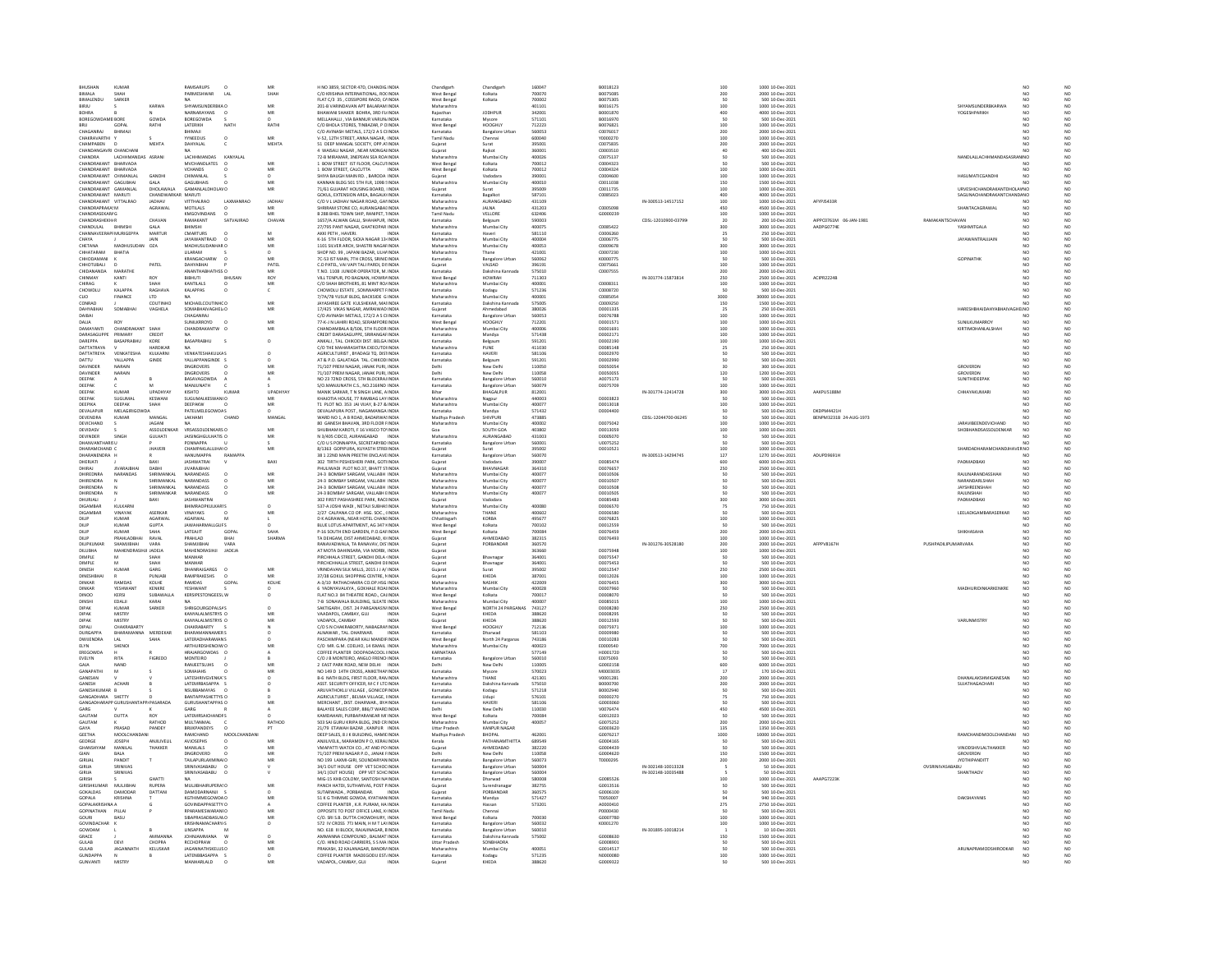| <b>BHUSHAM</b><br>KUMAR                                  |                                  | RAMSARUPS                                        | MR              | H NO 3859, SECTOR 47D, CHANDIG INDIA                                                                                          | Chandigar                              | Chandigart                                      | 160047                     | B0018123             |                     |                         | 1000 10-Dec-2021                                        |                        |                                  |                                                                                    |                            |
|----------------------------------------------------------|----------------------------------|--------------------------------------------------|-----------------|-------------------------------------------------------------------------------------------------------------------------------|----------------------------------------|-------------------------------------------------|----------------------------|----------------------|---------------------|-------------------------|---------------------------------------------------------|------------------------|----------------------------------|------------------------------------------------------------------------------------|----------------------------|
| <b>RIMALA</b>                                            |                                  | PARMESHWAR<br>$\overline{1}$ $\overline{2}$      | <b>SHAF</b>     | C/O KRISHNA INTERNATIONAL, ROCINDIA<br>FLAT C/3 35, COSSIPORE RAOD, CAINDIA                                                   | West Bengal<br>West Bengal             | Kolkatz                                         | 700070                     | 8007508              |                     | 200<br>50               | 2000 10-Dec-2021                                        |                        |                                  |                                                                                    | NC<br>NC                   |
| SARKER<br>BIRJU                                          | KARWA                            | SHYAMSUNDERBKA O                                 | MR              | 201-B VARINDAVAN APT BALARAM INDIA                                                                                            | Maharashtra                            | Kolkata                                         | 700002<br>401101           | B0016175             |                     | 100                     | 1000 10-Dec-2021                                        |                        |                                  | SHYAMSUNDERBKARWA<br>NO                                                            | NO                         |
| <b>OOHRA</b>                                             |                                  | NARNARAYANS                                      | MR              | <b>BHAWANI SHAKER BOHRA, 3RD FLINDIA</b>                                                                                      | Rajasthar                              | <b>JODHPUR</b>                                  | 342001                     | 80001870             |                     | 400                     | 4000 10-Dec-2021                                        |                        |                                  | <b>COGESHPARIKH</b>                                                                | NC                         |
| BOREGOWDAME BORE                                         | GOWDA                            | BOREGOWDA                                        |                 | MELLAHALLI, VIA BANNUR VARUN INDIA                                                                                            | Karnataka                              | Mysore                                          | 571101                     | B0016970             |                     |                         | 500 10-Dec-2021                                         |                        |                                  |                                                                                    |                            |
| 0011<br>GOPAL<br>CHAGANRAJ                               | RATHI                            | <b>LATERIKH</b><br><b>NATH</b>                   | RATHI           | C/O BHOLA STORES TINRAZAR P CINDIA                                                                                            | West Bengal                            | HOOGHLY                                         | 712223<br>560053           | R0076821<br>C007601  |                     | 100                     | 1000 10-Dec-2021                                        |                        |                                  | NO                                                                                 | $\overline{M}$             |
| BHIMAI<br>CHAKRAVARTHI                                   |                                  | BHIMAJI<br><b>YYNEEDUS</b><br>$\Omega$           | MR              | C/O AVINASH METALS, 172/2 A S CHNDIA<br>V-52, 12TH STREET, ANNA NAGAR, INDIA                                                  | Karnataka<br><b>Tamil Nadu</b>         | <b>Bangalore Urba</b><br>Chennai                | 600040                     | Y0000270             |                     | 200<br>100              | 2000 10-Dec-2021<br>1000 10-Dec-2021                    |                        |                                  | NO                                                                                 | NO <sub></sub>             |
| CHAMPABEN                                                | MEHTA                            | <b>HYALAL</b>                                    | <b>MEHTA</b>    | 51 DEEP MANGAL SOCIETY, OPP AT INDIA<br>4 WAISALI NAGAR, NEAR MONGAI INDIA                                                    | Gujarat                                | Surat                                           | 395001                     | 007583               |                     | $\frac{200}{40}$        | 2000 10-Dec-2021                                        |                        |                                  |                                                                                    |                            |
| CHANDANGAVRI CHANCHAN<br>CHANDRA<br>LACHHMANDAS ASRANI   |                                  | LACHHMANDAS<br>KANYALAL                          |                 | 72-B MIRAMAR, 3NEPEAN SEA ROA INDIA                                                                                           | Gujarat<br>Maharashtra                 | Rajkot<br>Mumbai City                           | 360001<br>400026           | C0003510<br>C0075137 |                     |                         | 400 10-Dec-2021<br>500 10-Dec-2021                      |                        |                                  | NANDLALLACHHMANDASASRAN NO                                                         | NO                         |
| CHANDRAKANT BHARVADA                                     |                                  | MVCHANDLATES                                     |                 | 1 BOW STREET IST FLOOR, CALCUTINDIA                                                                                           | West Bengal                            | Kolkata                                         | 700012                     | 000432               |                     |                         | 500 10-Dec-2021                                         |                        |                                  |                                                                                    |                            |
| CHANDRAKANT BHARVADA                                     |                                  | VCHANDS                                          | MR              | 1 BOW STREET, CALCUTTA<br><b>INDIA</b>                                                                                        | West Bengal                            | Kolkata                                         | 700012                     | C0004324             |                     | 100                     | 1000 10-Dec-2021                                        |                        |                                  | NO <sub>1</sub>                                                                    | NO                         |
| HANDRAKANT CHIMANIAL                                     | <b>GANDH</b>                     | CHIMANI AL                                       |                 | .<br>HIYA RAUGH MAIN RD RARODA INDIA                                                                                          | Gujarat                                | Vadodar                                         | 390001                     | connasor             |                     | 100                     | 1000 10-Dec-2021                                        |                        |                                  | HASUMATICGANDHI<br>NO                                                              | NO                         |
| CHANDRAKANT GAGUBHAI<br>CHANDRAKANT GAMANIAL             | GALA<br>DHOLAWALA                | <b>GAGUBHAIS</b><br>GAMANI ALDHOLAVO             | MR              | KANNAN BLDG 501 STH FLR, 109B SINDIA<br>71/61 GUIARAT HOUSING ROARD UNDIA                                                     | Maharashtra<br>Guiarat                 | Mumbai City<br>Surat                            | 400010<br>395009           | C0011038<br>00011735 |                     | 150<br>100              | 1500 10-Dec-2021<br>1000 10-Dec-2021                    |                        |                                  | NO<br>URVESHICHANDRAKANTDHOLAVNO                                                   | NO<br>$\overline{M}$       |
| CHANDRAKANT MARUTI                                       |                                  | MARUTI                                           |                 | SOKUL, EXTENSION AREA, BAGALKI INDIA                                                                                          | Karnataka                              | Bagalkot                                        | 587101                     | C0085023             |                     | 400<br>100              | 000 10-Dec-2021                                         |                        |                                  | <b>SAGUNACHANDRAKANTCHAND/NO</b>                                                   |                            |
| CHANDRAKANT VITTALRAO                                    | <b>JADHAV</b>                    | VITTHALRAD<br>LAXMANRAO                          | JADHAV          | C/O V L JADHAV NAGAR ROAD, GAI INDIA                                                                                          | Maharashtra                            | AURANGABAD                                      | 431109                     |                      | IN-300513-14517152  |                         | 1000 10-Dec-2021                                        | AFYPJ5433R             |                                  |                                                                                    |                            |
| CHANDRAPRAKA' M<br>CHANDRASEKAR/ G                       | AGRAWAL                          | MOTILAIS<br>KMGOVINDAN:                          | MD.             | HRIRAM STONE CO. ALIRANGARALINDIA<br>B 288 BHEL TOWN SHIP, RANIPET, 1INDIA                                                    | Maharashtra<br>Tamil Nadu              | <b>IALNA</b><br>VELLORE                         | 431203<br>632406           | connsoss<br>G0000239 |                     | 450<br>100              | 4500 10-Dec-2021<br>1000 10-Dec-2021                    |                        |                                  | <b>SHANTACAGRAWAL</b><br>NO<br>NO                                                  | NO                         |
| CHANDRASHEKH/R                                           | CHAVAN                           | RAMAKANT<br>SATVAJIRAO                           | CHAVAN          | 1657/A ALWAN GALLI, SHAHAPUR, INDIA                                                                                           | Karnataka                              | Belgaum                                         | 590003                     |                      | CDSL-12010900-03799 | 20                      | 200 10-Dec-2021                                         | AIPPC0761M 06-JAN-1981 | RAMAKANTSCHAVAN                  | NO                                                                                 | NO <sub>1</sub>            |
| CHANDULAL                                                |                                  | <b>IIMSHI</b>                                    |                 | 27/795 PANT NAGAR, GHATKOPAR INDIA                                                                                            | Maharashtra                            | Mumbai City                                     |                            | C0085422             |                     | 300                     | 3000 10-Dec-2021                                        | AADPG0774E             | <b>YASHMITGALA</b>               |                                                                                    |                            |
| CHANNAVEERAPI MURIGEPPA<br><b>AVAH</b>                   | MARTUR<br><b>IAIN</b>            | CMARTURS<br><b>IAYAWANTRAID</b>                  | M<br>MR         | AKKI PETH . HAVERI.<br>INDIA<br>K-16 STH FLOOR, SICKA NAGAR 13-INDIA                                                          | Karnataka<br>Maharashtra               | Haven<br>Mumbai Cit                             | 581110<br>annona           | C0006260<br>0006775  |                     | 25                      | 250 10-Dec-2021<br>500 10-Dec-2021                      |                        |                                  | NO<br><b>IAYAWANTRAILIAIN</b><br>NO                                                | NC<br>NC                   |
| CHETANA<br>MADHUSUDAN                                    | OZA                              | MADHUSUDANHAR O                                  | MR              | 1101 SILVER ARCH, SHASTRI NAGAFINDIA                                                                                          | Maharashtra                            | Mumbai City                                     | 400053                     | C0009678             |                     | 300                     | 3000 10-Dec-2021                                        |                        |                                  | NO                                                                                 | NO                         |
| CHHATARAM<br>RHATIA                                      |                                  | <b>ULARAM</b>                                    |                 | <b>SHOP NO. 99 JAPANI BAZAR JILHAINDIA</b>                                                                                    | Maharashtra                            | Thane                                           | 421001                     | connzzan             |                     | $\frac{100}{50}$        | 1000 10-Dec-2021                                        |                        |                                  | NO<br>NO                                                                           | NC<br>NC                   |
| <b>HHODAMAN</b><br>CHHOTUBALI                            | PATEL                            | <b>KRANGACHARW</b><br>DAHYABHAI                  | PATEL           | 7C-53 IST MAIN, 7TH CROSS, SRINIE INDIA<br>C.D PATEL, VAI VAPI TALI PARDI, DI: INDIA                                          | rnataka<br>Gujarat                     | angalore Urba<br>VALSAD                         | 560062<br>396191           | C0075661             |                     | 100                     | 500 10-Dec-2021<br>1000 10-Dec-2021                     |                        | CORNATUR                         | NO                                                                                 | NO                         |
| CHIDANANDA<br>MARATHE                                    |                                  | ΔΝΑΝΤΗΔΡΗΔΤΗΣΣ Ω                                 | MR              | T NO. 1108 ILINIOR OPERATOR M INDIA                                                                                           | Karnataka                              | Dakshina Kannada                                | 575010                     | C0007555             |                     |                         | 2000 10-Dec-2021                                        |                        |                                  | N <sub>0</sub>                                                                     | NO                         |
| CHINMAY<br>KANTI                                         |                                  | BIBHUTI<br><b>BHUSA</b>                          | ROY             | VILL TENPUR, PO BAGNAN, HOWRA INDIA                                                                                           | West Bengal                            | HOWRAH                                          | 711303                     |                      | IN-301774-15873814  | 200<br>250              | 2500 10-Dec-2021                                        | <b>ACIPR2224B</b>      |                                  |                                                                                    |                            |
| CHIRAG<br><b>KALAPPA</b>                                 | SHAH                             | <b>KANTILALS</b><br>$\Omega$                     | MR              | C/O SHAH BROTHERS, 81 MINT ROJINDIA<br>CHOWDLU ESTATE, SOMWARPET FINDIA                                                       | Maharashtra                            | Mumbai City                                     | 400001<br>571236           | C0008311<br>C0008720 |                     | 100                     | 1000 10-Dec-2021<br>500 10-Dec-2021                     |                        |                                  | NO <sub>1</sub>                                                                    | NO <sub></sub>             |
| CHOWDLU<br>FINANCE<br>CLIO                               | LTD                              | KALAPPAS                                         |                 | 7/7A/7B YUSUF BLDG, BACKSIDE G INDIA                                                                                          | Karnataka<br>Maharashtra               | Kodagu<br>Mumbai City                           | 400001                     | C0085054             |                     | 3000                    | 30000 10-Dec-2021                                       |                        |                                  | NO                                                                                 | NO                         |
| CONRAD                                                   | COUTINHO                         | MICHAELCOLITINHCO                                | MR              | INVASHREE GATE KULSHEKAR, MAIINDIA<br>17/425 VIKAS NAGAR, AMRAIWAD INDIA                                                      | Karnataka                              | Dakshina Ka                                     | 575005<br>380026           | C0009250             |                     | 150<br>25               | 1500 10-Dec-2021<br>250 10-Dec-2021                     |                        |                                  |                                                                                    | NC<br>NC                   |
| DAIBAI                                                   | VAGHELA                          | <b>SOMABHAIVAGHELIC</b><br>CHAGANRAJ             |                 | C/O AVINASH METALS, 172/2 A S CHNDIA                                                                                          | Gujarat<br>Karnataka                   | <b>Bangalore Urban</b>                          | 560053                     | D000133<br>D0076788  |                     | 100                     | 1000 10-Dec-2021                                        |                        |                                  | INO<br>NO <sub>1</sub>                                                             | NO <sub></sub>             |
| DALL <sup>E</sup>                                        |                                  | <b>SUNILKRROYD</b>                               | MR              | 77-K-J N LAHIRI ROAD, SERAMP                                                                                                  | Vest Bengal                            | HOOGHL                                          | 712201                     | 0000157              |                     |                         | 000 10-Dec-2021                                         |                        |                                  | CLINII VI IMADDON<br>NO                                                            |                            |
| DAMAYANTI<br>CHANDRAKANT SHAH                            |                                  | CHANDRAKANTW O                                   | MR              | CHANDAMBALA B/506, STH FLOOR INDIA                                                                                            | Maharashtra                            | Mumbai City                                     | 400006                     | D0001691             |                     | $\frac{100}{100}$       | 1000 10-Dec-2021                                        |                        |                                  | NO<br>KIRTIMOHANLALSHAH                                                            | NO                         |
| DARASAGUPPE<br>PRIMARY                                   | CREDIT                           |                                                  |                 | CREDIT DARASAGUPPE, SRIRANGAFINDIA                                                                                            | Karnataka                              | Mandya                                          | 571438                     | 00002171             |                     | 100                     | 1000 10-Dec-2021                                        |                        |                                  | NO                                                                                 | NO                         |
| DAREPPA<br><b>BASAPRABHL</b><br>DATTATRAYA               | KORE<br>HARDIKAR                 | BASAPRABHU<br><b>NA</b>                          | $\circ$         | ANKALI, TAL. CHIKODI DIST. BELGA INDIA<br>C/O THE MAHARASHTRA EXECUTOUNDIA                                                    | Karnataka<br>Maharashtra               | Belgaum<br>PUNE                                 | 591201<br>411030           | D0002190<br>D0085148 |                     | $\frac{1}{100}$<br>25   | 1000 10-Dec-2021<br>250 10-Dec-2021                     |                        |                                  | NO<br>NO <sub>1</sub>                                                              | NO <sub></sub>             |
| <b>ATTATREYA</b><br>ENKATESHA                            | KULKARN                          | <b>VENKATESHAKULKAS</b>                          |                 | ULTURIST, BYADAGI TQ. DISTINDIA                                                                                               | Karnataka                              | <b>IAVER</b>                                    | 581106                     |                      |                     |                         | 500 10-Dec-2021                                         |                        |                                  |                                                                                    |                            |
| DATTU<br>YALLAPPA                                        | GINDE                            | YALLAPPANGINDE S                                 |                 | AT & P.O. GALATAGA TAL. CHIKODI INDIA                                                                                         | Karnataka                              | Belgaum                                         | 591201                     | D0002990             |                     |                         | 500 10-Dec-2021                                         |                        |                                  |                                                                                    |                            |
| <b>DAVINDER</b><br><b>NARAIN</b><br>DAVINDER<br>NARAIN   |                                  | <b>DNGROVERS</b><br>DNGROVERS                    | MO              | 71/107 PREM NAGAR JANAK PURL INDIA                                                                                            | Delhi                                  | New Delhi                                       | 110050                     | 00050054             |                     | 120                     | 300 10-Dec-2021                                         |                        | GROVERDN                         | NO<br>NO                                                                           | NO                         |
| DEEPAK                                                   |                                  | BASAVAGOWDA                                      |                 | 71/107 PREM NAGAR, JANAK PURI, INDIA<br>NO 23 72ND CROSS, STH BLOCKRAJ INDIA                                                  | Delhi<br>Karnataka                     | New Delh<br><b>Bangalore Urban</b>              | 110058<br>560010           | D005005<br>A0075173  |                     |                         | 1200 10-Dec-2021<br>500 10-Dec-2021                     |                        | GROVERDM<br>SUNITHIDEEPAR        | NO <sub>1</sub>                                                                    | NO <sub></sub>             |
| DEEPAI                                                   |                                  | <b>ANJUNATH</b>                                  |                 | S/O.MANJUNATH C.S., NO.216IIND INDIA                                                                                          | Karnataka                              | <b>Bangalore Urba</b>                           | 560079                     | 00075709             |                     | 100                     | 000 10-Dec-2021                                         |                        |                                  |                                                                                    | $_{NC}$                    |
| DEEPAK<br>KUMAR<br>DEEPAK<br>SUGUMAL                     | UPADHYAY<br><b>KESWANI</b>       | KISHTO<br>KUMA<br>SUGUMALKESWANLO                | UPADHYA         | MANIK SARKAR, T N SINGH LANE, A INDIA<br>KHAIOTIA HOLISE 77 RAMRAG LAY INDIA                                                  | Bihar<br>Maharashtra                   | BHAGALPUR                                       | 812001<br>440003           | 00003823             | IN-301774-12414728  | 300                     | 3000 10-Dec-2021                                        | AAKPU5188M             | CHHAYAKUMAR                      | NO<br>N <sub>0</sub>                                                               | NO<br>$\overline{M}$       |
| DEEPAK<br>DEEPIKA                                        | SHAH                             | DEEPAKW                                          | MR<br><b>MR</b> | T1 PLOT NO. 353 JAI VIJAY, B-27 & INDIA                                                                                       | Maharashtra                            | Mumbai City                                     | 400077                     | D0013018             |                     | 100                     | 500 10-Dec-2021<br>1000 10-Dec-2021                     |                        |                                  |                                                                                    |                            |
| DEVALAPUR<br>MELAGIRI                                    |                                  | <b>PATELMELEGOWDAS</b>                           |                 | DEVALAPURA POST. NAGAMANGA INDIA                                                                                              | Karnataka                              | Mandya                                          | 571432                     | D0004400             |                     | $\frac{50}{50}$         | 500 10-Dec-2021                                         | DKDPM4421H             |                                  |                                                                                    |                            |
| <b>DEVENDRA</b><br>KUMAR                                 | MANGAL                           | LAKHAMI<br>CHAND                                 | MANGAL          | WARD NO 1. A B ROAD, BADARWA INDIA                                                                                            | Madhya Pradest                         | SHIVPLIR                                        | 473885                     |                      | CDSL-12044700-06245 |                         | 500 10 Dec-2021<br>1000 10 Dec-2021                     | ENPM3231B 24-AUG-1973  |                                  |                                                                                    | NC<br>NC<br>NC             |
| DEVICHAND<br><b>DEVIDASV</b>                             | JAGANI<br><b>ASSOLDENKAR</b>     | VRSASSOLDENKARS O                                | MR              | 80 GANESH BHAVAN, 3RD FLOOR FINDIA<br><b>SHI IRHAM KAROTI F 16 VASCO TOLINDIA</b>                                             | Maharashtra<br>Co-                     | Mumbai City<br>SOUTH GOA                        | 400002<br>403802           | D0075042<br>00013059 |                     | 100<br>100              | 1000 10-Dec-2021                                        |                        |                                  | <b>JARAVIBEENDEVICHAND</b><br>NO<br><b>SHORHANDSASSOLDENKAR</b><br>NO <sub>1</sub> | NC <sub>1</sub>            |
| DEVINDER<br>SINGH                                        | <b>GULHATI</b>                   | JAISINGHGULHATIS O                               |                 | N 3/405 CIDCO, AURANGABAD                                                                                                     | Maharashtra                            | AURANGABAI                                      | 431003                     | D000507              |                     |                         | 500 10-Dec-2021                                         |                        |                                  |                                                                                    |                            |
| DHANVANTHARIS U                                          |                                  | PONNAPPA                                         |                 | C/O U S PONNAPPA, SECRETARYBO INDIA                                                                                           | Karnataka                              | <b>Bangalore Urban</b>                          | 560001                     | U0075252             |                     |                         | 500 10-Dec-2021                                         |                        |                                  | NO                                                                                 | NO <sub></sub>             |
| HARAMCHAND I<br>DHARANENDRA I                            | HAVER                            | CHAMPAKLALUJ<br>HANUMAPPA<br>RAMAPPA             |                 | 3/1363 GOPIPURA, KUYASTH STREI INDIA<br>38 1 22ND MAIN PREETHI ENCLAVE INDIA                                                  | Gujarat<br>Karnataka                   | <b>Bangalore Urban</b>                          | 395002<br>560070           | 00010521             | IN-300513-14294745  | 100<br>127              | 000 10-Dec-2021<br>1270 10-Dec-2021                     | ADUPD9691H             |                                  | <b>SHARDADHARAMCHAND</b><br>NO <sub>1</sub>                                        | NO                         |
| DHERIATI                                                 | RAXI                             | <b>IASHWATRAL</b>                                | RAXI            | 302 TIRTH PESHESHERI PARK GOTHNDIA                                                                                            | Gujarat                                | <b>Vadodara</b>                                 | 390007                     | 00085474             |                     |                         | 6000 10-Dec-2021                                        |                        | PADMADRAXI                       |                                                                                    |                            |
| VARAIDH.                                                 |                                  |                                                  |                 | HULIWADI PLOT NO.37, BHATT STINDIA                                                                                            | Sujarat                                | HAVNAGAP                                        | 364310                     | D007665              |                     | 600<br>250              | 2500 10-Dec-2021                                        |                        |                                  |                                                                                    | NC<br>NC                   |
| DHIREDNRA<br>NARANDAS<br>DHIRENDRA                       | SHRIMANKA<br><b>UPILLANKA</b>    | NARANDASS<br>NARANDASS                           | MR<br>MR        | 24-3 BOMBAY SARGAM, VALLABH INDIA<br>24-3 ROMRAY SARGAM VALLARH INDIA                                                         | Maharashtra                            | Mumbai City<br>Mumbai Cit                       | 400077<br>400077           | D0010506<br>00010507 |                     |                         | 500 10-Dec-2021<br>500 10-Dec-2021                      |                        |                                  | RAJUNARANDASSHAH<br>NO<br>NARANDARI SHAH<br>N <sub>0</sub>                         | NO                         |
|                                                          |                                  |                                                  |                 |                                                                                                                               | Maharashtra                            |                                                 |                            |                      |                     |                         |                                                         |                        |                                  |                                                                                    |                            |
|                                                          |                                  |                                                  |                 |                                                                                                                               |                                        |                                                 |                            |                      |                     |                         |                                                         |                        |                                  |                                                                                    |                            |
| DHIRENDRA<br>DHIRENDRA                                   | SHRIMANKAL<br><b>CUDIMANIVAD</b> | NARANDASS<br>NARANDASS                           | MR<br>MR        | 24-3 BOMBAY SARGAM, VALLABH INDIA<br>24-3 ROMBAY SARGAM, VALLARH FINDIA                                                       | Maharashtra<br>Maharashtra             | Mumbai City<br>Mumbai City                      | 400077<br>400077           | D0010508<br>00010505 |                     | 50                      | 500 10-Dec-2021<br>500.10-0ec-2021                      |                        | <b>RAILINSHAH</b>                | JAYSHREENSHAH<br>NO <sub>1</sub><br>N <sub>0</sub>                                 | NC<br>NC<br>NO             |
| DHURJALI                                                 | BAXI                             | <b>JASHWANTR</b>                                 |                 | 302 FIRST PASHASHREE PARK, RACEINDIA                                                                                          | Gujarat                                | Vadodara                                        |                            | D008548              |                     | 300                     | 3000 10-Dec-2021                                        |                        | PADMADBAX                        |                                                                                    |                            |
| DIGAMBAR<br>KULKARNI                                     |                                  | <b>BHIMRAOPKULKARIS</b>                          | $\Omega$        | 537-A JOSHI WADI . NETAJI SUBHASINDIA                                                                                         | Maharashtra                            | Mumbai City                                     | 400080                     | D0006570             |                     | 75                      | 750 10-Dec-2021                                         |                        |                                  | NO                                                                                 | NO <sub></sub>             |
| <b>NGAMRA</b><br>KUMAR<br>DILIP                          | ASERKAR<br>AGARWA                | NAYAKS<br>AGARWAL                                | MR              |                                                                                                                               | Maharashtra                            | KORBA                                           |                            | 000658               |                     |                         |                                                         |                        |                                  | LEELADIGAMBARASERKAR                                                               |                            |
| DILIP<br>KUMAR                                           | <b>GUPTA</b>                     | <b>JAWAHARMALLGUPS</b>                           |                 | 2/27 CALPANA CO OP. HSG. SOC., (INDIA<br>D K AGRAWAL, NEAR HOTEL CHANI INDIA<br>BLUE LOTUS APARTMENT, AG 347 HNDIA            | Chhattisgarh<br>West Bengal            | Kolkata                                         | 400602<br>495677<br>700102 | D0076825<br>D0012559 |                     | 100                     | 500 10-Dec-2021<br>1000 10-Dec-2021<br>500 10-Dec-2021  |                        |                                  | NO                                                                                 | NO <sub></sub>             |
| KUMAR<br>DILIF                                           |                                  | LATEAJIT<br>GOPAL                                |                 | P-16 SOUTH END GARDEN, P.O.GAFINDIA                                                                                           | West Benga                             | Kolkata                                         | 700084                     | D007645              |                     | 200                     | 2000 10-Dec-2021                                        |                        | <b>SHIKHASAHA</b>                |                                                                                    |                            |
| DILIP<br>PRAHLADBHAI<br>DILIPKLIMAR<br><b>CHARAIDHAI</b> | RAVAL<br>VARA                    | PRAHLAD<br>BHAI<br>SHAMIIRHA<br>VARA             | SHARMA          | TA DEHGAM, DIST AHMEDABAD, KHNDIA                                                                                             | Gujarat                                | AHMEDABAD<br>PORRANDAR                          | 382315<br>360570           | D0076493             |                     | 100                     | 1000 10-Dec-2021                                        | AFPPV8167H             | PLISHPADILIPLIMARVARA            | NO                                                                                 | NO                         |
| DILUBHA<br>MAHENDRASIHJI JADEJA                          |                                  | MAHENDRASIHJI<br><b>JADEJA</b>                   |                 | RANAVADWALA, TA RANAVAV, DIS INDIA<br>AT MOTA DAHINSARA, VIA MORBI, INDIA                                                     | Gujarat                                |                                                 | 363660                     | D0075948             | IN-301276-30528180  |                         | 2000 10-Dec-2021<br>1000 10-Dec-2021                    |                        |                                  | NO<br>NO                                                                           | NO<br>NO                   |
| <b>DIMPLE</b>                                            | SHAH                             | <b>MANHAR</b>                                    |                 | PIRCHHAI A STREET GANDHI DELA UNDIA                                                                                           | Gujarat                                | Rhaynaga                                        | 364001                     | 00075547             |                     | 200<br>100              | 500.10-0ec-2021                                         |                        |                                  | N <sub>0</sub>                                                                     | N <sub>0</sub>             |
| DIMPLE                                                   | SHAF                             | MANHAR                                           |                 | PIRCHCHHALLA STREET, GANDHI DIINDIA                                                                                           | Gujarat                                | Bhavnaga                                        | 364001                     | D0075453             |                     |                         | 500 10-Dec-2021                                         |                        |                                  |                                                                                    |                            |
| DINESH<br>KUMAR<br><b>DINESHRHA</b>                      | GARG<br>PUNIAR                   | DHANRAJGARGS<br>$\circ$<br>RAMPRAKESHS           | MR<br>MR        | VRINDAVAN SILK MILLS, 2015 JJ A/ INDIA                                                                                        | Guiarat<br>.<br>Gularat                | Surat<br>KHEDA                                  | 395002<br>387001           | D0012547<br>00012026 |                     | 250<br>100              | 2500 10-Dec-2021<br>1000 10-Dec-2021                    |                        |                                  | NO                                                                                 | NO<br>NO                   |
| <b>RAMDAS</b><br>DINKAR                                  | KOLHE                            | RAMDAS<br>GOPAI                                  | KOLHE           | 37/38 GOKUL SHOPPING CENTRE, NINDIA<br>A-3/10 RATHACHAKRA CO.OP.HSG INDIA                                                     | Maharashtra                            | NASHIK                                          | 422009                     | D0076455             |                     | 300                     | 3000 10-Dec-2021                                        |                        |                                  |                                                                                    |                            |
| DINKAR<br>YESHWANT                                       | KENKRE                           | YESHWANT                                         |                 | 6 YADNYAVALKYA , GOKHALE ROAHNDIA                                                                                             | Maharashtra                            | Mumbai City                                     | 400028                     | D0007960             |                     |                         | 500 10-Dec-2021                                         |                        |                                  | MADHURIDINKARKENKRE<br>NO <sub>1</sub>                                             | NO <sub></sub>             |
| <b>DINOO</b><br>KERSI<br>DINSHI<br>EDALII                | SUBAWALL<br>KARAI                | KERSIPESTONGEESLW                                |                 | FLAT NO.3 84 THEATRE ROAD., CALINDIA<br>7-B SONAWALA BUILDING, SLEATE INDIA                                                   | West Bengal<br>Maharashtra             | Kolkata<br>Mumbai City                          | 700017<br>400007           | 0000807<br>D0085015  |                     | 100                     | 500 10-Dec-2021<br>1000 10-Dec-2021                     |                        |                                  |                                                                                    | NO                         |
| KUMAR<br><b>DIPAR</b>                                    | SARKER                           | SHRIGOLIRGOPALSAS                                | $\alpha$        | SAKTIGARH, DIST. 24 PARGANAS% INDIA                                                                                           | West Bengal                            | NORTH 24 PARGANAS                               | 743127                     | 00008280             |                     | 250                     | 2500 10-Dec-2021                                        |                        |                                  |                                                                                    | NC                         |
| <b>DIPAR</b><br>MISTRY                                   |                                  | KANYALALMISTRYS O                                | MR              | VAADAPOL, CAMBAY, GUJ<br><b>INDIA</b>                                                                                         | Gujarat                                | KHEDA                                           | 388620                     | D0008295             |                     |                         | 500 10-Dec-2021                                         |                        |                                  | NO                                                                                 | NO                         |
| DIPAR<br><b>MISTRY</b><br><b>DIPAL</b><br>CHAVRARARTY    |                                  | KANYALAI MISTRYS O<br>CHAVRARARTY                | MR              | VADAPOL CAMRAY<br>INDIA<br>C/O S N CHAKRABORTY, NABAGRAI INDIA                                                                | Guiarat<br>west Bengal                 | KHEDA<br>HOOGHLY                                | 388620                     | 00012593<br>D0075971 |                     | 100                     | 500.10-0ec-2021<br>1000 10-Dec-2021                     |                        | <b>VARUNMISTRY</b>               | NO<br>NO                                                                           | NC<br>NC                   |
| <b>DURGAPPA</b><br>BHARAMANNA                            | MERDEKAP                         | <b>BHARAMANNAMERS</b>                            |                 | ALNAWAR, TAL. DHARWAR.<br><b>INDIA</b>                                                                                        | Karnataka                              | Dharwad                                         | 581103                     | D0009980             |                     |                         | 500 10-Dec-2021                                         |                        |                                  | NO                                                                                 | NO                         |
| <b>DWIFNDRA</b><br>1AI                                   | SAHA                             | <b>I ATFRADHARAMANS</b>                          |                 | <b>PASCHIMPARA (NEAR KALLMANDIFINDIA</b>                                                                                      | West Bengal                            | North 24 Parganas                               | 743186                     | 00010283             |                     |                         | 500.10-0ec-2021                                         |                        |                                  | N <sub>0</sub>                                                                     | NO                         |
| SHENOI<br>ELYN<br>EREGOWDA                               |                                  | ARTHURDSHENOIW C<br>HRAJARGOWDAS O               |                 | C/O MR. G.M. COELHO, 14 ISMAIL INDIA<br>COFFEE PLANTER DOOPADACOOL IINDIA                                                     | Maharashtra<br>KARNATAKA               | Mumbai City                                     | 400023<br>577149           | E0000540<br>H0001720 |                     | 700                     | 7000 10-Dec-2021<br>500 10-Dec-2021                     |                        |                                  | NO <sub>1</sub>                                                                    | NO <sub></sub>             |
| EVELYN<br><b>RITA</b>                                    | FIGREDO                          | MONTEIRO                                         |                 | C/O J B MONTEIRO, ANGLO FRENCHINDIA                                                                                           | Karnataka                              | <b>Bangalore Urba</b>                           | 560010                     |                      |                     |                         | 500 10-Dec-2021                                         |                        |                                  |                                                                                    |                            |
| GAJA<br>NAND                                             |                                  | RANJEETSUJHS                                     | MR              | 2 EAST PARK ROAD, NEW DELHI INDIA                                                                                             | Delhi                                  | New Delhi                                       | 110005                     | G0002158             |                     | 600                     | 6000 10-Dec-2021                                        |                        |                                  |                                                                                    | NO                         |
| <b>GANAPATHI</b><br>M                                    |                                  |                                                  |                 |                                                                                                                               | Karnataka                              |                                                 | 570023                     | MODO303*             |                     |                         |                                                         |                        |                                  |                                                                                    |                            |
| .<br>SANESAN<br>GANESH<br><b>ACHARI</b>                  |                                  | SOMAIAHS<br>LATESHRIVGVENKA'S<br>LATEMRBASAPPA S |                 | -<br>NO 149 D-14TH CROSS, ANIKETHA! INDIA<br>B-6 NATH BLDG, FIRST FLOOR, RAN INDIA<br>ASST. SECURITY OFFICER. M C F LTC INDIA | Maharashtra<br>Karnataka               | Mysore<br>THANE<br>Dakshina Kannada             | 421301<br>575010           | v0001281<br>B0000700 |                     | $\frac{17}{200}$<br>200 | 170 10-Dec-2021<br>2000 10-Dec-2021<br>2000 10-Dec-2021 |                        |                                  | <b>HANALAKSHMIGANESA</b><br>SUJATHAGACHARI<br>NO <sub>1</sub>                      | NC<br>NC<br>NO <sub></sub> |
| GANESHKUMAR                                              |                                  | NSUBBAMAYAS                                      |                 | ARUVATHOKLU VILLAGE, GONICOF INDIA                                                                                            | Karnataka                              | Kodagu                                          | 571218                     | 80002940             |                     |                         | 500 10-Dec-2021                                         |                        |                                  |                                                                                    |                            |
| GANGADHARA SHETTY<br>GANGADHARAP                         | <b>CURUSHANTAPPIPASARADA</b>     | <b>BANTAPPASHETTYS O</b>                         | MR              | AGRICULTURIST, BELMA VILLAGE, IINDIA<br>MERCHANT DIST DHARWAR RYAINDIA                                                        | Karnataka                              | Udupi<br>HAVERI                                 | 576101<br>581106           | D0000270<br>soonagso |                     | 75                      | 750 10-Dec-2021<br>500.10-0ec-2021                      |                        |                                  | NO<br>N <sub>0</sub>                                                               | $\overline{M}$             |
| GARG                                                     |                                  | <b>GURUSHANTAPPAS O</b><br>GARG                  |                 | BALAYEE SALES CORP, 886/7 WARD INDIA                                                                                          | Karnataka<br>Delhi                     | New Delh                                        | 110030                     | V0076474             |                     | 450                     | 4500 10-Dec-2021                                        |                        |                                  | NO                                                                                 |                            |
| GAUTAM<br><b>DUTTA</b>                                   | ROY                              | <b>LATEMRSAICHANDES</b>                          |                 | KAMDAHARI, PURBAPARANEAR MI INDIA                                                                                             | West Bengal                            | Kolkata                                         | 700084                     | G0012023             |                     |                         | 500 10-Dec-2021                                         |                        |                                  | NO <sub>1</sub>                                                                    | NO                         |
| GAUTAM                                                   | RATHOL                           | MULTANMAL                                        | RATHOL          | 503 SAI GURU KRIPA BLDG, 2ND CR INDIA                                                                                         | Maharashtra                            | Aumbai Cit                                      | 400057                     | 60075252             |                     | 200                     | 2000 10-Dec-2021                                        |                        |                                  |                                                                                    |                            |
| GAYA<br>PRASAD<br><b>GEETHA</b><br>MOOLCHAND             | PANDEY                           | <b>BRUKPANDEYS</b><br>RAMCHAND<br>MOOLCHANDANI   | PT              | 21/79 ETAWAH BAZAR, KANPUR INDIA<br>DEEP SALES, 8 J K BUILDING, HAMILINDIA                                                    | <b>Uttar Pradesh</b><br>Madhya Pradest | KANPUR NAGAR<br><b>BHOPAL</b>                   | 462001                     | G0003620<br>G0076217 |                     | 135<br>1000             | 1350 10-Dec-2021<br>10000 10-Dec-2021                   |                        |                                  | NO<br>NO<br><b>RAMCHANDMOOLCHANDAN</b>                                             | NO<br>NO                   |
| GEORGE<br><b>JOSEPH</b>                                  | ANJILIVELI                       | AVJOSEPHS                                        |                 | .<br>ANJILIVELIL, MARAMON P O, KERALINDIA                                                                                     | Kerala                                 | PATHANAMTHITTA                                  | 689549                     | G0004165             |                     |                         | 500 10-Dec-2021                                         |                        |                                  |                                                                                    |                            |
| GHANSHYAM<br>MANILAL                                     | THAKKER                          | <b>MANILALS</b>                                  | MR.             | VMAPATTI WATCH CO., AT AND PO INDIA                                                                                           | Guiarat                                | AHMEDABAD                                       | 382220                     | G0004439             |                     |                         | 500 10-Dec-2021                                         |                        |                                  | <b>VINODSHIVLALTHAKKER</b><br>NO <sub>1</sub>                                      | NC                         |
| GIAN<br><b>BALA</b><br>GIRUAL<br>PANDIT                  |                                  | ONGROVERD<br>TAILAPURLAXMINAIO                   | MR              | 71/107 PREM NAGAR P.O., JANAK FINDIA<br>NO 199 LAXMI-GIRI, SOUNDARYAN INDIA                                                   | Karnataka                              | lew Delhi<br><b>Bangalore Urban</b>             | 110058<br>560073           | 60004620<br>T0000295 |                     | 150<br>200              | 1500 10-Dec-2021<br>2000 10-Dec-2021                    |                        | GROVERDM<br><b>JYOTHIPANDITT</b> | NO                                                                                 | NĆ<br>NO                   |
| GIRILA<br>SRINIVAS                                       |                                  | SRINIVASARARLI O                                 |                 | 34/1 OUT HOUSE OPP VET SCHOCINDIA                                                                                             | Karnataka                              | <b>Bangalore Urban</b>                          | ssoong                     |                      | IN-302148-10013328  |                         | 50.10-Dec-2021                                          |                        | OVSRINIVASARARLI                 | N <sub>0</sub>                                                                     | NO                         |
| GIRIJA<br>SRINIVAS                                       |                                  | SRINIVASABABU                                    |                 | 34/1 (OUT HOUSE) OPP VET SCHCINDIA                                                                                            | Karnataka                              | <b>Bangalore Urban</b>                          | 560004                     |                      | IN-302148-10035488  |                         | 50 10-Dec-2021                                          |                        | SHANTHAOV                        | NO                                                                                 | $\overline{N}$             |
| <b>GIRISH</b><br>MUI IRHAI<br><b>GIRISHKLIMAR</b>        | <b>GHATTI</b><br><b>RUPERA</b>   | MULIIRHAIRUPERASO                                | MR              | MIG-15 KHB COLONY, SANTOSH NAINDIA<br>PANCH HATDI, SUTHARVAS, POST PINDIA                                                     | Karnataka<br>Gujarat                   | Dharwad                                         | 580008<br>382755           | G0085526<br>60013516 |                     | 100                     | 1000 10-Dec-2021<br>500 10-Dec-2021                     | AAAPG7223K             |                                  | NO <sub>1</sub>                                                                    | NO<br>NO                   |
| GOKALDAS<br>DAMODAR                                      | DATTANI                          | DAMODARNANJI S                                   |                 | SUTARWADA, PORBANDAR.<br><b>INDIA</b>                                                                                         | Gujarat                                | PORBANDAR                                       | 360575                     | G0006100             |                     |                         | 500 10-Dec-2021                                         |                        |                                  | NO                                                                                 | NO                         |
| GOPALA<br><b>KRISHNA</b>                                 |                                  | KGTHIMMEGOWDA O                                  | MR              | 51 K G THIMME GOWDA, KYATHAN INDIA                                                                                            | Karnataka                              | Mandya                                          | 571427                     | T0050007             |                     |                         | 940 10-Dec-2021                                         |                        | DAKSHAYANIS                      | NO <sub>1</sub>                                                                    | NO                         |
| GOPALAKRIS<br><b>GOPINATHAN</b><br>PILLAI                |                                  | <b>GOVINDAPPASETTY.O</b><br>RPARAMESWARANIO      | MR              | COFFEE PLANTER, K.R. PURAM, HA INDIA<br>OPPOSITE TO POST OFFICE LANE, KHNDIA                                                  | Karnataka<br><b>Tamil Nady</b>         | Chennai                                         | 573201                     | 40000410<br>P0000430 |                     | 275                     | 2750 10-Dec-2021<br>500 10-Dec-2021                     |                        |                                  | NO <sub>1</sub>                                                                    | NO <sub></sub>             |
| GOURI                                                    |                                  | SIRAPRASADRASI IM C                              |                 | C/O. SRI S.B. DUTTA CHOWDHURY, INDIA                                                                                          | West Benga                             | Kolkata                                         | znonan                     | 6000778              |                     | 100                     | 000 10-Dec-2021                                         |                        |                                  |                                                                                    |                            |
| GOVINDACHAI                                              |                                  | KRISHNAMACHARY/S                                 | $\circ$         | 572 IV CROSS 7TJ MAIN, H M T LA INDIA                                                                                         | Karnataka                              | <b>Bangalore Urban</b>                          | 560032                     | K0001270             |                     | 100                     | 1000 10-Dec-2021                                        |                        |                                  |                                                                                    |                            |
| GOWDAM<br>SRACE                                          | <b>MALANA</b>                    | <b>INSAPPA</b>                                   |                 | NO. 618 III BLOCK, RAJAJINAGAR, EINDIA                                                                                        | Karnataka<br>Karnataka                 |                                                 | 560010                     | G0008630             | IN-301895-10018214  | .<br>15c                | 10.10-Dec-2021                                          |                        |                                  |                                                                                    | NO                         |
| GULAB<br>DEVI                                            | CHOPRA                           | RCCHOPRAW                                        | MR              | NA COMPOUND, BALMAT INDIA<br>C/O. HIND ROAD CARRIERS, S S MA INDIA                                                            | <b>Uttar Pradesh</b>                   | Bangalore Urban<br>Dakshina Kannad<br>SONBHADRA |                            | G0008901             |                     |                         | 1500 10-Dec-2021<br>500 10-Dec-2021                     |                        |                                  |                                                                                    |                            |
| <b>GLILAR</b><br><b>IAGANNAT</b>                         | KELLISKAR                        | <b>IAGANNATHSKELLIS O</b>                        | MR              | PRAKASH 32 KALANAGAR RANDRUNDIA                                                                                               | Maharashtra                            | Mumbai City                                     | 400051                     | 60014517             |                     |                         | 500 10-Dec-2021                                         |                        |                                  | ARUNAPRAMODSHIRODKAR<br>NO <sub>1</sub>                                            |                            |
| GUNDAPPA<br><b>GUNVANTI</b><br>MISTRY                    |                                  | LATENBBASAPPA S<br>MANHARI ALD                   | MR              | COFFEE PLANTER MADEGODU EST.INDIA<br>VADAPOL, CAMBAY, GUJ<br><b>IMDLA</b>                                                     | Karnataka<br>Guiarat                   | Kodagu<br>KHEDA                                 | 571235<br>388620           | N0000080<br>60009322 |                     | 100                     | 1000 10-Dec-2021<br>500 10-Dec-2021                     |                        |                                  | NO                                                                                 | NO<br>NO<br>NO             |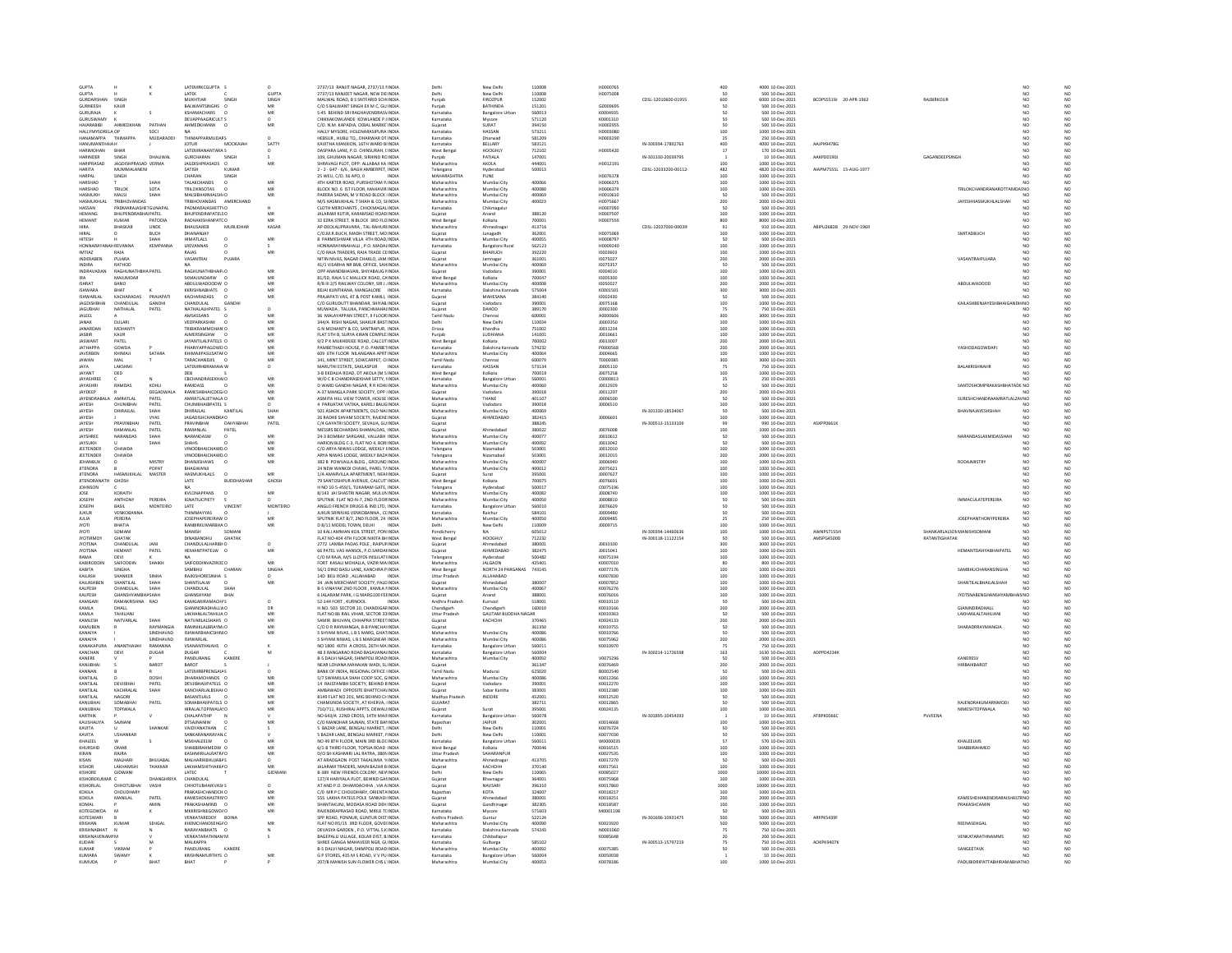| <b>GUPTA</b>                          |                                                    |                          | LATEMRKCGUPTA S                                   |                 | 2737/13 RANJIT NAGAR, 2737/13 HNDIA                                             | Delh                              | New Delh                              | 110008           | H0000765                    |                     | 400                                              | 4000 10-Dec-2021                                       |                        |                |                                                   |                                  |  |
|---------------------------------------|----------------------------------------------------|--------------------------|---------------------------------------------------|-----------------|---------------------------------------------------------------------------------|-----------------------------------|---------------------------------------|------------------|-----------------------------|---------------------|--------------------------------------------------|--------------------------------------------------------|------------------------|----------------|---------------------------------------------------|----------------------------------|--|
| <b>GLIPTA</b>                         |                                                    |                          | LATEK<br>MUKHTIAR                                 | GUPTA           | 2737/13 RANJEET NAGAR, NEW DE INDIA                                             | Delhi                             | New Delh                              | 110008           | <b>H0075008</b>             |                     | so<br>500                                        | 500 10-Dec-2021<br>6000 10-Dec-2021                    |                        |                |                                                   |                                  |  |
| ---<br>SURDARSHAN<br>GURNEESH         | KAUR                                               |                          | BALWANTSINGHS O                                   | SINGH<br>MR     | MALWAL ROAD, B S SNTFARID SCHINDM<br>C/O S BALWANT SINGH EX M C. GU INDIA       | Punjab<br>Punjab                  | FIROZPUR<br>BATHINDA                  | 15200<br>151201  | G0009695                    | CDSL-12010600-01955 | 50                                               | 500 10-Dec-2021                                        | BCDPS5519J 20-APR-1962 |                |                                                   | N <sub>C</sub>                   |  |
| CIPIDALA                              |                                                    |                          | KSHAMACHARS                                       | MR              | S-45 BEHIND SRI RAGHAVENDRAS\INDIA                                              | Karnatak                          |                                       | 560013           | K0004935                    |                     |                                                  | 500 10-Dec-2021                                        |                        |                |                                                   | NO                               |  |
| GURUSWAMY                             |                                                    |                          | <b>DEVAPPAAGRICULTIS</b>                          | $^{\circ}$      | CHIKKAKOWLANDE KOWLANDE P.(INDIA                                                | Karnataka                         | Mysore                                | 571120           | K0001310                    |                     | 50                                               | 500 10-Dec-2021                                        |                        |                |                                                   |                                  |  |
| <b>HAIARARIRI</b>                     | <b>AHMEDKHAN</b>                                   | PATHAN                   | AHMEDKHANW                                        | MR              | C/O. N.M. KAPADIA, CKBAL MARKE INDIA                                            | Gujarat                           | SURAT                                 | 394150           | H0002955                    |                     | so                                               | 500 10-Dec-2021                                        |                        |                |                                                   | NO <sub>1</sub>                  |  |
| HALLYMYSORELA OP<br>HANAMAPPA         | THIMAPPA                                           | soci<br>MUDARADO         | <b>ΤΗΙΜΑΡΡΑRΜΙΠΑΒS</b>                            |                 | HALLY MYSORE, HOLENARASIPURA INDIA<br>HEBSUR . HUBLI TO., DHARWAR DT INDIA      | Karnatak<br>Karnataka             | HASSAN<br>Dharwad                     | 573211<br>581209 | H0003080<br>H0003290        |                     | 100<br>25                                        | 1000 10-Dec-2021<br>250 10-Dec-2021                    |                        |                |                                                   | N <sub>0</sub>                   |  |
| <b>HANUMANTHAIA</b> F                 |                                                    |                          | MOOKAJAI<br><b>JOTUR</b>                          | SATTY           | KAVITHA MANXION, 16TH WARD BINDIA                                               | Karnataka                         | BELLARY                               | 583121           |                             | IN-300394-17892763  |                                                  | 4000 10-Dec-2021                                       | AAJPH9478G             |                |                                                   |                                  |  |
| HARIMOHAN                             | RHAR                                               |                          | LATEMRANANTARA S                                  |                 | DASPARA LANE, P.O. CHINSURAH, LINDIA                                            | West Benga                        | HOOGHLY                               | 712102           | H0005420                    |                     | $\frac{400}{17}$                                 | 170 10-Dec-2021                                        |                        |                |                                                   |                                  |  |
| HARINDER                              | SINGH                                              | DHALIWAL                 | <b>GURCHARAN</b><br>SINGH                         |                 | 109, GHUMAN NAGAR, SIRHIND ROINDIA                                              | 'unjab                            | PATIALA                               | 14700            |                             | IN-301330-20039795  |                                                  | 10 10-Dec-2021                                         | AAKPD0190J             | GAGANDEEPSINGH |                                                   |                                  |  |
| HARIPRASAD                            | JAGDISHPRASAD VERMA                                |                          | JAGDISHPRASADS 0                                  | MB              | SHRAVAGI PLOT, OPP: ALLABAJI KA INDIA                                           | Maharashtra                       | AKOLA                                 | 444001           | H0012191                    |                     | 100                                              | 1000 10-Dec-2021                                       |                        |                |                                                   |                                  |  |
| HARITA                                | MUMMALANEN                                         |                          | SATISH<br>KUMAR                                   |                 | 2 - 2 - 647 - 6/6, BAGH AMBERPET, INDIA                                         | Telangana                         | Hyderabac                             | 500013           |                             | CDSL-12033200-00112 | 482<br>100                                       | 4820 10-Dec-2021                                       | AIAPM7555L 15-AUG-1977 |                |                                                   | NO                               |  |
| HARPAL<br>HARSHAD                     | SINGH                                              | SHAH                     | CHARAN<br>SINGH<br><b>TALAKCHANDS</b><br>$\Omega$ | MR              | 25 WEU, C/O. 56 APO, 0<br>4TH KARTER ROAD, PURSHOTAM PUNDIA                     | <b>MAHARASHTRA</b><br>Maharashtra | PUNE<br>Mumbai City                   | 400066           | H0076178<br><b>HODO6375</b> |                     | 100                                              | 1000 10-Dec-2021<br>1000 10-Dec-2021                   |                        |                |                                                   | NO                               |  |
| HARSHAD                               | TRILOK                                             | SOTA                     | TRILOKNSOTAS                                      | MR              | BLOCK NO. 6 IST FLOOR, MAHAVIR INDIA                                            | Maharashtra                       | Mumbai City                           | 400080           | H0006379                    |                     | 100                                              | 1000 10-Dec-2021                                       |                        |                | TRILOKCHANDRANAROTTAM<br>JA! NO                   |                                  |  |
| HASMUKH                               | MALSI                                              | SHAH                     | MALSIBHARMALSH/O                                  | MB              | PARERA SADAN. M V ROAD BLOCK INDIA                                              | Maharashtra                       | Mumbai City                           | 400069           | H0010610                    |                     | 50                                               | 500 10-Dec-2021                                        |                        |                |                                                   |                                  |  |
| <b>HASMUKHL</b>                       | <b>TRIRHOVANDAS</b>                                |                          | RIBHOVANDAS AMERCHAND                             |                 | M/S HASMUKHLAL T SHAH & CO, SHNDIA                                              | Maharashtr                        | Mumbai City                           | 40002            | H0075667                    |                     | $rac{200}{50}$                                   | 2000 10-Dec-2021                                       |                        |                | <b>JAYESHHASMUKHLALSHAH</b>                       | NC<br>NC                         |  |
| HASSAN<br>HEMANG                      | PADMARAJASHETGUNAPAI<br><b>RHIJPENDRARHAIPATEI</b> |                          | PADMARAJASHETTI O<br><b>RHLIPENDRAPATELSO</b>     | MR              | CLOTH MERCHANTS, CHICKMAGAL INDIA<br>ALARAM KLITIR KARAMSAD ROAD INDIA          | Karnataka                         | Chikmagalur<br>Anand                  | 388120           | H0007050<br>H0007507        |                     |                                                  | 500 10-Dec-2021                                        |                        |                |                                                   | NO                               |  |
|                                       |                                                    |                          |                                                   | MR              | 32 EZRA STREET, N BLOCK 3RD FLOINDIA                                            | Guiarat                           |                                       |                  |                             |                     | 100<br>800                                       | 1000 10-Dec-2021<br>8000 10-Dec-2021                   |                        |                |                                                   |                                  |  |
| HEMANT<br>HIRA                        | <b>KUMAR</b><br><b>BHASKAR</b>                     | PATODIA<br>UNDE          | RADHAKISHANPATCO<br><b>BHAUSAHEB</b><br>MURLIDHAR | KASAR           | AP-DEOLALIPRAVARA . TAL-RAHURI INDIA                                            | West Benga<br>Maharashtr          | Kolkata<br>Ahmednaga                  | 700001<br>413716 | H0007559                    | CDSL-12027000-00039 | 91                                               | 910 10-Dec-2021                                        | ABIPU2682B 29-NOV-1969 |                |                                                   | NO <sub></sub><br>N <sub>C</sub> |  |
| HIRAL                                 |                                                    | <b>BUCH</b>              | DHANANJA'                                         |                 | C/O.M.R.BUCH, MADH STREET, MOINDIA                                              | Gujarat                           | Junagadh                              | 36200            | H0075069                    |                     | 100                                              | 1000 10-Dec-2021                                       |                        |                | SMITADBUCH                                        | NO                               |  |
| <b>HITESH</b>                         |                                                    | <b><i><u>ЧАН</u></i></b> | <b>HIMATLALS</b><br>$\Omega$                      | MR              | 8 PARMESHWAR VILLA 4TH ROAD INDIA                                               | Maharashtra                       | Mumbai City                           | 400055           | H0008797                    |                     | 50                                               | 500 10-Dec-2021                                        |                        |                |                                                   | NO<br>NO                         |  |
|                                       | <b>REVANNA</b>                                     | KEMPANN                  | LREVANNAS                                         |                 | ONNARAYANAHALLI, P.O. MADALINDI                                                 | Karnataka                         | <b>Bangalore Rura</b>                 | 56212            | H0009240                    |                     | 100                                              | 1000 10-Dec-2021                                       |                        |                |                                                   |                                  |  |
| <b>IMTIAZ</b><br>INDERAREN            | RAJA<br>PUIARA                                     |                          | RAJAS<br>VASANTRAL<br>PULARA                      | MR              | C/O RAJA TRADERS, RAJA TRADE CEINDIA<br>NITIN NIVAS NAGAR CHAKLO JAM INDIA      | Guiarat<br>Guiarat                | <b>BHARUCH</b>                        | 392220<br>361001 | 10003603<br>10075027        |                     |                                                  | 1000 10-Dec-2021<br>2000 10-Dec-2021                   |                        |                | <b>VASANTRAIPUIARA</b>                            | NO<br>NO<br>NO<br>NO             |  |
| <b>INDIRA</b>                         | RATHOD                                             |                          |                                                   |                 | 41/1 VISARHA NR BML OFFICE, SAHINDIA                                            | Maharashtra                       | Mumbai City                           | 400069           | 10075357                    |                     | $\begin{array}{c} 100 \\ 200 \\ 50 \end{array}$  | 500 10-Dec-2021                                        |                        |                |                                                   |                                  |  |
| INDRAVADAN                            | RAGHUNATHBHAPATEL                                  |                          | RAGHUNATHBHAIP/O                                  | MB              | OPP ANANDBHAVAN, SHIYABAUG I INDIA                                              | Guiarat                           | Vadodara                              | 390001           | 10004010                    |                     | 100                                              | 1000 10-Dec-2021                                       |                        |                |                                                   | NO                               |  |
|                                       | MAJUMDAR                                           |                          | SKMAJUNDARW                                       |                 | 81/5D, RAJA S C MALLICK ROAD, CAINDM                                            | West Benga                        | Kolkata                               | 70004            | 10005300                    |                     | 100                                              | 1000 10-Dec-2021                                       |                        |                |                                                   |                                  |  |
| <b>ISHRAT</b>                         | RANO                                               |                          | ABDULWADOODW O                                    | MB              | R/B III 2/5 RAILWAY COLONY, SIR J. INDIA                                        | Maharashtr                        | Mumbai City                           | 400008           | 10050027                    |                     | 200                                              | 2000 10-Dec-2021                                       |                        |                | ABDULWADOOD                                       | NO                               |  |
| <b>SHWARA</b>                         | BHAT                                               |                          |                                                   | MF              | .<br>BEJAI KUNTIKANA, MANGALORE INDIA                                           |                                   |                                       | 57500            | K000150                     |                     | 300                                              | 3000 10-Dec-2021                                       |                        |                |                                                   |                                  |  |
| <b>ISHWARLAL</b><br><b>JAGDISHI</b>   | KACHARADAS<br><b>CHANDULA</b>                      | PRAJAPATI<br>GANDHI      | KACHARADASS<br>$\Omega$<br>CHANDULAL<br>GANDH     | MR              | PRAJAPATI VAS. AT & POST KAMLI. INDIA                                           | Guiarat                           | MAHESANA                              | 384140           | 10002430                    |                     | so                                               | 500 10-Dec-2021                                        |                        |                |                                                   |                                  |  |
| <b>JAGUBHA</b>                        | NATHALAL                                           | PATEL                    | NATHALALHPATEL                                    | $\circ$         | C/O GURUDUTT BHANDAR, SHIYAB INDIA<br>MUWADA , TALUKA, PANCHMAHAI INDIA         | Gujara<br>Gujarat                 | DAHOD                                 | 390001<br>389170 | J0075168<br>J0002300        |                     | 100<br>75                                        | 1000 10-Dec-2021<br>750 10-Dec-2021                    |                        |                | KAILASHBENJAYESHBHAIGANDH NO                      |                                  |  |
| <b>JALEEL</b>                         |                                                    |                          | AMSASSANS                                         | MB              | 36 MALAYAPPAN STREET. II FLOOR INDIA                                            | <b>Tamil Nady</b>                 | Chennai                               | 600001           | A0000606                    |                     | 300                                              | 3000 10-Dec-2021                                       |                        |                |                                                   | N <sub>C</sub>                   |  |
|                                       | DULAR                                              |                          | VEDPARKASHW                                       |                 | 344/A RISHI NAGAR, SHAKUR BASTINDIA                                             | Delhi                             | New Delh                              | 11003            | 10003350                    |                     | 100                                              | 1000 10-Dec-2021                                       |                        |                |                                                   |                                  |  |
| JANARDAN                              | <b>MOHANTY</b>                                     |                          | TRIBIKRAMMOHAN' O                                 | MB              | G N MOHANTY & CO. SANTRAPUR. INDIA                                              | Orissa                            | Khordha                               | 751002           | 10011234                    |                     | 100                                              | 1000 10-Dec-2021                                       |                        |                |                                                   | NO                               |  |
| <b>JASBIR</b>                         |                                                    |                          | <b>AJMERSINGHW</b>                                | MF              | <b>FLAT STH B, SURYA KIRAN COMPLE INDU</b>                                      | Punjab                            | LUDHIAN                               | 14100            | 1001066                     |                     | 100                                              | 1000 10-Dec-2021                                       |                        |                |                                                   |                                  |  |
| <b>JASWANT</b><br><b>JATHAPPA</b>     | PATEL<br>GOWDA                                     |                          | JAYANTILALPATELS O<br>HARIYAPPAGOWD O             | MB<br>MR        | 9/2 P K MUKHERJEE ROAD, CALCUT INDIA<br>AMBETHADI HOUSE, P.O. PAMBETINDU        | West Benga<br>Karnatak            | Kolkata<br>Dakshina Ka                | 700002<br>574232 | 10013007<br>P0000568        |                     | 200                                              | 2000 10-Dec-2021<br>2000 10-Dec-2021                   |                        |                | YASHODAGOWDAP                                     | N <sub>C</sub>                   |  |
| <b>JAVERBEN</b>                       | KHIMAJI                                            | SATARA                   | KHIMAJIPASUSATAFO                                 | MR              | 609 6TH FLOOR NILANGANA APRT INDIA                                              | Maharashtra                       | Mumbai City                           | 40006            | 10004665                    |                     |                                                  | 1000 10-Dec-2021                                       |                        |                |                                                   |                                  |  |
| <b>JAWAN</b>                          | MAL                                                |                          | TARACHANDJIS                                      | MF              | 341. MINT STREET, SOWCARPET, CHNDIA                                             | <b>Tamil Nadu</b>                 | Chenna                                | 600079           | T0000385                    |                     |                                                  | 3000 10-Dec-2021                                       |                        |                |                                                   |                                  |  |
| <b>AYA</b>                            | LAKSHM                                             |                          | LATEMRHBRAMAIA/                                   | $\circ$         | <b>MARUTHI ESTATE, SAKLASPUR</b>                                                | Karnataka                         | <b>IASSAM</b>                         | 57313            | 10005110                    |                     | 200<br>100<br>300<br>75                          | 750 10-Dec-2021                                        |                        |                | BALAKRISHNAH                                      |                                  |  |
| JAYANT                                | DED                                                |                          | DEB                                               |                 | 3-B EKDALIA ROAD, DT AKOLA (M S INDIA                                           | West Benga                        | Kolkata                               | 700019           | 10075258                    |                     | 100                                              | 1000 10-Dec-2021                                       |                        |                |                                                   | NO <sub>1</sub>                  |  |
| <b>JAYASHREI</b>                      |                                                    |                          | <b>CBCHANDRASEKHAIO</b>                           | MR<br>MR        | N/O C B CHANDRASEKHAR SETTY, IINDIA                                             | Karnataka                         | Bangalore                             | 56000            | C0000813                    |                     | 50                                               | 250 10-Dec-2021                                        |                        |                |                                                   |                                  |  |
| JAYASHRI<br><b>IAVDEEP</b>            | RAMDAS                                             | KOHLI<br>DEGADWALA       | RAMDASS<br><b>RAMESHRHAICDEGLO</b>                | MB              | D WARD GANDHI NAGAR, R R KOHLINDIA<br>A-37 MANGLA PARK SOCIETY, OPP INDIA       | Maharashtra<br>Gujarat            | Mumbai City<br>Vadodara               | 400060<br>390018 | 10012929<br>10011207        |                     | 200                                              | 500 10-Dec-2021<br>2000 10-Dec-2021                    |                        |                | SANTOSHOMPRAKASHBHATADE NO                        |                                  |  |
| <b>JAYENDRA</b>                       | AMRATLA                                            | PATEL                    | AMRATLALIETHALA O                                 | MR              | ASMITA HILL VIEW TOWER, HOUSE INDIA                                             | Maharashtra                       | THANE                                 | 401107           | 10006500                    |                     | 50                                               | 500 10-Dec-2021                                        |                        |                | SURESHCHANDRAAMRATLALZAV NC                       |                                  |  |
| <b>IAVES</b>                          | CHUNRHA                                            | PATEL                    | CHUNIBHAIBPATEL S                                 |                 | 4 PARILATAK VATIKA KARELI RAUGINDIA                                             | Guiarat                           | Vadodara                              | 390018           | 10006510                    |                     | 100                                              | 1000 10-Dec-2021                                       |                        |                |                                                   | NO                               |  |
| <b>JAYES</b>                          | DHIRAILAL                                          | SHAH                     | KANTILAL<br>DHIRAJLAL                             |                 | 501 ASHOK APARTMENTS, OLD NAI INDIA                                             | Maharashtra                       | Mumbai City                           | 400069           |                             | IN-301330-18534067  |                                                  | 500 10-Dec-2021                                        |                        |                | BHAVNAJAYESHSHAF                                  | NO                               |  |
| JAYESH                                | PRAVINRH                                           | VYAS                     | JAGADISHCHANDRA O<br>DAHYARHA                     | MR              | 26 RADHE SHYAM SOCIETY, RAJENE INDIA                                            | Gujarat                           | AHMEDABAL                             | 382415           | 10006601                    |                     | 100                                              | 1000 10-Dec-2021                                       |                        |                |                                                   | NO <sub>1</sub>                  |  |
| <b>JAYES</b><br>JAYESH                | RAMANLAL                                           | PATEL<br>PATEL           | PRAVINBHA<br>RAMANLAL<br>PATEL                    | PATEL           | C/4 GAYATRI SOCIETY, SEVALIA, GU INDIA<br>MESSRS BECHARDAS SHAMALDAS, INDIA     | Gujarat                           | Ahmedabad                             | 388245<br>380022 | 10076008                    | IN-300513-15133109  | $\frac{99}{100}$                                 | 990 10-Dec-2021<br>1000 10-Dec-2021                    | ASXPP0661H             |                |                                                   |                                  |  |
| <b>IAYSHREE</b>                       | NARANDAS                                           | <b>SHAH</b>              | NARANDASW<br>$\Omega$                             | MR              | 24-3 ROMBAY SARGANE, VALLARH, INDIA                                             | Maharashtra                       | Mumbai City                           | 400077           | 10010612                    |                     | so                                               | 500 10-Dec-2021                                        |                        |                | NARANDASI AXMIDASSHAH                             | NO <sub>1</sub><br>NO            |  |
| JAYSUKH                               |                                                    | SHAH                     | <b>SHAHS</b>                                      | MB              | HARION BLDG C-3, FLAT NO 4, BOR INDIA                                           | Maharashtra                       | Mumbai City                           | 400092           | 10013042                    |                     |                                                  | 500 10-Dec-2021                                        |                        |                |                                                   |                                  |  |
| <b>IFFTENDER</b>                      | CHAWDA                                             |                          | VINODRHAICHAWD O                                  | MR              | C/O ARYA NIWAS LODGE WEEKLY HNDM                                                | Telangana                         | Nizamahad                             | 503001           | 10012010                    |                     | 100<br>200                                       | 1000 10-Dec-2021                                       |                        |                |                                                   | NO<br>NO <sub>1</sub>            |  |
| JEETENDER                             | CHAWDA                                             |                          | VINODBHAICHAWD.C                                  | MR              | ARYA NIWAS LODGE, WEEKLY BAZA INDU                                              | Telangana                         | Nizamabao                             | 503001           | 10012015                    |                     |                                                  | 2000 10-Dec-2021                                       |                        |                |                                                   |                                  |  |
| <b>JEHANBUX</b><br><b>IITENDRA</b>    |                                                    | <b>MISTRY</b><br>POPAT   | DHANJISHAWS<br>$^{\circ}$<br>HAGWANI              | MR              | 382 B POWVALLA BLDG., GROUND INDIA<br>24 NEW WANKDI CHAWL, PAREL T/ INDIA       | Maharashtra<br>Maharashti         | Mumbai City                           | 400007<br>400012 | 10006940<br>10075621        |                     | $\begin{array}{c} 100 \\ 100 \\ 100 \end{array}$ | 1000 10-Dec-2021<br>1000 10-Dec-2021                   |                        |                | <b>RODAJMISTRY</b>                                | NO<br>NO<br>NO<br>NO             |  |
| <b>JITENDRA</b>                       | HASMUKHLAL                                         | MASTER                   | $\circ$<br><b>HASMUKHLALS</b>                     | MR              | 1/A AMARVILLA APARTMENT, NEAHNDIA                                               | Guiarat                           | Surat                                 | 395001           | 10007627                    |                     |                                                  | 1000 10-Dec-2021                                       |                        |                |                                                   |                                  |  |
|                                       |                                                    |                          | <b>LATE</b><br><b>RUDDHASHAR</b>                  | GHOSH           | <b>79 SANTOSHPUR AVENUE CALCUT INDIA</b>                                        | West Benga                        |                                       |                  |                             |                     |                                                  |                                                        |                        |                |                                                   |                                  |  |
| <b>IITENDRANATH</b>                   |                                                    |                          |                                                   |                 |                                                                                 |                                   |                                       | 200025           | 10076691                    |                     |                                                  |                                                        |                        |                |                                                   | NO                               |  |
|                                       | GHOSH                                              |                          |                                                   |                 |                                                                                 |                                   | Kolkata                               |                  |                             |                     |                                                  | 1000 10-Dec-2021                                       |                        |                |                                                   |                                  |  |
| <b>JOHNSON</b><br><b>IOSE</b>         | KORAITH                                            |                          | KVI ONAPPANS<br>$\Omega$                          | <b>MR</b>       | H NO 10-5-459/1, TUKARAM GATE, INDIA<br>8/143 IAI SHASTRI NAGAR MULLIN INDIA    | Telangana<br>Maharashtra          | Hyderaba<br>Mumbai City               | 50001<br>400082  | C0075196<br>10008740        |                     | $\begin{array}{c} 100 \\ 100 \end{array}$        | 1000 10-Dec-2021<br>1000 10-Dec-2021                   |                        |                |                                                   | NO <sub>1</sub>                  |  |
| <b>JOSEPH</b>                         | ANTHONY                                            | PEREIRA                  | <b>IGNATIUCPIETY</b>                              |                 | SPUTNIK FLAT NO-N-7, 2ND FLOORINDM                                              | Maharashtra                       | Mumbai City                           | 400050           | 10008810                    |                     | ${\begin{array}{c} 100 \\ 50 \end{array}}$       | 500 10-Dec-2021                                        |                        |                | MMACULATEPEREIRA                                  |                                  |  |
| <b>JOSEPH</b>                         | BASIL                                              | MONTEIRO                 | LATE<br>VINCENT                                   | <b>MONTEIRO</b> | ANGLO FRENCH DRUGS & IND LTD. INDIA                                             | Karnataka                         | <b>Bangalore Urbar</b>                | 560010           | 10076629                    |                     | 50                                               | 500 10-Dec-2021                                        |                        |                |                                                   |                                  |  |
| <b>JUKUF</b>                          | VENKOBAN                                           |                          | <b>HIMMAYYAS</b>                                  |                 |                                                                                 | Karnataka                         | .<br>Raichu                           | 58410            | 10009480                    |                     |                                                  |                                                        |                        |                |                                                   |                                  |  |
| <b>JULIA</b><br><b>IYOTI</b>          | PEREIRA<br>RHATIA                                  |                          | JOSEPHAPEREIRAW O<br>RANRIRKLIMARRHA'O            | MF<br>MR        | JUKUR SRINIVAS VENKOBANNA, C(INDIA)<br>D 8/11 MODEL TOWN DELHL<br><b>INDIA</b>  | Maharashtra<br>Delhi              | Mumbai City<br>New Delhi              | 400050<br>110009 | 10009485<br>10009715        |                     | 25<br>$100 -$                                    | 500 10-Dec-2021<br>250 10-Dec-2021<br>1000 10-Dec-2021 |                        |                | <b>JOSEPHANTHONYPEREIRA</b>                       |                                  |  |
| <b>NOTI</b>                           | SOMAN                                              |                          | MANISH<br>SOMAN                                   |                 | 10 KALI AMMAN KOIL STREET, PON INDIA                                            | Pondicherr                        |                                       | 605012           |                             | IN-300394-14460636  | 100                                              | 1000 10-Dec-2021                                       | AWNPS7155H             |                | SHANKARLALSON MANISHSOMANI                        |                                  |  |
| <b>JYOTIRMOY</b>                      | <b>GHATAK</b>                                      |                          | DINABANDHU<br>GHATAK                              |                 | FLAT NO-404 4TH FLOOR NIKITA BH INDIA                                           | West Benga                        | HOOGHLY                               | 712232           |                             | IN-300118-11122154  | 50                                               | 500 10-Dec-2021                                        | AMSPG4500D             | RATANTIGHATAK  |                                                   |                                  |  |
| <b>NOTSNA</b>                         | CHANDULAI                                          |                          | CHANDULALHARIBH D                                 |                 | 2772 LAMBA PADAS POLE, RAIPUFINDM                                               | Gujarat                           |                                       | 38000            | 10010100                    |                     | 300                                              | 3000 10-Dec-2021                                       |                        |                |                                                   |                                  |  |
| <b>JYOTSNA</b>                        | <b>HEMANT</b>                                      | PATEL                    | HEMANTPATELW O                                    | MR              | 66 PATEL VAS HANSOL, P.O.SARDAHNDIA                                             | Guiarat                           | AHMEDABAD                             | 382475           | 10015041                    |                     | 100                                              | 1000 10-Dec-2021                                       |                        |                | HEMANTDAHYABHAIPATEL                              | NO <sub>1</sub>                  |  |
| KABIRODDIN                            | SAIFODDIN                                          | SHAIKH                   | <b>SAIFODDINVAZIROE O</b>                         | MR              | C/O M RAJA, M/S LLOYDS INSULATI INDIA<br>FORT KASALI MOHALLA, VAZIR MA INDIA    | elangana<br>Maharashtra           | <b>JALGAON</b>                        | 50048<br>425401  | K0075194<br>K0007010        |                     | $100\,$<br>80                                    | 1000 10-Dec-2021<br>800 10-Dec-2021                    |                        |                |                                                   |                                  |  |
|                                       | SINGHA                                             |                          | CHARAN                                            |                 |                                                                                 |                                   |                                       | 743145           |                             |                     |                                                  |                                                        |                        |                | SAMBHUCHARANSINGHA                                | NO                               |  |
| KABITA<br>KAILASH                     | SHANKER                                            | SINHA                    | SAMBHU CI<br>RAJKISHORESINHA S                    | SINGH           | 56/1 DINO BASU LANE, KANCHRA PINDIA<br>14D BELI ROAD, ALLAHABAD INDIA           | West Bengal<br>Uttar Pradesi      | <b>NORTH 24 PARGANAS</b><br>ALLAHABAD |                  | K0077176<br>K0007830        |                     | $\frac{100}{100}$                                | 1000 10-Dec-2021<br>1000 10-Dec-2021                   |                        |                |                                                   |                                  |  |
| KAILASHBEN                            | SHANTILAL                                          | SHAH                     | SHANTILALW<br>$\Omega$                            | MR              | 34 JAIN MERCHANT SOCIETY, PALD INDIA                                            | Guiarat                           | Ahmedabac                             | 380007           | K0007852                    |                     | 100                                              | 1000 10-Dec-2021                                       |                        |                | SHANTILALBHAILALSHAH                              | NO<br>NO                         |  |
| KALPESH                               | CHANDULAL                                          | SHAH                     | CHANDULAL                                         |                 | B-5 VINAYAK 2ND FLOOR, KAMLA FINDIA                                             | Maharashtra                       | Mumbai City                           | 40006            | K0076276                    |                     | 100                                              | 1000 10-Dec-2021                                       |                        |                |                                                   |                                  |  |
| KALPESH                               | <b>GHANSHYAMBI</b><br>RAMAKRISHNA                  | <b>ASHAH</b>             | <b>GHANSHYAM</b><br>BHAI<br>KAMGARIRAMACHAS       | $\circ$         | 6 JALARAM PARK. I G MARG100 FEHNDIA                                             | Guiarat                           | Anand                                 | 388001           | K0076016                    |                     | 100                                              | 1000 10-Dec-2021                                       |                        |                | JYOTSNABENGHANSHYAMBHAIS NO                       |                                  |  |
| KAMGA<br>KAMLA                        | DHALL                                              | RAO                      | GIANINDRADHALLV O                                 | DR              | 52-144 FORT, KURNOOI<br>H.NO. 503 SECTOR 10, CHANDIGAFINDIA                     | Andhra Prades<br>Chandigarh       | Kurnool<br>Chandigarh                 | 51800<br>160010  | K0010110<br>K0010166        |                     | 200                                              | 500 10-Dec-2021<br>2000 10-Dec-2021                    |                        |                | GIANINDRADHALL                                    | NO                               |  |
| KAML A                                | <b>TAHILIANI</b>                                   |                          | LAKHANLAITAHILLA O                                | MR              | FLAT NO 86 RAIL VIHAR, SECTOR 33 INDIA                                          | <b>Uttar Prades</b>               | <b>GAUTAM BUDDHA NAGAR</b>            |                  | KOO10363                    |                     | so                                               | 500 10-Dec-2021                                        |                        |                | AKHANLALTAHILIANI                                 | NO<br>$\overline{M}$             |  |
| KAMLESH                               | NATVARLAL                                          | SHAH                     | NATVARLALSHAHS O                                  | MB              | SAMIR BHUVAN, CHHAPRA STREET INDIA                                              | Gujarat                           | КАСНСНН                               | 370465           | K0024133                    |                     | 200                                              | 2000 10-Dec-2021                                       |                        |                |                                                   | NO                               |  |
| KAMUBEN                               |                                                    | RAYMANGIA                | RAMNIKLALBRAYM/O                                  | MR              | C/O D R RAYMANGIA, B-8 PANCHA INDIA                                             | Guiarat                           |                                       | 361350           | K0010755                    |                     | 50                                               | 500 10-Dec-2021                                        |                        |                | SHARADRRAYMANGIA                                  | NO<br>NO<br>NO                   |  |
| KANAIYA<br>KANAIYA                    |                                                    | SINDHAVAD                | <b>ISHWARLAL</b>                                  | MR              | <b>SHYAM NIVAS, L B S MARG, GHATINDI</b><br>5 SHYAM NIWAS, L B S MARGNEAR INDIA | .<br>Maharashtra<br>Maharashtra   | Mumbai City<br>Mumbai City            | 10008<br>400086  | K0010766<br>K0075962        |                     | 200                                              | 500 10-Dec-2021<br>2000 10-Dec-2021                    |                        |                |                                                   |                                  |  |
| CANAKAPII                             |                                                    | RAMANNI                  | VSANANTHAIAHS                                     |                 | NO 1800 40TH A CROSS, 26TH MA INDM                                              | Karnataka                         | <b>Bangalore Urba</b>                 | 56001            | K0010970                    |                     |                                                  | 750 10-Dec-2021                                        |                        |                |                                                   |                                  |  |
| KANCHAN                               | DEVI                                               | DUGAR                    | DUGAR                                             | M               | 48 3 RANGARAD ROAD BASAVANA(INDIA                                               | Karnataka                         | <b>Bangalore Urban</b>                | 560004           |                             | IN-300214-11726598  | $\frac{75}{163}$                                 | 1630 10-Dec-2021                                       | ADPPD4234K             |                |                                                   |                                  |  |
| KANERE                                |                                                    |                          | PANDURANG<br>KANERE                               |                 | B-5 DALVI NAGAR, SHIMPOLI ROAD INDIA                                            | Maharashtr                        | Mumbai City                           | 400093           | V0075296                    |                     |                                                  | 500 10-Dec-2021                                        |                        |                | KANERESV                                          | NO<br>NO                         |  |
| KANJIBHA<br>KANNAN                    |                                                    | BAROT                    | BAROT<br><b>I ATEMRRPRENGAIAS</b>                 |                 | NEAR LOHANA MAHAJAN WADI, SLINDIA                                               | Gujarat<br>Tamil Nadi             |                                       | 361347<br>625020 | K0076469<br>BODD2540        |                     | 200<br>so                                        | 2000 10-Dec-2021                                       |                        |                | HIRBAIKBARO'                                      | NO                               |  |
| CANTILA                               |                                                    |                          | ---<br>ARAMCHANDS                                 |                 | BANK OF INDIA, REGIONAL OFFICE I INDIA                                          |                                   |                                       |                  |                             |                     |                                                  | 500 10-Dec-2021                                        |                        |                |                                                   | NO                               |  |
| KANTILAL                              | DEVJIBHAI                                          | PATEL                    | DEVJIBHAUPATELS O                                 | MB              | 5/7 SWAMILILA SHAH COOP SOC, GINDI<br>14 RAISTAMBH SOCIETY, BEHIND BINDIA       | Gujarat                           | Madurai<br>Mumbai City<br>Vadodara    | 10008<br>390001  | K0012266<br>K0012270        |                     | 100<br>100                                       | 1000 10-Dec-2021<br>1000 10-Dec-2021                   |                        |                |                                                   |                                  |  |
| KANTILAI                              | KACHRALAI                                          | SHAH                     | KANCHARLALBSHAF O                                 | MR              | AMBAWADI OPPOSITE BHATTCHA\INDM                                                 |                                   | Sabar Kanth                           | 38300            | K0012380                    |                     | 100                                              | 1000 10-Dec-2021                                       |                        |                |                                                   |                                  |  |
| KANTILAL                              | NAGORI                                             |                          | <b>BASANTILALS</b>                                | MF              | B149 FLAT NO 201, MIG BEHIND CHINDIA                                            | Madhya Pradesł                    | INDORE                                | 45200            | K0012520                    |                     | 50                                               | 500 10-Dec-2021                                        |                        |                |                                                   |                                  |  |
| KANLIRHA                              | SOMARHA                                            | PATEL                    | <b>SOMARHAIIPATELS O</b>                          | MF              | <b>CHAMUNDA SOCIETY, AT KHERVA, INDIA</b>                                       | GUIARAT                           |                                       | 382711           | K0012865                    |                     |                                                  | 500 10-Dec-2021                                        |                        |                | RAIFNDRAKLIMARNMODI                               | NO<br>NO                         |  |
| KANUBHA<br>KARTHIK                    | TOPIWALA                                           |                          | HIRALALTOPIWALASO<br>CHALAPATHIP                  | MR              | 710/711, RUSHIRAJ APPTS, DEWALI NDIA<br>NO 643/A 22ND CROSS 14TH MAILINDIA      | Gujarat<br>Karnataka              | Surat                                 | 395001<br>560078 | K0024135                    | IN-301895-10454393  | 100                                              | 1000 10-Dec-2021<br>10 10-Dec-2021                     | ATRPKOOSSC             | <b>PWVFFN4</b> | <b>NIMESHTOPIWALA</b>                             | NO<br>NO<br>NO <sub>1</sub>      |  |
| KAUSHALIY/                            | SAJNAN                                             |                          | DTSAJNANIW                                        |                 | C/O MANOHAR SAJNAN, STATE BALINDIA                                              | Rajastha                          |                                       | 30200            | K0014668                    |                     | 100                                              | 1000 10-Dec-2021                                       |                        |                |                                                   |                                  |  |
| KAVITA                                |                                                    | SHANKAF                  | VAIDYANATHAN                                      |                 | S BAZAR LANE, BENGALI MARKET, INDIA                                             | Delhi                             | Bangalore Urban<br>JAIPUR<br>New Delh | 110001           | K0076724                    |                     | 50                                               | 500 10-Dec-2021                                        |                        |                |                                                   | NO                               |  |
| KAVITA                                | <b>LISHANKAR</b>                                   |                          | SANKARANARAYAN C                                  |                 | <b>RAZAR LANE RENGALI MARKET FINDU</b>                                          | Delhi                             | New Delh                              | 110001           | KOOZZOBO                    |                     |                                                  | 500 10-Dec-2021                                        |                        |                |                                                   |                                  |  |
| KHALEEL                               |                                                    |                          | MSKHALEELW                                        | MB              | NO 49 STH FLOOR, MAIN 3RD BLOCINDIA                                             | Karnataka                         | Bangalore Urba                        | 560011           | W0000035                    |                     | 57                                               | 570 10-Dec-2021                                        |                        |                | KHALEELMS                                         | NO                               |  |
| KHLIRSHID                             | OMAR                                               |                          | SHARRIRAHMEDW O<br>KASHMIRILALRATRA O             | MR<br>MR        | 6/1-B THIRD FLOOR TOPSIA BOAD INDIA                                             | West Benga                        | Kolkata                               | 700046           | K0016515                    |                     |                                                  | 1000 10-Dec-2021                                       |                        |                | <b>SHARRIRAHMED</b>                               | NO<br>NO<br>NO                   |  |
| KIRAN<br>KISAN                        | RAJRA<br>MALHARI                                   | RHIJIARAI                | <b>MAI HARIKRHI HARAS</b>                         | $\Omega$        | D/O SH KASHMIRI LAL RATRA, 380N INDIA<br>AT ARADGAON POST TAKALIMIA 9 INDIA     | Uttar Prades<br>Maharashtra       | SAHARANPU<br>Ahmednag                 | 413705           | K0027535<br>K0017270        |                     | $\begin{array}{c} 100 \\ 100 \end{array}$<br>so  | 1000 10-Dec-2021<br>500.10-Dec-2021                    |                        |                |                                                   | NO <sub>1</sub><br>NO            |  |
| KISHOR                                | LAKHAMS                                            | ТНАККАЯ                  | LAKHAMSHITHAKKA O                                 |                 | JALARAM TRADERS, MAIN BAZAR BINDIA                                              | Gujarat                           | КАСНСНІ                               | 370140           | K0017561                    |                     | 100                                              | 1000 10-Dec-2021                                       |                        |                |                                                   |                                  |  |
| KISHORE                               | GIDWANI                                            |                          | LATEC                                             | GIDWAN          | B-389 NEW FRIENDS COLONY, NEW INDIA                                             | Delhi                             | New Delhi                             | 110065           | K0085027                    |                     | 1000                                             | 10000 10-Dec-2021                                      |                        |                |                                                   | NO <sub>1</sub>                  |  |
|                                       |                                                    |                          |                                                   |                 | 127/4 HARIYALA PLOT, BEHIND GALINDIA                                            | Gujara                            |                                       |                  | K0075968                    |                     |                                                  | 1000 10-Dec-2021                                       |                        |                |                                                   |                                  |  |
| KISHORLAL                             | СННОТИВНА                                          | VASHI                    | CHHOTUBHAIKVASI S                                 | $\circ$         | AT AND P.O. DHAMDACHHA, VIA AINDIA                                              | Gujarat                           | Bhavnaga<br>NAVSARI                   | 364001<br>396310 | K0017860                    |                     | $\frac{100}{1000}$                               | 10000 10-Dec-2021                                      |                        |                |                                                   |                                  |  |
| KOKILA                                | CHOLIDHARY                                         |                          | PRAKASHCHANDCH O<br>KAMESHDSHASTRIV O             | MR              | C/D MR P C CHOUDHARY ORIENTA INDIA                                              | Rajastha                          | KOTA                                  | 324007           | K0018217                    |                     |                                                  | 1000 10-Dec-2021                                       |                        |                |                                                   | NO<br>NO <sub>1</sub>            |  |
| KOKILA<br>KOMAL                       | MANILAL                                            | PATEL<br>AMIN            | PRAKASHAMIND O                                    | MR              | 555 LAKHA PATELS POLE SANKADI INDIA<br>SHANTAKUNJ, MODASA ROAD DEH INDIA        | Gujarat<br>Guiarat                | Ahmedabad<br>Gandhinaga               | 38000<br>382305  | K0018251<br>K0018587        |                     | $\begin{array}{c} 100 \\ 200 \end{array}$<br>100 | 2000 10-Dec-2021<br>1000 10-Dec-2021                   |                        |                | <b>KAMESHDHANENDRARAISHASTRNG</b><br>PRAKASHCAMIN | <b>MC</b>                        |  |
| KOTEGOWDA                             |                                                    |                          | MKKRISHNEGOWDAO                                   | MR              | RAJENDRAPRASAD ROAD, MIRLE TC INDIA                                             | Karnataka                         | Mysore                                | 57160            | M0001198                    |                     |                                                  | 500 10-Dec-2021                                        |                        |                |                                                   |                                  |  |
| KOTESWARI                             |                                                    |                          | VENKATAREDDY BOINA                                |                 | SPP ROAD, PONNUR, GUNTUR DISTINDIA                                              | Andhra Pradesh                    | Guntur                                | 522124           |                             | IN-301696-10931475  | 500                                              | 5000 10-Dec-2021                                       | ARFPK5439F             |                |                                                   |                                  |  |
| KRISHAN                               |                                                    |                          | KHEMCHANDSEHGAC                                   | MR              | FLAT NO R5/15 3RD FLOOR, GOVEHNDM                                               |                                   | <b>Aumbai City</b>                    |                  | K0023920                    |                     | .<br>500                                         | 5000 10-Dec-2021                                       |                        |                | REENASEHGAL                                       |                                  |  |
| KRISHNABHAT<br><b>KRISHNAVENAMI M</b> |                                                    |                          | NARAYANBHATS C<br><b>VENKATARATHNAMM</b>          |                 | DEVASYA GARDEN . P.O. VITTAL S.K INDIA<br>BAGEPALLI VILLAGE KOLAR DIST R INDIA  | Karnataka<br>Karnataka            | Dakshina Kannada<br>Chikhallan        | 574243           | NOOD1060<br>KOORSGAR        |                     | 20                                               | 750 10-Dec-2021<br>200 10-Dec-2021                     |                        |                | <b>VENKATARATHNAMMS</b>                           | NO <sub>1</sub>                  |  |
| KUDARI                                |                                                    |                          | MALKAPPA                                          |                 | SHREE GANGA MAHAVEER NGR, GLINDIA                                               | Karnataka                         | Gulbarga                              | 58510            |                             | IN-300513-15797219  | 75                                               | 750 10-Dec-2021                                        | AOKPK9407              |                |                                                   |                                  |  |
| <b>KUMAR</b>                          | VIKRAM                                             |                          | PANDURANG<br>KANERE                               |                 | B-5 DALVI NAGAR, SHIMPOLI ROAD INDIA                                            | Maharashtra                       | Mumbai City                           | 400092           | K0075385                    |                     | 50                                               | 500 10-Dec-2021                                        |                        |                | SANGEETAVK                                        | NO<br>NO                         |  |
| KUMARA<br>KUMUDA                      | SWAM1                                              |                          | NAMURTHYS O<br>RHAT                               |                 | G P STORES, 435 M S ROAD, V V PU INDIA<br>207/B MANISH SUN FLOWER CHS L'INDIA   | Karnataka<br>Maharashtra          | <b>Bangalore Urban</b><br>Mumbai City | 56000<br>400053  | K0050038<br>K0078186        |                     | 100                                              | 10 10-Dec-2021<br>1000 10-Dec-2021                     |                        |                | PADUBIDRIPATTABHIRAMABHATNO                       |                                  |  |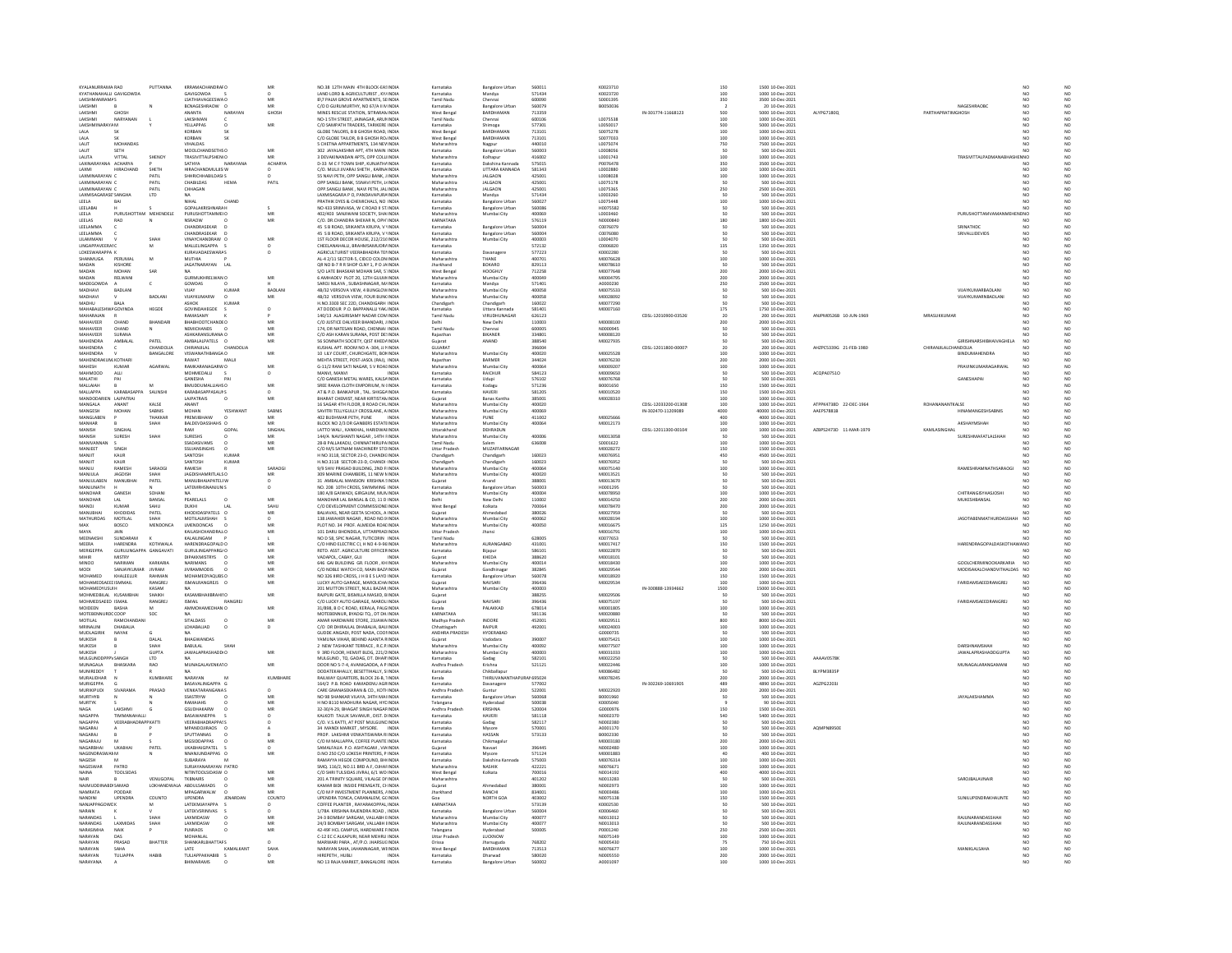|                                                       | PUTTANNA                           | KRRAMACHANDRAFO                                | MR            | NO 38 12TH MAIN 4TH RIOCK-FASINDIA                                               | Karnataka                          | <b>Bangalore Urban</b>                  | 560011           | K0023710              |                     | 150                                              | 1500 10-Dec-2021                     |                         |                      |                                                            |                                         |  |
|-------------------------------------------------------|------------------------------------|------------------------------------------------|---------------|----------------------------------------------------------------------------------|------------------------------------|-----------------------------------------|------------------|-----------------------|---------------------|--------------------------------------------------|--------------------------------------|-------------------------|----------------------|------------------------------------------------------------|-----------------------------------------|--|
| KYATHANAHALLI GAVIGOWD                                |                                    | GAVIGOWDA                                      |               | LAND LORD & AGRICULTURIST, KY/INDIA                                              | Karnataka                          | Mandya                                  | 571434           | K0023720              |                     | 100                                              | 1000 10-Dec-2021                     |                         |                      |                                                            | $N0$<br>$N0$                            |  |
| LAKSHMANRAMAS<br><b>LAKSHMI</b>                       |                                    | <b>LSATHIAVAGEESWAC</b><br>BCNAGESHRAOW C      | MR            | B\7 PALM GROVE APARTMENTS, SEINDIA<br>C/O D GURUMURTHY, NO 67/A II N INDIA       | Tamil Nadu<br>Karnataka            | Chennai<br><b>Bangalore Urba</b>        | 600090<br>560079 | S0001395<br>B0050036  |                     | 350                                              | 3500 10-Dec-2021<br>20 10-Dec-2021   |                         |                      | NAGESHRADRO                                                | NO<br>NC<br>NO                          |  |
| LAKSHMI<br>GHOSH                                      |                                    | ANANTA<br>NARAYAN                              | GHOSH         | MINES RESCUE STATION, SITRARAN INDIA                                             | West Bengal                        | BARDHAMAN                               | 713359           |                       | IN-301774-11668123  | 500                                              | 5000 10-Dec-2021                     | ALYPG7180Q              | PARTHAPRATIMGHOSH    |                                                            | NO<br>NO                                |  |
| <b>LAKSHMI</b><br>NARYANAN                            |                                    | <b>LAKSHMAN</b>                                |               | NO-1 STH STREET JAINAGAR ARUNINDIA                                               | .<br>Tamil Nadi                    | Chennai                                 | 500106           | 10075538              |                     | 100<br>500                                       | 1000 10-Dec-2021                     |                         |                      |                                                            | $\overline{M}$<br>NO                    |  |
| LAKSHMINARAYA M<br>LALA                               |                                    | YELLAPPAS<br>KORBAN                            | MR            | C/O SAMPATH TRADERS, TARIKERE INDIA<br>GLOBE TAILORS, B B GHOSH ROAD, INDIA      | Karnataka<br>West Bengal           | Shimoga<br><b>BARDHAMAN</b>             | 577301<br>713101 | L0050017<br>S0075278  |                     |                                                  | 5000 10-Dec-2021<br>1000 10-Dec-2021 |                         |                      |                                                            | NO<br>NO <sub>1</sub><br>NO <sub></sub> |  |
|                                                       |                                    | KORBAN                                         |               | C/O GLOBE TAILOR, B B GHOSH ROJINDIA                                             | West Bengal                        | <b>BARDHAMA</b>                         | 713101           | \$0077033             |                     | $\begin{array}{c} 100 \\ 100 \end{array}$        | 1000 10-Dec-2021                     |                         |                      |                                                            |                                         |  |
| LALIT<br><b>MOHANDAS</b>                              |                                    | VIHALDAS                                       |               | 5 CHETNA APPARTMENTS, 134 NEVINDIA                                               | Maharashtra                        | Nagpur                                  | 440010           | L0075074              |                     | 750<br>50                                        | 7500 10-Dec-2021                     |                         |                      |                                                            | NO<br>NO<br>NO                          |  |
| LALIT<br>SFTH                                         |                                    | MOOLCHANDSFTHSO                                | MR            | 102 IAVAI AKSHMI APT ATH MAIN INDIA                                              | Karnataka                          | Bangalore Urbar                         | 560003           | LODOROSE<br>L0001743  |                     | 100                                              | 500 10-Dec-2021<br>1000 10-Dec-2021  |                         |                      | TRASIVITTALPADMANABHASHEMNO                                |                                         |  |
| LALITA<br>VITTAL<br>LAXINARAYANA ACHARYA              | SHENOY                             | TRASIVITTALPSHENIO<br>SATHYA<br>NARAYANA       | ACHARYA       | 3 DEVAKINANDAN APTS, OPP COLLINDIA<br>D-33 M C F TOWN SHIP, KUNJATHAINDIA        | Maharashtra<br>Karnataka           | Kolhapur<br>Dakshina Kannada            | 416002<br>575015 | P0076478              |                     | 350                                              | 3500 10-Dec-2021                     |                         |                      |                                                            | NO <sub></sub><br>NO                    |  |
| LAXMI<br>HIRACHAND                                    | <b>SHETH</b>                       | HIRACHANDMULJIS W                              |               | C/O. MULJI JIVARAJ SHETH , KARNA INDIA                                           | Karnataka                          | UTTARA KANNADA                          | 581343           | L0002880              |                     | 100                                              | 1000 10-Dec-2021                     |                         |                      |                                                            |                                         |  |
| LAXMINARAYAN C                                        | PATIL                              | SHHRICHHABILDASI S                             |               | 55 NAVI PETH, OPP SANGLI BANK, JINDIA                                            | Maharashtra                        | <b>JALGAON</b>                          | 425001           | L0008028              |                     | 100                                              | 1000 10-Dec-2021                     |                         |                      |                                                            | NO <sub>1</sub><br>NO <sub></sub>       |  |
| LAXMINARAYAN                                          | PATI                               | CHABILDAS                                      | PATIL         | OPP SANGLI BANK, SSNAVI PETH, JJINDIA                                            | Maharashtra                        | <b>JALGAON</b>                          | 425001           | 10075178              |                     |                                                  | 500 10-Dec-202                       |                         |                      |                                                            |                                         |  |
| LAXMINARAYAN (<br>LAXMISAGARASE SANGHA                | PATIL<br>$\ensuremath{\text{LTD}}$ | CHHAGAN                                        |               | OPP SANGLI BANK . NAVI PETH. JAL INDIA                                           | Maharashtra                        | <b>JALGAON</b>                          | 425001<br>571434 | L0075365<br>0003260   |                     | 250                                              | 2500 10-Dec-2021                     |                         |                      |                                                            | NO<br>NO                                |  |
| LEELA                                                 |                                    | CHAND                                          |               | .<br>LAXMISAGARA P O, PANDAVAPURA INDIA<br>PRATHIK DYES & CHEMICHALS, NO : INDIA | Carnataka<br>Karnataka             | Mandya<br><b>Bangalore Urban</b>        | 560027           | 10075448              |                     | $\begin{array}{c} 50 \\ 100 \end{array}$         | 500 10-Dec-2021<br>1000 10-Dec-2021  |                         |                      |                                                            | NC<br>NC                                |  |
| LEELABAI                                              |                                    | GOPALAKRISHNARA H                              |               | NO 433 SRINIVASA, W C ROAD II ST INDIA                                           | Karnataka                          | Bangalore Urban<br>Mumbai City          | 560086           | H0075582              |                     | 50                                               | 500 10-Dec-2021                      |                         |                      |                                                            | NO<br>NO <sub></sub>                    |  |
| LEELA<br><b>URUSHOTTAM</b>                            | MEHENDELE                          | <b>PURUSHOTTAMMEIO</b>                         |               | 402/403 SANJIWANI SOCIETY, SHA INDIA                                             | Maharashti                         |                                         | 100065           | 1000346               |                     |                                                  | 500 10-Dec-2021                      |                         |                      | PURUSHOTTAMVAMA<br><b>VENO</b>                             |                                         |  |
| LEELAS<br>RAO<br>LEELAMMA                             | N                                  | <b>NSRAOW</b><br>CHANDRASEVAR                  | MR            | C/O. DR.CHANDRA SHEKAR N. OPH' INDIA<br>45 S B ROAD, SRIKANTA KRUPA, V 'INDIA    | KARNATAKA<br>Karnataka             | <b>Bangalore Urba</b>                   | 576119<br>560004 | N0000840<br>C0076079  |                     | 180                                              | 1800 10-Dec-2021<br>500 10-Dec-2021  |                         |                      | CRIMATURE                                                  | NO<br>NO <sub>1</sub><br>NO<br>NC       |  |
| LEELAMMA                                              |                                    | CHANDRASEKAR                                   |               | 45 S B ROAD, SRIKANTA KRUPA, V 'INDIA                                            | Karnataka                          | <b>Bangalore Urban</b>                  | 560004           | C0076080              |                     | 50                                               | 500 10-Dec-2021                      |                         |                      | SRIVALLIDEVIDS                                             | NO<br>NC                                |  |
| <b>IT AMMANI</b>                                      | SHAP                               | VINAYCHANDRAW (                                | MR            | 1ST FLOOR DECOR HOUSE, 212/216 INDIA                                             | Maharashtra                        | Mumbai City                             | annona           | 10004070              |                     |                                                  | 500 10-Dec-2021                      |                         |                      |                                                            | NO<br>NO                                |  |
| LINGAPPAVEERAI C                                      | M                                  | MALLELINGAPPA S                                |               | CHEELANAHALLI, BRAHMSAMUDRAINDIA                                                 | Karnataka                          |                                         | 572132           | C0006820              |                     | 135                                              | 1350 10-Dec-2021                     |                         |                      |                                                            | NO <sub>1</sub>                         |  |
| <b>I OKESWARAPPA K</b><br>ANMUGA<br>PERUMA            | M                                  | <b>KURAVADAESWARAS</b><br><b>MUTHIA</b>        | $\Omega$      | AGRICULTURIST VEFRARHADRA TELINDIA<br>L-4 2/11 SECTOR-5, CIDCO COLON INDU        | Karnataka                          | Davanager<br><b>NAME</b>                | 577223           | K0002280<br>VI0076628 |                     | 100                                              | 500.10-Dec-2021<br>1000 10-Dec-2021  |                         |                      |                                                            | NO<br>NC<br>NC                          |  |
| MADAN<br>KISHORE                                      |                                    | JAGATNARAYAN LAL                               |               | QR NO B-7 R R SHOP CLNY 1, P O JAINDIA                                           | Iharkhand                          | BOKARO                                  | 829113           | M0078610              |                     | 50                                               | 500 10-Dec-2021                      |                         |                      |                                                            | NO                                      |  |
| MADAN<br>MOHAN                                        | SAR                                |                                                |               | S/O LATE RHASKAR MOHAN SAR S'INDIA                                               | <br>West Bengal                    | HOOGHIN                                 | 712258           | M0077648              |                     | 200                                              | 2000 10-Dec-2021                     |                         |                      |                                                            | N <sub>0</sub><br>$\overline{M}$        |  |
| MADAN<br>RELWAN<br>MADEGOWDA                          |                                    | <b>GURMUKHRELWAN O</b>                         |               | 6 AMHADEV PLOT 20, 12TH GULM INDIA<br>SAROLNILAYA SURASHNAGAR MUNDIA             | Maharashtra<br>Karnataka           | Mumbai City                             | 400049<br>571401 | M0004795<br>40000230  |                     | 200                                              | 2000 10-Dec-2021<br>2500.10-0ec-2021 |                         |                      |                                                            | N <sub>0</sub>                          |  |
| BADLAN<br>MADHAVI                                     |                                    | GOWDAS<br>VIJAY<br>KUMA                        | <b>BADLAN</b> | 4B/32 VERSOVA VIEW, 4 BUNGLOWINDIA                                               | Maharashtra                        | Mandya<br>Mumbai City                   | 400058           | M0075533              |                     | 250                                              | 500 10-Dec-2021                      |                         |                      | VIJAYKUMARBADLAN                                           | NO<br>NO                                |  |
| MADHAVI                                               | BADLANI                            | VIJAYKUMARW                                    | MR            | 4B/32 VERSOVA VIEW, FOUR BUN(INDIA                                               | Maharashtra                        | Mumbai City                             | 400058           | M0028092              |                     | 50                                               | 500 10-Dec-2021                      |                         |                      | VIJAYKUMARNBADLAN                                          | NO <sub>1</sub><br>NO <sub></sub>       |  |
| <b>BALA</b>                                           |                                    | SHOK                                           |               | H.NO.3303 SEC 22D, CHANDIGARH INDIA<br>AT DODDUR P.O. BAPPANALLI YAK INDIA       | Chandigarh                         | Chandigarh                              | 160022           | M007729               |                     | $\frac{50}{175}$                                 | 500 10-Dec-2021<br>1750 10-Dec-2021  |                         |                      |                                                            |                                         |  |
| <b>MAHABALESH</b><br>WA GOVINDA<br>MAHARAIAN          | HEGDE                              | <b>GOVINDAHEGDE</b><br>RAMASAMY                |               | 140/13 ALAGIRISAMY NADAR COMINDIA                                                | Karnataka<br><b>Tamil Nadu</b>     | Uttara Kannada<br><b>VIRLIDHLINAGAR</b> | 581401<br>626123 | M0007160              | CDSL-12010900-03526 |                                                  | 200.10-Dec-2021                      | ANIPMOS26R 10-ILIN-1969 | <b>MRASHKKHMAR</b>   |                                                            | $\overline{M}$<br>NC                    |  |
| MAHAVEER<br>CHAND                                     | BHANDAR                            | BHABHOOTCHANDEO                                |               | C/O JUSTICE DALVEER BHANDARI, J INDIA                                            |                                    | New Delhi                               | 110003           | M0008100              |                     | 20<br>200                                        | 2000 10-Dec-2021                     |                         |                      |                                                            |                                         |  |
| MAHAVEER<br>CHAND                                     |                                    | <b>NEMICHANDS</b>                              | MR            | 174. DR NATESAN ROAD, CHENNAI INDIA                                              | Tamil Nadu                         | Chennai                                 | 600005           | N0000945              |                     |                                                  | 500 10-Dec-2021                      |                         |                      |                                                            | NO                                      |  |
| MAHAVEER<br><b>SURANA</b>                             |                                    | ASHKARANSI                                     |               | C/O ASH KARAN SURANA, POST DE! INDIA                                             | Rajasthan                          | <b>BIKANER</b>                          | 334801           | M0008120              |                     |                                                  | 500 10-Dec-202                       |                         |                      |                                                            |                                         |  |
| MAHENDRA<br>AMBALAI                                   | PATEL                              | AMBALALPATELS O                                | MR            | 56 SOMNATH SOCIETY, QIST KHEDAINDIA                                              | Guiarat<br>SUIARAT                 | ANAND                                   | 388540           | M0027935              |                     | 50                                               | 500 10-Dec-2021                      |                         |                      | GIRISHNARSHIBHAIVAGHELA                                    | NO <sub>1</sub><br>NO <sub></sub>       |  |
| <b>MAHENDRA</b><br><b>MAHENDRA</b>                    | CHANDOLLA<br>BANGALORE             | CHIRANJILAL<br>CHANDOLIA<br>VISWANATHBANGA O   | MR            | KUSHAL APT. ROOM NO A -304, JJ N INDIA<br>10 LILY COURT, CHURCHGATE, BOMINDIA    | Maharashtra                        | Mumbai City                             | 396004<br>400020 | M0025528              | CDSL-12011800-00007 | 100                                              | 200 10-Dec-2021<br>1000 10-Dec-2021  | AHZPC5339G 21-FEB-1980  | CHIRANJILALCHANDOLIA | BINDUMAHENDRA                                              |                                         |  |
| MAHENDRAKUM KOTHARI                                   |                                    | RAWAT<br>MALI                                  |               | MEHTA STREET, POST-JASOL (RAJ), INDIA                                            | Rajasthan                          | <b>BARMER</b>                           | 344024           | M0076230              |                     | 200                                              | 2000 10-Dec-2021                     |                         |                      |                                                            | NO                                      |  |
| MAHESH<br>KUMAF                                       | AGARWAI                            | RAMKARANAGARW O                                |               | G-11/2 RANI SATI NAGAR, S V ROALINDIA                                            | .<br>Maharashtr                    | Mumbai City                             | 40006            | M000920               |                     | 100                                              | 1000 10-Dec-2021                     |                         |                      | PRAVINKUMARAGARWAL                                         | NO                                      |  |
| <b>MAHMOOD</b><br>ALLI                                |                                    | MOHMEDALLI                                     | $\circ$       | MANVI, MANVI<br><b>INDIA</b>                                                     | Karnataka                          | RAICHUR                                 | 584123           | M0009650              |                     | 50                                               | 500 10-Dec-2021                      | ACQPA0751O              |                      |                                                            | NO <sub></sub>                          |  |
| MALATHI                                               |                                    | GANESHA                                        |               | C/O GANESH METAL WARES, KALSA INDIA                                              | Karnataka                          | Udupi                                   | 576102           | M0076768              |                     |                                                  | 500 10-Dec-2021                      |                         |                      | GANESHAPA                                                  |                                         |  |
| MALLAIAH<br>MALLAPPA<br>KARARASAPPA                   | SAUNSH                             | BMUDDUMALLIAHSO<br><b>KARABASAPPASAUNS</b>     | MR            | SREE RAMA CLOTH EMPORIUM, N (INDIA<br>AT & P.O. BANKAPUR . TAL. SHIGGAINDIA      | Karnataka<br>Karnataka             | Kodagu<br>HAVERI                        | 571236<br>581205 | B0001650<br>M0010520  |                     | 150                                              | 1500 10-Dec-2021<br>1500 10-Dec-2021 |                         |                      |                                                            | NO<br>NO                                |  |
| MANDODARIEN LAJPATRAI                                 |                                    | LAJPATRAIS                                     | MR            | BHARAT CHEMIST, NEAR KIRTISTAN INDIA                                             | Gujarat                            | <b>Banas Kantha</b>                     | 385001           | M0028310              |                     | 150<br>100                                       | 1000 10-Dec-2021                     |                         |                      |                                                            |                                         |  |
| MANGALA<br>ANANT                                      | KALSE                              | <b>ANANT</b>                                   |               | 16 SAGAR 4TH FLOOR B ROAD CHL INDIA                                              | Maharashtra                        | Mumbai City                             | 400020           |                       | CDSI-12033200-01308 | 100                                              | 1000 10-Dec-2021                     | ATPPK4738D 22-DEC-1964  | ROHANANANTKAI SE     |                                                            | NO <sub>1</sub><br>N <sub>0</sub>       |  |
| MANGESH<br>MOHAN                                      | SABNIS                             | MOHAN<br>YESHWAM                               | SABNIS        | SAVITRI TELLYGULLY CROSSLANE, A INDIA                                            | Maharashtra                        | Mumbai City                             | 400069           |                       | IN-302470-11209089  | 4000<br>400                                      | 40000 10-Dec-2021                    | AAEPS7881B              |                      | <b>HINAMANGESHSABNIS</b>                                   |                                         |  |
| MANGLABEN<br>MANHAR                                   | THAKKAR<br>SHAH                    | PREMJIBHAIW<br>BALDEVDASSHAHS O                | MR<br>MR      | 402 BUDHWAR PETH, PUNE<br>INDIA<br>BLOCK NO 2/3 DR GANBERS ESTATEINDIA           | Maharashtra<br>Maharashtra         | PUNE<br>Mumbai City                     | 411002<br>400064 | M0025666<br>M0012173  |                     |                                                  | 4000 10-Dec-2021<br>1000 10-Dec-2021 |                         |                      | дкандумандн                                                | NO                                      |  |
| MANISH<br>SINGHAI                                     |                                    | RAM<br>GOPAL                                   | SINGHAI       | LATTO WALI, KANKHAL, HARIDWAIINDIA                                               | Uttarakhand                        | DEHRADUN                                |                  |                       | CDSL-12011300-00104 | $\frac{100}{100}$                                | 1000 10-Dec-2021                     | AZBPS2473D 11-MAR-1979  | KAMLASINGHAL         |                                                            | NO                                      |  |
| <b>MANISH</b><br>SURESH                               | SHAF                               | <b>SHZPER</b>                                  | MR            | 144/A NAVSHANTI NAGAR 14TH FINDIA                                                | Maharashtra                        | Mumbai City                             | 400006           | M0013058              |                     | so                                               | 500.10-0ec-2021                      |                         |                      | SURESHMAFATI ALSHAH                                        | N <sub>0</sub><br>$\overline{M}$        |  |
| MANIVANNAN                                            |                                    | SSADASIVAMS                                    | MR            | 28-B PALLAKADU, CHINNATHIRUPA INDIA                                              | Tamil Nadu                         |                                         | 636008           | S0001622              |                     | 100                                              | 1000 10-Dec-2021                     |                         |                      |                                                            |                                         |  |
| MANJEET<br>SINGH<br>MANJIT<br>KAUR                    |                                    | <b>SSUJANSINGHS</b><br>SANTOSH<br>KUMAR        | MR            | C/O M/S SATNAM MACHINERY STO INDIA<br>H NO 3118, SECTOR 23-D, CHANDICINDIA       | Uttar Pradesh                      | MUZAFFARNAGAR                           | 160023           | M0028272<br>M0076951  |                     | 150<br>450                                       | 1500 10-Dec-2021<br>4500 10-Dec-2021 |                         |                      |                                                            | NO                                      |  |
| MANJIT<br>KAUR                                        |                                    | SANTOSH<br>KUMAR                               |               | H.NO.3118 SECTOR-23-D. CHANDI INDIA                                              | Chandigarh<br>Chandigarh           | Chandigart<br>Chandigart                | 160023           | M0076952              |                     | 50                                               | 500 10-Dec-2021                      |                         |                      |                                                            |                                         |  |
| MANILL<br>RAMESH                                      | SARAOG                             | RAMESH                                         | SARAOGI       | 9/9 SHIV PRASAD BUILDING 2ND FUNDIA                                              | Maharashtra                        | Mumhai City                             | annosa           | M0075140              |                     | 100                                              | 1000 10-Dec-2021                     |                         |                      | RAMESHRAMNATHSARAOGI                                       | NO<br>NO<br>NO<br>NO                    |  |
| MANJULA<br><b>JAGDISH</b>                             |                                    | JAGDISHAMRITLALS O                             |               | 309 MARINE CHAMBERS, 11 NEW MINDIA                                               | Maharashtra                        | Mumbai City                             | 400020           | M0013521              |                     |                                                  | 500 10-Dec-2021                      |                         |                      |                                                            |                                         |  |
| MANJULABEN<br>MANUBHA<br>MANJUNATH                    | PATEL                              | MANUBHAIAPATELF W<br>LATEMRHSNANJUN S          |               | 31 AMBALAL MANSION KRISHNA SINDIA<br>NO. 208 10TH CROSS, SWIMMING INDIA          | Guiarat                            | Anand                                   | 388001<br>560003 | M0013670              |                     | 50                                               | 500 10-Dec-2021                      |                         |                      |                                                            | NO<br>MO                                |  |
| MANOHAR<br>GANESH                                     | SOHANI                             | NA.                                            |               | 180 A/8 GAIWADI, GIRGAUM, MUNINDIA                                               | Karnataka<br>Maharashtra           | <b>Bangalore Urba</b><br>Mumbai City    | 400004           | H0001295<br>M0078950  |                     | 100                                              | 500 10-Dec-2021<br>1000 10-Dec-2021  |                         |                      | CHITRANGISYHASJOSHI                                        | NO <sub>1</sub><br>NO <sub></sub>       |  |
|                                                       | BANSAL                             | PEARELALS                                      | MR            | MOHAR LAL BANSAL & CO, 11 D INDIA                                                |                                    | <b>Vew Delhi</b>                        | 110002           | M0014250              |                     | 200                                              | 2000 10-Dec-2021                     |                         |                      |                                                            |                                         |  |
| MANOJ<br>KUMAR                                        | SAHU                               | DUKHI<br>$1 \Delta 1$                          | SAHU          | C/O DEVELOPMENT COMMISSIONE INDIA                                                | West Bengal                        | Kolkata                                 | 700064           | M0078470              |                     | 200                                              | 2000 10-Dec-2021                     |                         |                      |                                                            | NO<br>NO                                |  |
| MANURHA<br>CHODIDAS                                   | PATEL                              | KHODIDASPATELS O                               |               | BALIAVAS, NEAR GEETA SCHOOL, A INDIA<br>138 JAWAHER NAGAR , ROAD NO.9 INDIA      | .<br>Gujarat<br>Maharashtra        | Ahmedabad<br>Mumbai City                | 380026<br>400062 | MOO27955              |                     | $\frac{50}{100}$                                 | 500 10-Dec-2021<br>1000 10-Dec-2021  |                         |                      |                                                            | NO<br>NO                                |  |
| MOTILAL<br>MATHURDAS<br>MAX<br><b>BOSCO</b>           | <b>MENDONCA</b>                    | LMENDONCAS                                     | MR            | PLOT NO. 34 PROF. ALMEIDA ROALINDIA                                              | Maharashtra                        | Mumbai City                             | 400050           | M002819<br>M0016675   |                     | 125                                              | 1250 10-Dec-2021                     |                         |                      | <b>JASOTABENMATHURDASSHA</b>                               | NO<br>NO                                |  |
| MAYA                                                  |                                    | KAILASHCHANDRAJ/                               |               | 101 DARU BHONDELA, UTTARPRAD INDIA                                               |                                    |                                         |                  |                       |                     | 100                                              | 1000 10-Dec-2021                     |                         |                      |                                                            |                                         |  |
|                                                       |                                    |                                                |               |                                                                                  |                                    |                                         |                  |                       |                     |                                                  |                                      |                         |                      |                                                            |                                         |  |
| MEENAKSHI<br>SUNDARAM                                 |                                    | KALAILINGAM                                    |               | NO D 58, SPIC NAGAR, TUTICORIN INDIA                                             | <b>Jttar Pradesh</b><br>Tamil Nadu | Jhans                                   | 628005           | M001679<br>K0077653   |                     |                                                  | 500 10-Dec-2021                      |                         |                      |                                                            | NO<br>NO                                |  |
| MEERA<br>HARENDRA                                     | KOTHWALA                           | HARENDRAGOPALD C                               |               | C/O HIND ELECTRIC CI, H NO 4-9-96 INDIA                                          | Maharashtra                        | AURANGARAD                              | 431001           | M0017417              |                     | 150                                              | 1500 10-Dec-2021                     |                         |                      | HARENDRAGOPALDASKOTHAWANO                                  | NO                                      |  |
| MERIGEPPA                                             | GURULINGAPPA GANGAVATI             | GURULINGAPPARG/O                               | <b>MR</b>     | RETD. ASST. AGRICULTURE OFFICER INDIA                                            | Karnataka                          | Bijapur                                 | 586101           | M0022870              |                     | 50                                               | 500 10-Dec-2021                      |                         |                      |                                                            | NO                                      |  |
| MIHIR<br>MISTRY                                       |                                    | DIPAKKMISTRYS O                                | MR            | VADAPOL, CABAY, GUJ<br><b>INDIA</b>                                              | Gujarat                            | KHEDA                                   | 388620           | <b>M0018101</b>       |                     |                                                  | 500 10-Dec-2021                      |                         |                      |                                                            | NC                                      |  |
| NARIMAN<br><b>MINOO</b><br>MODI<br>SANJAYKUMAR JIVRAM | KARKARIA                           | <b>NARIMANS</b><br><b>JIVRAMMODIS</b>          | M<br>MR       | 646 GAI BUILDING GR. FLOOR, KHINDIA<br>C/O NOBLE WATCH CO. MAIN BAZAINDIA        | Maharashtra<br>Guiarat             | Mumbai City                             | 400014<br>382845 | M0018430<br>M0029544  |                     | 100                                              | 1000 10-Dec-2021<br>2000 10-Dec-2021 |                         |                      | <b>GOOLCHERMINOOKARKARIA</b><br>MODISAKALCHANDVITHALDAS NO | NO                                      |  |
| MONAMED<br>KHALEELUR                                  | RAHMAN                             | MONAMEDYAQUESC                                 |               | O 326 IIIRD CROSS, J H B E S LAYO INDIA                                          | Karnataka                          | Gandhinaga<br>langalori                 | 560078           | M0018920              |                     |                                                  | 1500 10-Dec-2021                     |                         |                      |                                                            | NC<br>NC                                |  |
| MOHAMEDSAEEI ISMMAIL                                  | RANGREI                            | ISMAILRANGREJS O                               | MR            | LUCKY AUTO GARAGE, MAROLICHA INDIA                                               | Gujarat                            | NAVSARI                                 | 396436           | M0029534              |                     | $\begin{array}{c} 200 \\ 150 \end{array}$<br>100 | 1000 10-Dec-2021                     |                         |                      | FARIDAMSAEEDRANGREJ                                        | NO <sub>1</sub>                         |  |
| MOHAMEDYLISLEH                                        | KASAM                              |                                                |               | 201 MUTTON STREET, NULL BAZAR INDIA                                              | Maharashtra                        | Mumbai City                             | snoona           |                       | IN-300888-13934662  | 1500                                             | 15000 10-Dec-2021                    |                         |                      |                                                            | $\overline{M}$                          |  |
| MOHMEDBILAL KUSAMBHAI<br>MOHMEDSAFED ISMAIL           | SHAIKH<br><b>RANGREI</b>           | KASAMBHAIIBRAHII O<br>RANGREI<br><b>ISMAIL</b> | MR            | RAJPURI GATE, BISMILLA MASJID, BINDIA<br>C/O LUCKY AUTO GARAGE, MARQUINDIA       | Guiarat<br>Guiarat                 | NAVSARI                                 | 388255<br>396436 | M0029506<br>M0075197  |                     | 50                                               | 500 10-Dec-2021<br>500.10-Dec-2021   |                         |                      | <b>FARIDAMSAFFDRANGREL</b>                                 | NO <sub>1</sub><br>NO                   |  |
| MOIDEEN<br><b>BASHA</b>                               |                                    |                                                |               | 31/898, B O C ROAD, KERALA, PALGINDIA                                            | Kerala                             | PALAKKAD                                | 678014           | M0001805              |                     | 100                                              | 1000 10-Dec-2021                     |                         |                      |                                                            |                                         |  |
| MOTEBENNURDCCOOP                                      | soc                                | NA.                                            |               | MOTEBENNUR, BYADGI TO., DT DH INDIA                                              | KARNATAKA                          |                                         | 581136           | M0020880              |                     | 50                                               | 500 10-Dec-2021                      |                         |                      |                                                            | NO <sub>1</sub><br>NO <sub></sub>       |  |
| <b>IOTILAL</b>                                        |                                    | <b>ITALDASS</b>                                |               | MAR HARDWARE STORE, 23JAWA INDIA                                                 | Madhya Pradesi                     | INDORE                                  | 45200            | VI0029511             |                     |                                                  | 8000 10-Dec-2021                     |                         |                      |                                                            |                                         |  |
| MRINALINI<br>DHABALIA<br>MUDLAGIRIK<br>NAYAK          | c.                                 | LDHABALIAD                                     |               | C/O DR DHIRAJLAL DHABALIA, BAIJ INDIA<br>GUDDE ANGADI, POST NADA, COOUNDIA       | Chhattisgarh<br>ANDHRA PRADESH     | RAIPUR<br>HYDERARAD                     | 492001           | M0024003<br>60000735  |                     | 800<br>100<br>so                                 | 1000 10-Dec-2021<br>500.10-Dec-2021  |                         |                      |                                                            | NO<br>NO                                |  |
| MUKESH                                                | DALAI                              | BHAGWANDAS                                     |               | YAMUNA VIHAR, BEHIND AJANTA RINDIA                                               | Gujarat                            | /adodara                                | 390007           | M0075421              |                     | 100                                              | 1000 10-Dec-2021                     |                         |                      |                                                            |                                         |  |
| MUKESH                                                | SHAH                               | BABULAL<br>SHAH                                |               | 2 NEW TASHKANT TERRACE . R.C.P. INDIA                                            | Maharashtra                        | Mumbai City                             | 400092           | M0077507              |                     | 100                                              | 1000 10-Dec-2021                     |                         |                      | DARSHNAMSHAH                                               | NO<br>NO                                |  |
| MUKESH                                                | GUPT/                              | JAWALAPRASHADDI O                              |               | 3RD FLOOR, HEMJIT BLDG, 221/2INDM                                                | <b>Maharashtra</b>                 | Mumbai City                             | 400003           | M0031033              |                     | 100                                              | 1000 10-Dec-2021                     |                         |                      | AWALAPRASHADDGUPT                                          |                                         |  |
| MULGUNDDPPPY SANGH<br>MUNAGALA<br><b>QUASKADA</b>     | <b>LTD</b><br>RAO                  | <b>NA</b><br>MUNAGALAVENKATO                   | MR            | MULGUND . TO, GADAG, DT, DHAR INDIA<br>DOOR NO 5-7-4, AVANIGADDA, A P INDIA      | Karnataka                          | Gadag<br>Krishna                        | 582101<br>521121 | M0022250<br>M0022446  |                     | 50                                               | 500 10-Dec-2021                      | AAAAV0578K              |                      | MUNAGALARANGAMAN                                           | NO                                      |  |
| MUNIREDDY                                             |                                    |                                                |               | DODATEKAHALLY, BESETTIHALLY, S INDIA                                             | Andhra Pradesh<br>Karnataka        | Chikballapu                             |                  | M0086482              |                     | 100<br>50                                        | 1000 10-Dec-2021<br>500 10-Dec-2021  | BLYPM3835F              |                      |                                                            | NO                                      |  |
| MURALIDHAF                                            | KUMBHARE                           | NARAYAN                                        | KUMBHARE      | RAILWAY QUARTERS, BLOCK 26-B, 1INDIA                                             | Kerala                             | THIRUVANANTHAPURAM695024                |                  | M0078245              |                     | 200                                              | 2000 10-Dec-2021                     |                         |                      |                                                            | NO <sub>1</sub><br>NO <sub></sub>       |  |
| <b>MURIGEPPA</b>                                      |                                    | <b>BASAVALINGAPPA</b>                          |               | 164/2 P.B. ROAD KAMADENU AGRINDIA                                                | Karnataka                          | Davanagere                              | 577002           |                       | IN-302269-10691905  | 489                                              | 4890 10-Dec-2021                     | AGZPG2203J              |                      |                                                            |                                         |  |
| <b>MURIKIPUDI</b><br>SIVARAMA<br><b>MURTHYE</b>       | PRASAD                             | <b>VENKATARANGANAS</b><br>SSASTRYW             |               | CARE GNANASEKARAN & CO., KOTHNDIA                                                | Andhra Pradesh                     | Guntur                                  | 522001           | M0022920              |                     | 200                                              | 2000 10-Dec-2021                     |                         |                      | <b>JAYALAKSHAMMA</b>                                       | NO <sub>1</sub><br>NO <sub></sub>       |  |
| <b>MURTYK</b>                                         |                                    | RAMAIAHS                                       | <b>MR</b>     | NO 98 SHANKAR VILAYA, 34TH MAI INDIA<br>H NO B110 MADHURA NAGAR, HYCINDIA        | Karnataka<br>Telangana             | Bangalore Urba<br>Hyderabad             | 560068<br>500038 | 80001960<br>K0005040  |                     |                                                  | 500 10-Dec-2021<br>90 10-Dec-2021    |                         |                      |                                                            | $_{NC}$<br>NO<br>NO                     |  |
| NAGA<br><b>AKSHMI</b>                                 | $\epsilon$                         | <b>GSLIDHAKARW</b>                             | MR            | 32-30/4-29, BHAGAT SINGH NAGAFINDIA                                              | <b>Andhra Pradesh</b>              | KRISHNA                                 | 520004           | GOODBRZE              |                     |                                                  | 1500 10-Dec-2021                     |                         |                      |                                                            | NO                                      |  |
| NAGAPPA<br>TIMMANAHALL                                |                                    | BASAWANEPPA                                    |               | KALKOTI TALUK SAVANUR, DIST. DINDIA                                              | Karnataka                          | HAVERI                                  | 581118           | N0002370              |                     | 150<br>540                                       | 5400 10-Dec-2021                     |                         |                      |                                                            | NO<br>NO                                |  |
| NAGAPPA<br>VEERARHADRAPPKATTI                         |                                    | VEERARHADRAPPASS                               |               | C/O V S KATTLAT POST MULGUNDINDIA                                                | Karnataka                          | Gadag                                   | 582117           | NOOD2380              |                     | so                                               | 500.10-Dec-2021                      |                         |                      |                                                            | N <sub>0</sub><br>NO <sub>1</sub>       |  |
| NAGARA<br>NAGARAJ                                     |                                    | MPANDOJIRAOS<br>SPUTTANNAS                     |               | 34 MANDI MARKET, MYSORE.<br>PROP. LAKSHMI VENKATISWARA R INDIA                   | Karnataka<br>Karnataka             | Mysore<br>HASSAN                        | 57000<br>573133  | A000117<br>B0002330   |                     | 50                                               | 500 10-Dec-2021<br>500 10-Dec-2021   | AQMPN89506              |                      |                                                            | NO<br>NO<br>NO                          |  |
| <b>NAGARAILI</b>                                      |                                    | MGSIDDAPPAS                                    | MS            | C/O M MALLAPPA, COFFEE PLANTE INDIA                                              | Karnataka                          | Chikmagal                               |                  | M0003180              |                     | 200                                              | 2000 10-Dec-2021                     |                         |                      |                                                            | NO<br>NO                                |  |
| NAGARBHAI<br>UKABHAI                                  | PATEL                              | <b>UKABHAIGPATEL</b>                           |               | SAMALFALIA P.O. ASHTAGAM, VIAINDIA                                               | Gujarat                            | Navsar                                  | 396445           | N0002480              |                     | 100                                              | 1000 10-Dec-2021                     |                         |                      |                                                            | NQ<br>NO                                |  |
| NAGENDRASWAN M                                        |                                    | NNANILINDAPPAS O                               | MR            | D NO 250 C/O LOKESH PRINTERS P INDIA                                             | .<br>Karnataka                     | Mysore                                  | 571124           | M0001883              |                     |                                                  | 400.10-Dec-2021                      |                         |                      |                                                            | N <sub>0</sub><br>$\overline{M}$        |  |
| NAGESH<br>NAGESWAR<br>PATRO                           |                                    | SUBARAYA<br>SURJAYANARAYAN PATRO               |               | RAMAYYA HEGDE COMPOUND, BHI INDIA<br>SMO. 116/2, NO.11 BRD A.F. OJHAFINDIA       | Karnataka<br>Maharashtra           | Dakshina Kannad<br>NASHIP               | 575003<br>422221 | M0076314<br>N0076671  |                     | 100<br>100                                       | 1000 10-Dec-2021<br>1000 10-Dec-2021 |                         |                      |                                                            | NO <sub></sub><br>NO                    |  |
| TOOLSIDA                                              |                                    | ITINTOOLSIDASW C                               |               | C/O SHRI TULSIDAS JIVRAJ, 6/1 WO INDIA                                           | West Benga                         | Kolkatz                                 | 700016           | N0014192              |                     | 400                                              | 4000 10-Dec-2021                     |                         |                      |                                                            |                                         |  |
| <b>NAIR</b>                                           | VENUGOPAL                          | <b>TKBNAIRS</b>                                | MR            | 201 A TRINITY SQUARE, VILALGE DI INDIA                                           | Maharashtra                        |                                         | 401202           | N0013283              |                     |                                                  | 500 10-Dec-2021                      |                         |                      | SARQJBALAVNAJR                                             | NO <sub>1</sub>                         |  |
| NAIMUDDINARD SAMAD                                    | LOKHANDWALD                        | ARDUI SAMADS                                   | <b>MD</b>     | KAMAR RIDI INSIDE PREMGATE CHINDIA                                               | Guiarat                            | Ahmedahad                               | 380001           | 10002973              |                     | 100                                              | 1000 10-Dec-2021                     |                         |                      |                                                            | NO<br>NO<br>$\overline{M}$              |  |
| NAMRATA<br>PODDAR<br>NANDINI<br>UPENDRA               | COUNTO                             | MPAGARWALW<br><b>UPENDRA</b><br>JENARDAN       | COUNTO        | C/O M P INVESTMENT PLANNERS, J INDIA<br>UPENDRA TONCA, CARANALEM, GCINDIA        | Jharkhand<br>Goa                   | RANCHI<br>NORTH GOA                     | 834001<br>403002 | N000348<br>N0075138   |                     | 100<br>150                                       | 1000 10-Dec-2021<br>1500 10-Dec-2021 |                         |                      | SUNILUPENDRAKHAUNTE                                        | NO <sub>1</sub><br>NO <sub></sub>       |  |
|                                                       |                                    | ATEKMJAYAPPA                                   |               | COFFEE PLANTER, RAYARAKOPPAL, INDIA                                              | KARNATAKA                          |                                         | 573139           | K0002530              |                     |                                                  | 500 10-Dec-2021                      |                         |                      |                                                            |                                         |  |
| NARAIN                                                |                                    | LATEKVSRINIVAS                                 |               | 1/78A KRISHNA RAJENDRA ROAD . INDIA                                              | Karnataka                          | <b>Bangalore Urbar</b>                  | 560004           | K0006460              |                     |                                                  | 500 10-Dec-2021                      |                         |                      |                                                            | NO <sub></sub>                          |  |
| <b>NAPANDA</b>                                        |                                    | <b>AXMIDASV</b>                                |               | 24-3 BOMBAY SARGAM, VALLABH EINDIA                                               | Maharashtr                         | Mumbai City                             | 400077           | N0013012              |                     |                                                  | 500 10-Dec-2021                      |                         |                      | <b>PAILINAPANDACCUAU</b>                                   |                                         |  |
| NARANDAS<br>LAXMIDAS<br>NARASIMHA                     | SHAH                               | LAXMIDASW<br>PINRAOS                           | MR<br>Mf      | 24/3 BOMBAY SARGAM, VALLABH IINDIA<br>2-49F HCL CAMPUS, HARDWARE FINDIA          | Maharashtra                        | Mumbai City                             | 400077<br>500005 | N0013013<br>20001240  |                     |                                                  | 500 10-Dec-2021                      |                         |                      | RAJUNARANDASSHAH                                           | NO                                      |  |
| DAS                                                   |                                    | <b>AOHANLAL</b>                                |               | C-12 EC C ALKAPURI, NEAR MEHRU INDIA                                             | Telangana<br>Uttar Pradesh         | Hyderabac<br>LUCKNOW                    |                  | N0075149              |                     | 250<br>100                                       | 2500 10-Dec-2021<br>1000 10-Dec-2021 |                         |                      |                                                            |                                         |  |
| NARAYAN<br>PRASAD                                     | BHATTER                            | <b>SHANKARLBHATTARS</b>                        |               | MARWARI PARA . AT/P.O. JHARSUCINDIA                                              | Orissa                             | Jharsuzuda                              | 768202           | N0005430              |                     |                                                  | 750 10-Dec-2021                      |                         |                      |                                                            | NO <sub>1</sub><br>NO <sub></sub>       |  |
| NARAYAN<br>SAHA                                       |                                    | KAMALKANT                                      |               | NARAYAN SAHA, JAHANNAGAR, WIINDIA                                                | West Bengal                        | <b>ARDHAMAI</b>                         | 713513           | V0076677              |                     | 100                                              | 1000 10-Dec-2021                     |                         |                      | MANIKLALSAHA                                               |                                         |  |
| NARAYAN<br>TULJAPPA<br>NARAYANA                       | HABIB                              | TULJAPPAKHABIB S<br><b>2MARAMIHR</b>           | MO            | HIREPETH, HUBLI<br><b>INDIA</b><br>NO 13 RAJA MARKET, BANGALORE INDIA            | Karnataka<br>Karnataka             | Dharwad<br><b>Bangalore Urba</b>        | 580020<br>560002 | N0005550<br>10001097  |                     | 200<br>$100 -$                                   | 2000 10-Dec-2021<br>1000 10-Dec-2021 |                         |                      |                                                            | NO<br>NO<br>$\overline{\mathbf{M}}$     |  |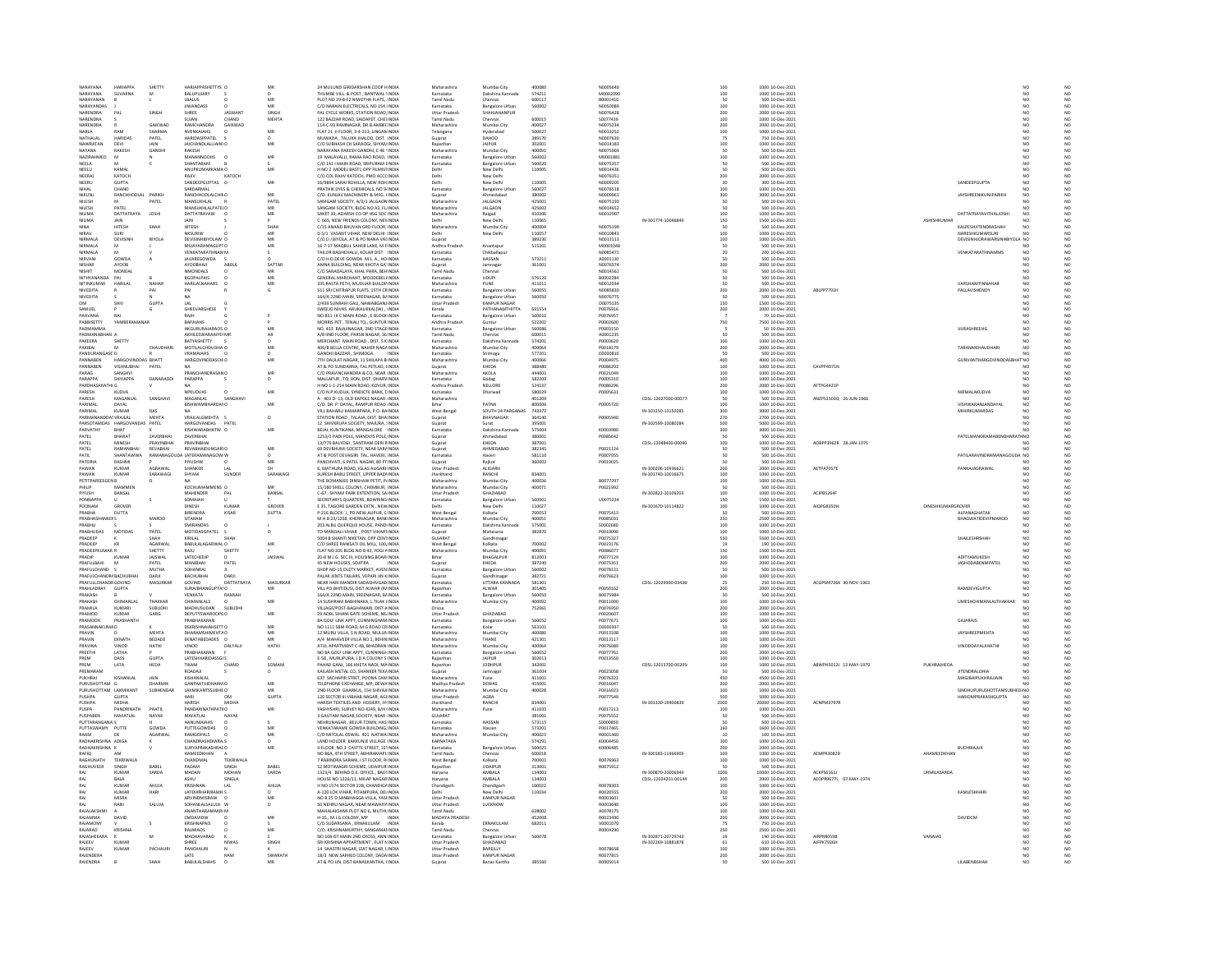|                                                           | SHETT                | HARIAPPASHETTYS O                             |                | 24 MULUND GIRIDARSHAN COOP HINDI                                                 | Maharashtra                        | Mumbai City                                    | 400080           |                             |                     |                                          | 1000 10-Dec-202                      |                        |                    |                                                 |                                       |    |
|-----------------------------------------------------------|----------------------|-----------------------------------------------|----------------|----------------------------------------------------------------------------------|------------------------------------|------------------------------------------------|------------------|-----------------------------|---------------------|------------------------------------------|--------------------------------------|------------------------|--------------------|-------------------------------------------------|---------------------------------------|----|
| <b>VARAYANA</b><br><b>HARIAPPA</b><br>NARAYANA<br>SUVARNA | M                    | BALUPUJARY                                    |                | THUMBE VILL, & POST, BANTWAL TINDIA                                              | Karnataka                          | Dakshina Kannada                               | 574211           | M0002090                    |                     | 100<br>50                                | 1000 10-Dec-2021                     |                        |                    |                                                 |                                       |    |
| NARAYANA                                                  |                      | LBALUS                                        | .<br>MF<br>MR  | <b>PLOT NO 29-B-F2 NIWETHA FLATS, INDIA</b>                                      | Tamil Nadu                         | Chenna                                         | 600117           | B0001410                    |                     | 100                                      | 500 10-Dec-202                       |                        |                    |                                                 | NO<br>NO<br>NO<br>NC<br>NC<br>NC      |    |
| NARAYANDAS<br>NARENDRA<br>DAI                             | SINGH                | <b>JIWANDASS</b><br>SHREE<br><b>IASWANT</b>   | SINGH          | C/O NARAIN ELECTRICALS, NO 154 INDIA<br>PALCYCLE WORKS, STATION ROAD INDIA       | Karnataka<br><b>Littar Pradesh</b> | <b>Bangalore Urban</b><br><b>SHAHIAHANPLIR</b> | 560002           | N0050089<br>N0076428        |                     | 200                                      | 1000 10-Dec-202<br>2000 10-Dec-2021  |                        |                    |                                                 | NO <sub>1</sub><br>NO                 |    |
| NARENDRA                                                  |                      | CHAND<br>SUJAN                                | <b>MEHT</b>    | 122 BAZZAR ROAD, SAIDAPET, CHEIINDIA                                             | Tamil Nadu                         | Chennai                                        | 600015           | S0077439                    |                     | 100                                      | 1000 10-Dec-202                      |                        |                    |                                                 |                                       | NO |
| NARENDRA                                                  | GAIKWAD              | RAMCHANDRA<br>GAIKWAD                         |                | 114-C-93 RAMNAGAR, DR.B.AMBELINDIA                                               | Maharashtra                        | Mumbai City                                    | 400027           | N0075234                    |                     | 200                                      | 2000 10-Dec-2021                     |                        |                    |                                                 | NO<br>NO.                             |    |
|                                                           | <b>SHARMA</b>        | NVENKAIAHS                                    | MR             | FLAT 21 II FLOOR, 3-4-313, LINGAN INDI                                           | felangana                          |                                                | 500027           | N0013252                    |                     | 100                                      | 1000 10-Dec-202                      |                        |                    |                                                 | NO                                    |    |
| NATHALAL<br>HARIDAS<br>NAWRATAN<br>DEVI                   | PATEL<br><b>IAIN</b> | HARIDASPPATEL<br>IAICHANDLAILIAIN\O           | MR             | MUWADA, TALUKA JHALOD, DIST. INDIA<br>C/O SUBHASH CH SARAOGI, SHYAN INDIA        | Gujarat<br>Raiasthan               | DAHOD<br><b>IAIPUR</b>                         | 389170<br>302001 | N0007630<br>N0014183        |                     | 75                                       | 750 10-Dec-2021<br>1000 10-Dec-202   |                        |                    |                                                 | NO                                    |    |
| -----<br>RAKESH<br>NAYANA                                 | GANDH                | RAKESH                                        |                | <b>ARAYANA RAKESH GANDHI, C 46 'INDI</b>                                         | Maharashtra                        | <br>Mumbai City                                | 400091           | 10075903                    |                     | 100<br>50                                | 500 10-Dec-202                       |                        |                    |                                                 | NO<br>NO                              |    |
| <b>NAZIRAHMED</b>                                         |                      | MANANNOOHS<br>$\Omega$                        | MR             | 19 MALAVALLI, RAMA RAO ROAD, INDIA                                               | Karnataka                          | <b>Bangalore Urban</b>                         | 560002           | M0001881                    |                     | 100                                      | 1000 10-Dec-2021                     |                        |                    |                                                 | NO.<br>NO                             |    |
| NEELA                                                     |                      | <b>SHANTARAM</b>                              |                | C/O 141   MAIN ROAD, SRIPURAM EINDIA                                             | Karnataka                          | <b>Iangalore Urba</b>                          | 560020           | N0075357                    |                     | 50                                       | 500 10-Dec-202                       |                        |                    |                                                 |                                       |    |
| NEELU<br>KAMAL                                            |                      | ANUPKUMARKAMA O                               | MR             | H NO 2 MODEL BASTI, OPP FILMISTINDIA                                             | Delhi                              | New Delh                                       | 110005           | N0014436                    |                     | 50                                       | 500 10-Dec-2021                      |                        |                    |                                                 | NO                                    |    |
| NEERAL<br>KATOCH                                          |                      | RAIN<br>KATOCH<br>SANDEEPGUPTAS O             | MF             | C/O COL RAJIV KATOCH, PMO ACCC INDIA                                             | Delhi                              | New Delhi                                      |                  | N0076351                    |                     | 200                                      | 2000 10-Dec-2021                     |                        |                    | SANDEEPGUPTA                                    | NO.                                   |    |
| GUPTA<br>NEERU<br>NIHAL<br>CHAND                          |                      | SARDARMAL                                     |                | 16/9894 SARAI ROHILLA, NEW ROH INDIA<br>PRATHIK DYES & CHEMICALS, NO 9-INDIA     | Delhi<br>Karnataka                 | New Delhi<br><b>Bangalore Urban</b>            | 110005<br>560027 | N0009205<br>N0076518        |                     | 30<br>100                                | 300 10-Dec-202<br>1000 10-Dec-2021   |                        |                    |                                                 | NO                                    |    |
| NIKUN.                                                    | RANCHHODLAL PARIKH   | RANCHHODLALCHING                              |                | C/O. KUNJAV MACHINERY & MFG. (INDI                                               | Gujarat                            |                                                | 380002           |                             |                     | 300                                      | 3000 10-Dec-202                      |                        |                    | JAYSHREENIKUNJPARIKH                            |                                       |    |
| NILESH                                                    | PATEL                | MANSUKHLAL                                    | MR<br>PATEL    | SAMGAM SOCIETY, A/3/1 JALGAON INDIA                                              | Maharashtra                        | <b>JALGAON</b>                                 | 425001           | N0075193                    |                     | 50                                       | 500 10-Dec-2021                      |                        |                    |                                                 |                                       |    |
| <b>NILESH</b><br>PATEL                                    |                      | ΜΔΝΝΙΚΗΙ ΔΙΡΔΤΕΙΩ                             | MR             | SANGAM SOCIETY BLDG NO A3 FL INDIA                                               | Maharashtra                        | <b>IALGAON</b>                                 | 425002           | N0014652                    |                     | so                                       | 500.10-Dec-2021                      |                        |                    |                                                 | NO                                    |    |
| NILIMA<br>DATTATRAYA                                      | <b>JOSHI</b>         | DATTATRAYAW                                   | MR             | SAKET 33, ADARSH CO OP HSG SOC INDIA                                             | Maharashtra                        | Raigad                                         | 410206           | N0012907                    |                     | 100                                      | 1000 10-Dec-202                      |                        |                    | DATTATRAYAVITHALJOSH                            |                                       |    |
| NILIMA<br>JAIN<br><b>IITESH</b>                           | SHA                  | <b>JAIN</b><br><b>HITESH</b>                  | SHAF           | C 665, NEW FRIENDS COLONY, NEVINDIA<br>C/15 ANAND BHUVAN GRD FLOOR, INDI         | Delhi<br>Maharashtra               | New Delh                                       | 110065<br>400004 | N0075199                    | IN-301774-10046849  | 150                                      | 1500 10-Dec-2021<br>500 10-Dec-202   |                        | ASHISHKUMAR        | KALPESHJITENDRASHAI                             | NO.<br>NO<br>$\overline{\mathsf{NC}}$ |    |
| NIRAV<br>SURI                                             |                      | NKSURIW                                       | MR             | D 5/1 VASANT VIHAR, NEW DELHI INDIA                                              | Delhi                              | New Delh                                       | 110057           | N0010843                    |                     | 100                                      | 1000 10-Dec-2021                     |                        |                    | NARESHKUMARSURI                                 | NO<br>NO                              |    |
| NIRMALA<br>DEVISIN                                        | <b>BIYOLA</b>        | DEVISINHBIYOLAW O                             | MR             | C/O D J BIYOLA, AT & PO NANA VALINDIA                                            | Gujarat                            |                                                | 389230           | N0013113                    |                     | 100                                      | 1000 10-Dec-202                      |                        |                    | DEVISINHJORAWARSINHBIY                          | NO<br>NO                              |    |
| NIRMALA                                                   |                      | MSJAYARAMAGUPT O                              | MR             | 16-7-17 MAQBUL SAHEB LANE, M FINDIA                                              | Andhra Prades!                     | Anantapu                                       | 515201           | M0001048                    |                     | 50                                       | 500 10-Dec-202                       |                        |                    |                                                 | NO                                    |    |
| NIRMALA<br>GOWDA                                          |                      | VENKATARATHNAMM                               |                | TAILOR RAGHEHALLI KOLAR DIST INDIA                                               | Karnataka                          | Chikhallanu<br><b>IASSAN</b>                   |                  | N0085471                    |                     | 20                                       | 200.10-Dec-202                       |                        |                    | <b>VENKATARATHNAMMS</b>                         | NO<br>NO<br>NO                        |    |
| NISHAR<br>AYOOB                                           |                      | AYOOBHAJI<br>ABDUI                            | SATTAR         | C/O H.D.DEVE GOWDA M.L.A., HO INDIA<br>AMNA BUILDING, NEAR KHOTA GA' INDIA       | Gujarat                            | Jamnaga                                        | 573211<br>361001 | 4000111<br>N0076574         |                     | 200                                      | 00 10-Dec-202<br>2000 10-Dec-2021    |                        |                    |                                                 | NO                                    |    |
| NISHIT<br>MONDAL                                          |                      | NMONDALS.<br>$\Omega$                         | MR             | C/O SARADALAYA, KHAL PARA, REHINDIA                                              | Tamil Nadu                         | Chenna                                         |                  | N0014561                    |                     | so                                       | 500 10-Dec-202                       |                        |                    |                                                 | NO                                    |    |
| NITHYANANDA<br>PAI                                        |                      | <b>BGOPALPAIS</b>                             | MR             | GENERAL MARCHANT, MOODEBELINDIA                                                  | Karnataka                          | <b>UDUP</b>                                    | 576120           | B0002284                    |                     |                                          | 500 10-Dec-202                       |                        |                    |                                                 | $_{\rm NO}$                           |    |
| NITINKLIMAR<br>HARILAI                                    | NAHAB                | HARILAI NAHARS<br>$\sim$                      | MR             | 335 RASTA PETH, MUDUAR RUI DIUNDIA                                               | Maharashtra                        | PLINE                                          | 411011           | N0012034                    |                     | so                                       | 500.10-Dec-2021                      |                        |                    | VARSHANITINNAHAR                                | NO <sub>1</sub><br>NO <sub>1</sub>    |    |
| NIVEDITA                                                  |                      |                                               |                | 511 SRI CHITRAPUR FLATS, 15TH CRINDIA                                            | Karnataka                          | <b>Bangalore Urban</b>                         | 560055           | N0085830                    |                     | 200                                      | 2000 10-Dec-2021                     | ABLPP7791              |                    | PALLAVISHENOY                                   |                                       |    |
| <b>NIVEDITA</b>                                           | <b>GUPTA</b>         |                                               |                | 164/A 22ND MAIN, SREENAGAR, B/INDIA                                              | Karnataka<br><b>Uttar Prades</b>   | <b>Bangalore Urban</b>                         | 560050           | N0076775                    |                     | 50                                       | 500 10-Dec-2021                      |                        |                    |                                                 | NO<br>NO                              |    |
| SAMUEL                                                    |                      | LAL<br>LAL<br>GHEEVARGHESE                    |                | 2/439 SUNRAHI GALI, NAWABGANJ INDIA<br>SWEEJO NIVAS ARUKALIKKAL(W), 'INDIA       | Kerala                             | KANPUR NAGAR<br>PATHANAMTHITTA                 | 691554           | 00075135<br>P0076916        |                     | $\frac{150}{200}$                        | 1500 10-Dec-202<br>2000 10-Dec-202   |                        |                    |                                                 |                                       |    |
| PAAVANA<br>RAI                                            |                      | RAIH                                          |                | NO.851 III C MAIN ROAD . E BLOCK INDIA                                           | Karnataka                          | <b>Bangalore Urban</b>                         | 560010           | P0076957                    |                     |                                          | 70 10-Dec-2021                       |                        |                    |                                                 | NO                                    |    |
| PABBISETTY<br>YAMBER                                      |                      | BAPAIAHS                                      |                | MORRIS PET, TENALI TQ., GUNTUR INDIA                                             | Andhra Prades                      |                                                | 522202           | P0002600                    |                     | 750                                      | 7500 10-Dec-202                      |                        |                    |                                                 |                                       |    |
| PADMAMMA                                                  |                      | HKGURURAJARAOS O                              | MR             | NO. 433 RAJAJINAGAR, 2ND STAGE INDIA                                             | Karnataka                          | <b>Bangalore Urban</b>                         | 560086           | P0003150                    |                     |                                          | 50 10-Dec-2021                       |                        |                    | VURASHREEHG                                     | NO<br>NO <sub>1</sub>                 |    |
| MAURAMANAN                                                |                      | AKHILESWARAAIYEF MF                           | AR             | A/8 IIND FLOOR, PARSN NAGAR, 36 INDIA                                            | <b>Tamil Nadu</b>                  |                                                | 600015           | A0001235                    |                     | $\alpha$                                 | 500 10-Dec-202                       |                        |                    |                                                 | NÓ                                    |    |
| PAKEERA<br>SHETTY<br>PAKIRAL                              | CHALIDHAR            | BATYASHETTY<br>MOTILALCHOUDHAI O              | $\circ$<br>MR  | MERCHANT MAIN ROAD, DIST. S KINDIA<br>406/B BELLA CENTRE, NAHER NAGAINDIA        | Karnataka<br>Maharashtra           | Dakshina Kannada<br>Mumbai City                | 574201<br>400064 | P0003620<br>P0018179        |                     | 100                                      | 1000 10-Dec-202<br>2000 10-Dec-2021  |                        |                    | <b>TARANMCHALIDHAR</b>                          | NO<br>NO<br>NC                        |    |
| PANDURANGASE'D                                            |                      | <b>VRAMAIAHS</b>                              |                | GANDHI BAZZAR, SHIMOGA.                                                          | Karnataka                          | Shimoga                                        | 577201           | D0000810                    |                     | 200<br>50                                | 500 10-Dec-202                       |                        |                    |                                                 |                                       |    |
| PANNABEN                                                  | HARGOVINDDAS BHATT   | HARGOVINDDASCHIO                              | MR             | 7TH DAULAT NAGAR, 11 SHILAPA B INDIA                                             | Maharashtra                        | Mumbai City                                    | 400066           | P0004975                    |                     | 400                                      | 4000 10-Dec-2021                     |                        |                    | GUNVANTHARGOVINDDASBHAT NO                      | NO                                    |    |
| PANNABEN<br>VISHNI IRHAI                                  | PATEL                |                                               |                | AT & PO SUNDARNA, TAL PETLAD, LINDIA                                             | Gujarat                            | KHEDA                                          | 388480           | P0086293                    |                     | 100                                      | 1000 10-Dec-2021                     | CAVPP4971N             |                    |                                                 |                                       |    |
| PARAG<br>SANGHVI<br>PARAPPA<br>SHIVAPPA                   | DANARADDI            | PRANCHANDRASAN O<br>PARAPPA                   | MB<br>$\Omega$ | C/O PRAVINCHANDRA & CO, NEAR INDIA<br>MAILAPUR TO RON DIST DHARVINDIA            | Maharashtra<br>Karnataka           | AKOLA                                          | 444001<br>582209 | P0021049<br><b>POODS310</b> |                     | 100<br>$100 -$                           | 1000 10-Dec-202<br>1000 10-Dec-2021  |                        |                    |                                                 | NO                                    |    |
|                                                           |                      |                                               |                | H NO 1-1-214 MAIN ROAD, KOVUR, INDIA                                             |                                    | Gadag<br>NELLORE                               | 524137           | P0086296                    |                     |                                          |                                      | AFTPG4421P             |                    |                                                 |                                       |    |
| PARDHASAR<br>PARESH<br>KUDVA                              |                      | NPKUDVAS<br>$\circ$                           | MR             | C/O.N.P.KUDUA, SYNDICTE BANK, CINDIA                                             | Andhra Prades<br>Karnataka         | Dharwad                                        | 580029           | P0005631                    |                     | 200<br>100                               | 2000 10-Dec-2021<br>1000 10-Dec-2021 |                        |                    | NIRMALAKUDVA                                    | NO<br>NO.                             |    |
| ARESH<br>MAGANLA                                          | SANGH                | MAGANLAL<br>SANGHAY                           |                | A - 403 D- 13, OLD KAPOLE NAGAR. INDI                                            | Maharashtra                        |                                                | 401209           |                             | CDSL-12027000-0007  | $\overline{\mathbf{s}}$                  | 500 10-Dec-202                       | ANZPS1503Q 26-JUN-196  |                    |                                                 |                                       |    |
| PARIMAL<br>DAYAL                                          |                      | BISHWAMBHARDAYO                               | MR             | C/O. DR. P. DAYAL, RAMPUR ROAD INDIA                                             | Bihar                              | PATNA                                          | 800006           | P0005720                    |                     | 100                                      | 1000 10-Dec-2021                     |                        |                    | VISHWARANJANDAYAL                               | NO<br>NO                              |    |
| PARIMA<br>KUMAR                                           | DAS                  |                                               |                | VILL BAHARU KAMARPARA, P.O. BAINDIA<br>STATION ROAD, TALAJA, DIST. BHAINDIA      | West Benga                         | SOUTH 24 PARGANAS                              | 743372<br>364140 |                             | IN-301250-13150285  | 300<br>270                               | 3000 10-Dec-2021                     |                        |                    | <b>IIRKUMARDAS</b>                              |                                       |    |
| VRAJLA<br>PARSOTAMDAS HARGOVANDAS PATEL                   | MEHTA                | VRAJLALGMEHTA<br>HARGOVANDAS PATEL            | $\circ$        | 12 SHIVKRUPA SOCIETY, MAJURA, : INDIA                                            | Gujarat<br>Guiarat                 | Surat                                          | 395001           | P0005940                    | IN-302599-10080284  | 500                                      | 5000 10-Dec-2021                     |                        |                    |                                                 | NO<br>NC                              |    |
| <b>PARVATHY</b><br>RHAT                                   |                      | <b>CISHWARABHATW O</b>                        |                | BEJAI, KUNTIKANA, MANGALORE INDIA                                                |                                    | Dakshina Kannad                                | 575004           | roomgee                     |                     | 300                                      | 3000 10-Dec-202                      |                        |                    |                                                 |                                       |    |
| PATEL<br><b>BHARAT</b>                                    | ZAVERBHA             | ZAVERBHAI                                     |                | 1253/1 PADI POLE, MANDVIS POLE, INDIA                                            | Gujarat                            | Ahmedabad                                      | 380001           | P0085642                    |                     | 50                                       | 500 10-Dec-2021                      |                        |                    | PATELMANORAMABENBHARATH NO                      | NO                                    |    |
| <b>MINESH</b><br>PATEL                                    | PRAVINRHA            | PRAVINRHAL                                    |                | 13/779 BALYOGI SANTRAM DERI BINDIA                                               | Gujarat                            | KHEDA                                          | 387001           |                             | CDSL-12048400-00090 | 100                                      | 1000 10-Dec-2021                     | AOBPP3962R 28-JAN-1975 |                    |                                                 | NO                                    |    |
| PATEL<br>RAMANBHAI                                        | REVABHAI             | <b>REVABHAIDUNGARIO</b>                       | MB             | 69 DEVBHUMI SOCIETY, NEAR SARAINDIA                                              | Gujarat                            | AHMEDABAD                                      | 382345           | P0021124                    |                     | 50                                       | 500 10-Dec-2021                      |                        |                    |                                                 |                                       |    |
| PATIL<br>SHANTAWWA<br>PATORL<br>RASHM                     |                      | RAMANAGOUDA LATERAMANAGOW W                   |                | AT & POST DEVAGIRI TAL HAVERLINDIA<br>PANCHVATI, 6 PATEL NAGAR, 80 FT INDIA      | Karnataka<br>Gujarat               | Rajkot                                         | 581110<br>360002 | <b>PODD7055</b><br>P0019025 |                     |                                          | 500 10-Dec-2021<br>500 10-Dec-2021   |                        |                    | PATILARAVINDRAMANAGOLIDA NO                     | NO                                    |    |
| PAWAN<br>KUMAR                                            | AGRAWAI              | SHANKER<br>LAI                                |                | 6, MATHURA ROAD, IGLAS ALIGARI INDIA                                             | <b>Uttar Pradesh</b>               | ALIGARH                                        |                  |                             | IN-300206-10936621  | 200                                      | 2000 10-Dec-2021                     | <b>AETPA7057</b>       |                    | PANKAJAGRAWAL                                   | NO<br>NO                              |    |
| PAWAN<br>KUMAR                                            | SARAWAG              | SHYAM<br>SUNDER                               | SARAWAG        | <b>SURESH BABU STREET, UPPER BAZA INDIA</b>                                      | tharkhand                          |                                                |                  |                             |                     |                                          |                                      |                        |                    |                                                 |                                       |    |
|                                                           |                      |                                               |                |                                                                                  |                                    | RANCHI                                         | 834001           |                             | IN-301740-10016675  | 100                                      | 1000 10-0ec-2021                     |                        |                    |                                                 | NO<br>NO <sub>1</sub>                 |    |
| PETITPARSEI                                               |                      |                                               |                | THE BOMANJEE DINSHAW PETIT, PHNDIA                                               | Maharashtra                        | Mumbai City                                    | 400036           | B0077297                    |                     | 100                                      | 1000 10-Dec-2021                     |                        |                    |                                                 |                                       |    |
| PHILIP<br>MAMMEN                                          |                      | KOCHUMAMMENS O                                | MR             | 15/180 SHELL COLONY, CHEMBUR, INDIA                                              | Maharashtra                        | Mumbai City                                    | 400071           | P0021992                    |                     | 50                                       | 500 10-Dec-2021                      |                        |                    |                                                 | NO<br>NO.                             |    |
| BANSAL<br><b>HYUSH</b>                                    |                      | MAHENDER<br>PAL                               | BANSAL         | C-67, SHYAM PARK EXTENTION, SAINDI                                               | <b>Uttar Prades</b>                | GHAZIABAD                                      |                  |                             | IN-302822-10109203  | 100                                      | 1000 10-Dec-202                      | ACIPB5264              |                    |                                                 |                                       |    |
| PONNAPPA<br>CROVER                                        |                      | SOMAIAH                                       |                | SECRETARYS QUARTERS, BOWRING INDIA                                               | Karnataka                          | <b>Bangalore Urban</b>                         | 560001           | U0075234                    |                     | 150                                      | 1500 10-Dec-2021                     |                        | DIMESHYLIMARGROVER |                                                 | NO                                    |    |
| POONAM                                                    |                      | DINESH<br>KUMA                                | GROVER         | E 35, TAGORE GARDEN EXTN., NEW INDIA                                             |                                    | lew Delh                                       | 110027           |                             | IN-301670-10114822  | 100                                      | 1000 10-Dec-202                      | AIQPG8350H             |                    |                                                 |                                       |    |
| PRABHA<br>DUTTA<br>PRABHASHANKEFS                         | MAROO                | BIRENDRA<br>KISAR<br>SITARAM                  | DUTTA          | P-216 BLOCK-'J, PO.NEW ALIPUR, C INDIA<br>M H B 23/1258, KHERNAGAR, BANLINDIA    | West Bengal<br>Maharashtra         | Kolkata<br>Mumbai City                         | 700053<br>400051 | P0075413<br>P0085031        |                     | 50<br>250                                | 500 10-Dec-2021<br>2500 10-Dec-2021  |                        |                    | ALPANAGHATAK<br><b>BHAGWATIDEVIPMAROO</b>       | NO<br>NO<br>NO                        |    |
| RABHU                                                     |                      | <b>MIRANDAS</b>                               |                | 203 ALBU QUERQUE HOUSE, PAND INDI                                                | Karnataka                          | Dakshina Kann                                  | 575001           | \$0002680                   |                     | 100                                      | 1000 10-Dec-202                      |                        |                    |                                                 |                                       |    |
| PRABHUDAS<br>MOTIDAS                                      | PATEL                | MOTIDASGPATEL                                 | $\circ$        | TO MANDALI-VIHAR , POST VIHAR1INDIA                                              | Gujarat                            | Mahesana                                       | 382870           | P0010090                    |                     | 100                                      | 1000 10-Dec-2021                     |                        |                    |                                                 | NO                                    |    |
| PRADEEP                                                   | SHAH                 | KIRILAL                                       |                | <b>5004 B SHANTI NIKETAN, OPP CENTINDIA</b>                                      | GUIARAT                            | <br>Gandhinaga                                 |                  | P0075327                    |                     |                                          | 5500 10-Dec-202                      |                        |                    | SHAILESHRSHAH                                   |                                       |    |
| PRADEEP<br>KR<br>PRADEFPKLIMAR B                          | AGARWAI<br>SHETTY    | BABULALAGARWAL: O<br>SHETTY<br>RAILL          | MR             | C/O SHREE RANISATI OIL MILL, 100, INDIA<br>FLAT NO 205 BLDG NO B 43 YOGI 4 INDIA | West Bengal<br>Maharashtra         | Kolkata<br>Mumhai City                         | 700002<br>400091 | P0023176<br>PO086077        |                     | 550<br>19<br>150                         | 190 10-Dec-202<br>1500 10-Dec-202    |                        |                    |                                                 | NO<br>NO<br>NO                        |    |
| PRADIP<br>KUMAI                                           | <b>JAISWAL</b>       | LATECHEDI                                     | JAISWA         | 20-B M.I.G. SEC III, HOUSING BOAR INDIA                                          | Bihar                              | BHAGALPUF                                      | 812003           | P0077129                    |                     |                                          | 1000 10-Dec-202                      |                        |                    | ADITYAMUKESH                                    | NO                                    |    |
| PRAFULBAHI                                                | PATEL                | MANIBHAI<br>PATEL                             |                | 45 NEW HOUSES, SOJITRA<br><b>INDIA</b>                                           | Guiarat                            | KHEDA                                          | 387240           | P0075351                    |                     | 100<br>200                               | 2000 10-Dec-2021                     |                        |                    | <b>JASHODABENMPATEL</b>                         | NO<br>NO.                             |    |
| RAFULCHAND                                                |                      | OHANRA                                        |                |                                                                                  |                                    | Bangalore Urban                                | 60002            |                             |                     |                                          | 500 10-Dec-202                       |                        |                    |                                                 |                                       |    |
| PRAFULCHANDR/ BACHUBHA                                    | DARJI                | DARJI<br>BACHUBHAI                            |                | SHOP NO-15 OLETY MARKET, AVEN INDIA<br>PALAK JENTS TAILARS, VEPARI JIN KINDIA    | Gujarat                            | Gandhinagar                                    | 382721           | P0076623                    |                     | $\frac{50}{100}$                         | 1000 10-Dec-2021                     |                        |                    |                                                 |                                       |    |
| PRAFULLCHANDR GOVIND<br>RAHLADRAY<br>GUPTA                | MASURKAR             | GOVIND<br>DATTATRAYA<br>۵ś۵                   | MASURKAR       | NEAR HARI MANDIR SADASHIVGAD INDIA<br>VILL PO BHITIDUSI, DIST ALWAR (R/INDI      | Karnataka<br>Rajasthar             | UTTARA KANNADA<br>ALWAR                        | 581301<br>301405 | P0050162                    | CDSL-12029900-03436 | 25                                       | 250 10-Dec-2021<br>2000 10-Dec-202   | ACGPM4726K 30-NOV-1963 |                    | RAMDEVIGUPTA                                    | NO.                                   |    |
| PRAKASH                                                   |                      | VENKATA<br>RAMIAH                             |                | 164/A 22ND MAIN, SREENAGAR, B/INDIA                                              | Karnataka                          | <b>Bangalore Urban</b>                         | 560050           | B0075984                    |                     | 200<br>50                                | 500 10-Dec-2021                      |                        |                    |                                                 | NO.<br>NO                             |    |
| PRAKASH<br><b>CHIMANIA</b>                                | THAKKAR              | <b>UMANLAIS</b>                               | MR             | 14 SUSHRAM BABHINAKA, L.TILAK HNDIA                                              | Maharashtra                        | Mumbai City                                    | 400092           | P0011000                    |                     |                                          | 1000 10-Dec-202                      |                        |                    | UMESHCHIMANLALTHAKKAP                           |                                       |    |
| PRAMILA<br>KUMARI                                         | SUBUDHI              | MADHUSUDAN<br>SUBUDHI                         |                | VILLAGE/POST-BAGHAMARI, DIST-8 INDIA                                             | Orissa                             |                                                | 752061           | P0076950                    |                     | $\frac{100}{200}$                        | 2000 10-Dec-2021                     |                        |                    |                                                 | NO                                    |    |
| PRAMOD<br>KUMAR                                           | GARG                 | DEPUTYSWARDOPGO                               | MR             | 29 ADDL SIHANI GATE SCHEME. NE INDIA                                             | Uttar Pradesh                      | <b>GHAZIARAD</b>                               |                  | P0020607                    |                     |                                          | 1000 10-Dec-2021                     |                        |                    |                                                 | NO                                    |    |
| PRAMODI<br>PRASHANT<br>PRASANNAKUMA D                     |                      | PRABHAKARAN<br><b>DSKRISHNAIAHSETT O</b>      | MR             | 8A GOLF LINK APPT, CUNNINGHAM INDIA<br>NO 1111 SBM ROAD. M G ROAD CRINDIA        | Karnataka<br>Karnataka             | <b>Bangalore Urban</b>                         | 560052<br>563101 | P0077671<br>D0000397        |                     | $\frac{100}{100}$<br>50                  | 1000 10-Dec-202<br>500 10-Dec-202    |                        |                    | GAJARAJS                                        | NO<br>NC<br>NO                        |    |
| PRAVIN                                                    | MEHTA                | DHARAMSHIMEHTAC                               | MR             | 12 MURLI VILLA, S N ROAD, MULUN INDIA                                            | Maharashtra                        | Mumbai City                                    | 4000RD           | P0013108                    |                     |                                          | 1000 10-Dec-202                      |                        |                    | ΙΔΥΝΗRΕΕΡΜΕΗΤΑ                                  | NO                                    |    |
| PRAVIN<br>EKNATH                                          | BEDADE               | EKNATHBEDADES O                               | MR             | A/4 MAHAVEER VILLA NO 1, BEHININDIA                                              | Maharashtra                        | THANE                                          | 421301           | P0013117                    |                     | 100<br>100                               | 1000 10-Dec-2021                     |                        |                    |                                                 | NO<br>NO                              |    |
| PRAVING<br>vivion                                         | HATHI                | <b>VINOD</b><br><b>DAIVALL</b>                | HATHI          | ATLI APARTMENT C-48 RHADRAN INDIA                                                | Maharashtra                        | Mumbai City                                    | 400054           | P0076089                    |                     | 100                                      | 1000 10-Dec-2021                     |                        |                    | VINODDAYAL IIHATHI                              | $\overline{M}$<br>N <sub>0</sub>      |    |
| PREETHI<br>LATHA<br>PREM<br>DASS                          | <b>GUPTA</b>         | PRABHAKARAN<br><b>LATESHHARIDASSGLS</b>       | $\Omega$       | NO 8A GOLF LINK APPT, CUNNINGH INDIA<br>E-58 . MURLIPURA, J D A COLONY S INDIA   | Karnataka<br>Rajasthan             | <b>Bangalore Urba</b><br>JAIPUR                | 560052<br>302013 | P0077761<br>P0013550        |                     | 200                                      | 2000 10-Dec-202<br>1000 10-Dec-2021  |                        |                    |                                                 | NO.<br>NO                             |    |
| LATA                                                      | HEDA                 | <b>TKAM</b>                                   |                | HAD GANJ, 166 KHETA NADI, MAINDI                                                 |                                    | JODHPUR                                        | 342001           |                             | CDSL-12013700-00205 | 100                                      | 1000 10-Dec-202                      | ABWPH5012J 12-MAY-1979 | <b>PUKHRAJHEDA</b> |                                                 |                                       |    |
| PREMARAM                                                  |                      | ROADAJI                                       | $\Omega$       | KAILASH METAL CO. SHANKER TEKAINDIA                                              | Guiarat                            | Jamnagar                                       | 361004           | P0023058                    |                     | 100<br>50                                | 500 10-Dec-2021                      |                        |                    | <b>JITENDRALOHIA</b>                            | NO                                    |    |
| PUKHRAL<br>KISHANI AI                                     | <b>JAIN</b>          | KISHANALAI                                    |                | 637 SACHAPIR STRET, POONA CAMINDIA                                               | Maharashtra                        | Pune                                           | 411001           | P0076322                    |                     | 450                                      | 4500 10-Dec-2021                     |                        |                    | MAGIRAIPLIKHRATIAIN                             | NO<br>NO<br>NC <sub>1</sub>           |    |
| PURUSHOTT                                                 |                      | GANPAATUIDH                                   | MR             | TELEPHONE EXCHANGE, MP, DEWAINDIA                                                | Madhya Prades                      | DEWAS                                          | 455001           | P0016047                    |                     | 200                                      | 2000 10-Dec-2021                     |                        |                    |                                                 |                                       |    |
| PURUSHOTTAM LAXMIKANT<br><b>GUPTA</b>                     | SUBHENDAR            | LAXMIKANTSSUBHE O                             | <b>GUPT</b>    | 2ND FLOOR GHARKUL, 154 SHIVAII INDIA<br>120 SECTOR III VIBHAB NAGAR, AGHNDI      | Maharashtra<br><b>Uttar Prades</b> | Mumbai City<br>AGRA                            | 400028           | P0016023<br>P0077549        |                     | 100                                      | 1000 10-Dec-2021<br>5000 10-Dec-202  |                        |                    | SINDHUPURUSHOTTAMSUBHED/NO<br>ARIOMPRAKASHGUPTA | NO.<br>NC                             |    |
| PUSHPA<br>MIDHA                                           |                      | HARISH<br>MIDHA                               |                | HARISH TEXTILES AND HOSIERY, JY INDIA                                            | Jharkhand                          | RANCHI                                         | 834001           |                             | IN-301330-19400839  | 500<br>2000                              | 20000 10-Dec-2021                    | ACNPM3797R             |                    |                                                 | NO                                    |    |
| <b>PLISPA</b><br>PANDRINATH                               | PAATIL               | ΡΑΝΠΑΒΙΝΑΤΗΡΑΤΙΙΟ                             | MR             | YASHYSHRI, SURVEY NO 4249, B/H (INDIA                                            | Maharashtra                        |                                                | 411035           | P0017213                    |                     | 100                                      | 1000 10-Dec-202                      |                        |                    |                                                 | NO                                    |    |
| PUSPABEN<br>MAFATLAL                                      | NAYAK                | MAFATLAL<br>NAYA!                             |                | 3 GAUTAM NAGAR SOCIETY, NEAR INDIA                                               | GUJARAT                            |                                                | 381001           | P0075552                    |                     | 50                                       | 500 10-Dec-202                       |                        |                    |                                                 | NO                                    | NO |
| PUTTARANGANA'S<br>PUTTE                                   | <b>GOWDA</b>         | HANIIMAIAHS<br>$\sim$                         |                | NEHRUNAGAR RELURTOWN HAS INDIA                                                   | Karnataka                          | HASSAN                                         | 573115           | sonnosso                    |                     | so                                       | 500.10-Dec-2021                      |                        |                    |                                                 | NO<br>NO <sub>1</sub>                 |    |
| PUTTASWAMY<br>RAAM                                        | AGARWAL              | PUTTEGOWDAS<br>RAMGOPALS                      | MR<br>MR       | VENKATARAME GOWDA BUILDING, INDIA<br>C/O MITOLAL OSWAL 401 NATWA INDIA           | Karnataka<br>Maharashtra           | Mumbai City                                    | 573201<br>400023 | P0017465<br>R0001460        |                     | $\begin{array}{c} 160 \\ 10 \end{array}$ | 1600 10-Dec-2021<br>100 10-Dec-2021  |                        |                    |                                                 | NQ                                    |    |
| RADHAKRISHNA ADIGA                                        |                      | <b>CHANDRASHEKARA/S</b>                       | $\Omega$       | LAND HOLDER, KAKKLINIE VILLAGE, INDIA                                            | KARNATAKA                          |                                                | 574291           | knonaaso                    |                     | 100                                      | 1000 10-Dec-2021                     |                        |                    |                                                 | NO.<br>NO <sub>1</sub>                |    |
| RADHAKRISHNA H<br>AM <sup>2</sup>                         |                      | SURYAPRAKASHRACO                              |                | II FLOOR NO.3 CASTTE STREET, 1S'INDIA                                            | Karnataka                          | <b>Bangalore Urba</b><br>Channa                | 560025           | K0006485                    |                     | 200                                      | 2000 10-Dec-2021                     |                        |                    | <b>BUCHIRAJUI</b>                               | NO                                    | NO |
| RAFIO                                                     |                      | HAMEEDKHAN                                    |                | NO 86A, 4TH STREET, ABHIRAMAPLINDIA                                              | <b>Tamil Nadu</b>                  |                                                | 600018           |                             | IN-300183-11466909  | 100                                      | 1000 10-Dec-2021                     | <b>AEMPR3082D</b>      | AHAMEEDKHAN        |                                                 | NO<br>NO.                             |    |
| RAGHUNATH<br>TEKRIWAL<br>RAGHUVEER<br>SINGH               | BABEL                | TEKRIWALA<br>CHANDMAL<br>PADAM<br>SINGH       | BABEL          | 7 RABINDRA SARANI, I ST FLOOR, RHNDIA<br>52 MOTIMAGRI SCHEME, UDAIPUR INDIA      | West Bengal<br>Rajasthan           | Kolkata<br>UDAIPUR                             | 700001<br>313001 | R0076963<br>R0075912        |                     | 100<br>50                                | 1000 10-Dec-202<br>500 10-Dec-2021   |                        |                    |                                                 | NO.<br>NO                             |    |
| KUMAR                                                     | SARDA                | MADAN<br>MOHAN                                | SARDA          | 1323/4 BEHIND D.E. OFFICE, BAD! INDIA                                            | Haryana                            | AMBALA                                         | 134003           |                             | IN-300870-20006944  | 1000                                     | 10000 10-Dec-202                     | 4009561611             | URMILASARDA        |                                                 | NÓ                                    |    |
| BALA<br>RAI                                               |                      | ASHU<br>SINGLA                                |                | HOUSE NO 1226/11, MILAP NAGAR INDIA                                              | Haryana                            | AMBALA                                         | 134003           |                             | CDSL-12024201-00144 | 200                                      | 2000 10-Dec-2021                     | AEOPR9677L 07-MAY-1974 |                    |                                                 | NO                                    |    |
| RAI<br><b>KUMAR</b>                                       | AHUJA                | KRISHNAN<br>LAL                               | AHUJA          | H NO 1574 SECTOR 22B, CHANDIGAINDIA                                              | Chandigarh                         | Chandigart                                     | 160022           | R0078303                    |                     | 100                                      | 1000 10-Dec-2021                     |                        |                    |                                                 | NO<br>NO<br>NO                        |    |
| KUMAI<br>RA1                                              | HARI                 | LATEMRHARIRAMH S                              | MR             | -120 LOK VIHAR, PITAMPURA, DELINDI                                               |                                    | New Delh                                       | 110034           | R0020555                    |                     | 200                                      | 2000 10-Dec-202                      |                        |                    | KAMLESHHA                                       |                                       |    |
| MISRA<br>RANI                                             | SALUJA               | ARVINDMISRAW 0<br>SOHANLALSALLUA              |                | NO B 25 D SANBHAGGA VILLA, YASHNDIA<br>50 NEHRU NAGAR, NEAR MAWAIY/INDIA         | Uttar Pradesh<br>Uttar Pradesh     | KANPUR NAGAR<br>LUCKNOW                        |                  | R0003601<br><b>ROODRAN</b>  |                     | 50                                       | 500 10-Dec-2021<br>1000 10-Dec-202   |                        |                    |                                                 | NO<br>NO                              |    |
| RAJALAKSHM                                                |                      | ANANTHARAMAKRI M                              |                | MAHALAKSHMI PLOT NO 6, MUTHLINDIA                                                | <b>Tamil Nadu</b>                  |                                                | 628002           | A0078175                    |                     | 100<br>100                               | 1000 10-Dec-2021                     |                        |                    |                                                 | NO<br>NO                              |    |
| RAIAMMA<br>navin                                          |                      | CMDAVIDW<br>$\sim$                            | MR             | H-35 M LG COLONY MP<br><b>INDV</b>                                               | MADHYA PRADESE                     |                                                | 452008           | <b>ROO23490</b>             |                     | 200                                      | 2000 10-Dec-2021                     |                        |                    | <b>DAVIDOM</b>                                  | NO<br>NO <sub>1</sub>                 |    |
| RAJAMONY                                                  |                      | KRISHNAPAIS                                   |                | C/O SUDARSANA , ERNAKULAM INDIA                                                  | Kerala                             | ERNAKULAM                                      | 682011           | V0001070                    |                     |                                          | 750 10-Dec-2021                      |                        |                    |                                                 |                                       |    |
| RAJARAO<br><b>KRISHNA</b><br>RAIASHEKARA                  | M                    | <b>RAJARAOS</b><br>MADHAVARAO                 | MR             | C/O. KRISHNAMURTHY, SANGAMAI INDIA<br>NO 108 IST MAIN 2ND CROSS. ANN INDIA       | <b>Tamil Nadu</b><br>Karnataka     | Chennai                                        | 560078           | R0004290                    | IN-302871-20729743  |                                          | 2500 10-Dec-2021<br>190 10-Dec-202   | <b>AIRPRROSS</b>       | VANAJAS            |                                                 | NO<br>NO                              |    |
| RAJEEV<br>KUMAR                                           |                      | SHREE<br>NIWAS                                | SINGH          | SRI KRISHNA APPARTMENT . FLAT NINDIA                                             | <b>Uttar Pradesh</b>               | langalore Urbar<br>GHAZIABAD                   |                  |                             | IN-302269-10881878  |                                          | 610 10-Dec-2021                      | AJFPK7926              |                    |                                                 |                                       |    |
| <b>RAIFFV</b><br>KUMAR                                    | PACHALIRE            | PANCHAURI<br><b>M</b>                         |                | 14 SHASTRI NAGAR 17AT NAGAR LINDIA                                               | <b>Littar Pradesh</b>              | <b>RARFILLY</b>                                |                  | <b>RODZ8658</b>             |                     | 250<br>19<br>61<br>100                   | 1000 10-Dec-2021                     |                        |                    |                                                 | NO <sub>1</sub><br>NO <sub>1</sub>    |    |
| RAJENDERA<br>RAJENDRA<br>R                                | SHAH                 | RAM<br>LATE<br><b>BABULALSHAHS</b><br>$\circ$ | SWARATH        | 18/3 NEW SAPHED COLONY, DADA INDIA<br>AT & PO UN, DIST BANASKANTHA, UNDIA        | Uttar Pradesh<br>Guiarat           | KANPUR NAGAF<br>Banas Kantha                   | 385560           | R0077815<br>R0005014        |                     | 200<br>so                                | 2000 10-Dec-202<br>500 10-Dec-2021   |                        |                    | LILABENBSHAH                                    | NO<br>NO                              |    |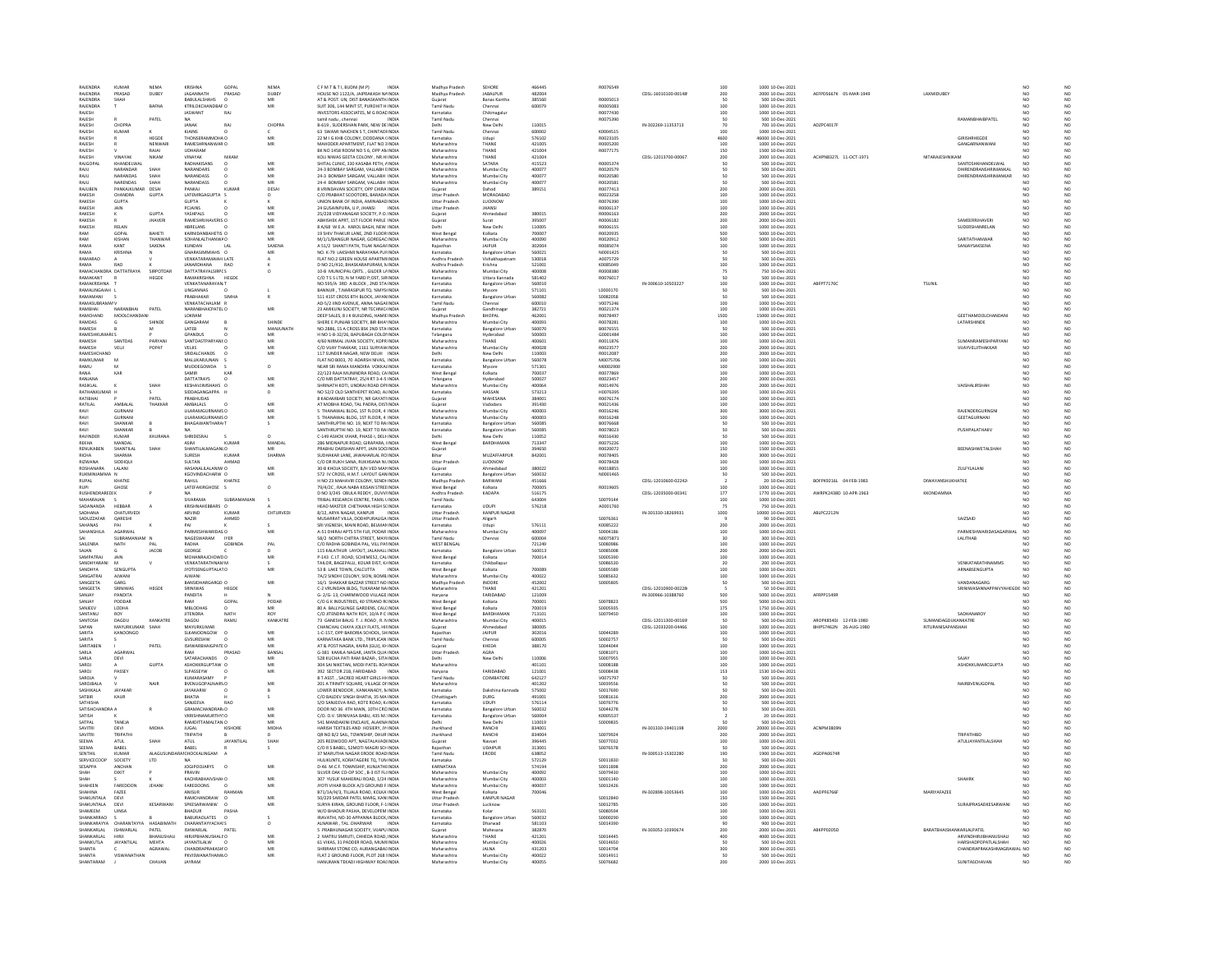| RAJENDRA                        | <b>KUMAR</b>                  | NEMA                           | KRISHNA                                | GOPAL               | NEMA             | CFMT&TI.BUDNI(M.P)<br>INDIA                                                           | Madhya Pradesh                             | SEHORE                              | 466445           | R0076549                    |                                         | 100                    | 1000 10-Dec-2021                                         |                                                  |                           |                                                                                 |                                            |
|---------------------------------|-------------------------------|--------------------------------|----------------------------------------|---------------------|------------------|---------------------------------------------------------------------------------------|--------------------------------------------|-------------------------------------|------------------|-----------------------------|-----------------------------------------|------------------------|----------------------------------------------------------|--------------------------------------------------|---------------------------|---------------------------------------------------------------------------------|--------------------------------------------|
| RAJENDRA<br>RAJENDRA            | PRASAD<br>SHAH                | <b>DUBEY</b>                   | JAGANNATH<br>BABULALSHAHS              | PRASAD              | DUBEY<br>MR      | HOUSE NO 1122/A, JAIPRAKASH NA INDIA<br>AT & POST: UN, DIST BANASKANTH INDIA          | Madhya Pradesł<br>Gujarat                  | <b>JABALPUR</b><br>Banas Kantha     | 482004<br>385560 | R0005013                    | CDSL-16010100-00148                     | 200<br>50              | 2000 10-Dec-2021                                         | AEFPD5667K 05-MAR-1949                           | LAXMIDUBI                 |                                                                                 |                                            |
| RAJENDRA                        |                               | BAFNA                          | KTRILOKCHANDBAF O                      |                     | MR               | SUIT 306, 144 MINT ST, PUROHIT H INDIA                                                | <b>Tamil Nadu</b>                          | Chennai                             | 600079           | R0005083                    |                                         | 100                    | 1000 10-Dec-2021                                         |                                                  |                           |                                                                                 |                                            |
| RAJESH                          |                               |                                | <b>JASWANT</b>                         | RAJ                 |                  | INVESTORS ASSOCIATES, M G ROAL INDIA                                                  | Karnataka                                  | Chikmagalı                          |                  | R0077430                    |                                         | 100                    | 1000 10-Dec-2021                                         |                                                  |                           |                                                                                 |                                            |
| RAJESH<br>RAJESH                | CHOPRA                        | PATEL                          | NA.<br>JANAK<br>RA                     |                     | <b>CHOPR</b>     | tamil nadu , chennai<br><b>INDIA</b><br>B-619, SUDERSHAN PARK, NEW DE INDIA           | <b>Tamil Nadu</b>                          | Chennai<br>New Dell                 | 110019           | R0075390                    | IN-302269-11353713                      | 50                     | 500 10-Dec-2021<br>700 10-Dec-202                        | ADZPC4017F                                       |                           | RAMANBHAIBPATEL                                                                 | N <sub>C</sub>                             |
| RAJESH                          | <b>KUMAR</b>                  |                                | KJAINS                                 |                     |                  | 63 SWAMI NAICHEN S T. CHINTADHNDIA                                                    | <b>Tamil Nadu</b>                          | Chennai                             | 600002           | K0004515                    |                                         | 100                    | 1000 10-Dec-2021                                         |                                                  |                           |                                                                                 |                                            |
| RAJESH                          |                               | HEGDE                          | HONSERAMMOHA O                         |                     | MR<br>MR         | 22 M I G KHB COLONY, DODDANA (INDIA                                                   | Karnataka                                  |                                     | 576102           | R002310                     |                                         | 4600                   | 46000 10-Dec-2021                                        |                                                  |                           | GIRISHRHEGDE                                                                    |                                            |
| RAJESH<br>RAJESH                |                               | NENWAR<br>RAJAI                | RAMESHRNANWAR O<br>UDHARAM             |                     |                  | MAHODER APARTMENT, FLAT NO 3 INDIA<br>BK NO 1458 ROOM NO 5 6, OPP AN INDIA            | Maharashtra<br>Maharashtra                 | THANE<br>THANE                      | 421005<br>421004 | R0005200<br>R0077175        |                                         | 100<br>150             | 1000 10-Dec-2021<br>1500 10-Dec-2021                     |                                                  |                           | GANGARNANWAN                                                                    |                                            |
| RAJESH                          | VINAYAK                       | NIKAM                          | VINAYAR                                |                     |                  | KOLI NIWAS GEETA COLONY, NR.HI INDIA                                                  | Maharashtra                                | <b>HANI</b>                         | 42100            |                             | CDSL-12013700-00067                     | 200                    | 2000 10-Dec-2021                                         | ACHPN8327L 11-OCT-1971                           | NITARAJESHNIKAN           |                                                                                 |                                            |
| RAJGOPAL                        | KHANDELWAI<br><b>NAPANDAR</b> | SHAH                           | <b>RADHAKISANS</b><br>NARANDARS        |                     | MR<br>MR         | SHITAL CLINIC, 330 KASABA PETH, AINDIA<br>24-3 BOMBAY SARGAM, VALLABH EINDU           | Maharashtra<br>Maharashtra                 | SATARA<br>Mumbai City               | 415523<br>40007  | R0005374<br>R0020579        |                                         | 50                     | 500 10-Dec-2021<br>500 10-Dec-202                        |                                                  |                           | SANTOSHKHANDELWAL<br><b>DHIRENDRANSHRIMANKA</b>                                 | NO <sub>1</sub><br>$\overline{\mathsf{N}}$ |
| RAJU                            | NARANDAS                      | SHAH                           | NARANDASS                              |                     | MR               | 24-3 BOMBAY SARGAM, VALLABH INDIA                                                     | Maharashtra                                | Mumbai City                         | 400077           | R0020580                    |                                         |                        | 500 10-Dec-2021                                          |                                                  |                           | DHIRENDRANSHRIMANKAR                                                            | N <sub>C</sub>                             |
| RAILL                           | <b>NARENDAS</b>               | <b>SHAH</b>                    | <b>NARANDASS</b>                       |                     | MR               | 24-4 ROMRAY SARGAM, VALLARH INDIA                                                     | Maharashtra                                | Mumbai City                         | 400077           | R0020581                    |                                         |                        | 500 10-Dec-2021                                          |                                                  |                           |                                                                                 | NO <sub>1</sub>                            |
| <b>RAJUBEN</b><br>RAKESH        | PANKAJKUM<br>CHANDRA          | DESA<br><b>GUPTA</b>           | PANKAJ<br>LATEMRGAGUPTA S              | KUMA                | DESA<br>$\Omega$ | 8 VRINDAVAN SOCIETY, OPP CHIRA INDIA<br>C/O PRABHAT SCOOTORS, BARADA INDIA            | Gujarat<br><b>Uttar Praded</b>             | Dahod<br>MORADARAD                  | 389151           | R0077413<br><b>ROD23258</b> |                                         | 200                    | 2000 10-Dec-2021<br>1000 10-Dec-2021                     |                                                  |                           |                                                                                 |                                            |
| RAKES                           | <b>GLIPTA</b>                 |                                | <b>SUPTA</b>                           |                     |                  | NION BANK OF INDIA, AMINABAD INDIA                                                    | Uttar Pradesl                              | LUCKNOW                             |                  | R007639                     |                                         | 100<br>100<br>100      | 1000 10-Dec-2021                                         |                                                  |                           |                                                                                 |                                            |
| RAKESH                          | JAIN                          |                                | PCJAINS                                |                     | MR               | 24 GUSAINPURA, U P, JHANSI<br>INDIA                                                   | <b>Uttar Pradesh</b>                       | <b>JHANSI</b>                       |                  | R0006137                    |                                         |                        | 1000 10-Dec-2021                                         |                                                  |                           |                                                                                 |                                            |
| RAKESH<br>RAKESH                |                               | <b>GUPTA</b><br><b>JHAVERI</b> | <b>YASHPALS</b><br>RAMESHRJHAVERIS O   |                     | MR<br>MR         | 25/228 VIDYANAGAR SOCIETY, P.O. INDIA<br>ABHISHEK APRT, 1ST FLOOR PARLE INDIA         | Gujarat<br>Gujarat                         | Ahmedaba<br>Surat                   | 380015<br>395007 | <b>ROOD6163</b><br>R0006182 |                                         | 200<br>200             | 2000 10-Dec-2021<br>2000 10-Dec-2021                     |                                                  |                           | SAMEERRJHAVER                                                                   |                                            |
| RAKESH                          | RELAN                         |                                | HRRFLANS                               |                     | MR               | <b>RA/68 W F &amp; KAROL BAGH NEW INDIA</b>                                           | Delbi                                      | New Delhi                           | 110005           | <b>ROODS155</b>             |                                         | 100                    | 1000 10-Dec-2021                                         |                                                  |                           | SLIDERSHANRELAN                                                                 | N <sub>0</sub>                             |
| RAM                             | GOPAL                         | BAHETI                         | KARNIDANBAHETIS O                      |                     | MR               | 19 SHIV THAKUR LANE, 2ND FLOOR INDIA                                                  | West Bengal                                | Kolkata                             | 700007           | R0020935                    |                                         | 500                    | 5000 10-Dec-2021                                         |                                                  |                           |                                                                                 |                                            |
| RAM<br>RAMA                     | <b>KISHAP</b><br>KANT         | THANWAR<br>SAXENA              | SOHANLALTHANWA O<br>KUNDAN             |                     | MR<br>SAXEN.     | M/1/1/BANGUR NAGAR, GOREGAC INDIA<br>A 51/2 SHANTI PATH, TILAK NAGAHNDI               | Maharashtra<br>Rajasthar                   | Mumbai City<br><b>JAIPUR</b>        | 400090<br>30200  | R0020912<br>R0085074        |                                         | 500<br>100             | 5000 10-Dec-2021<br>1000 10-Dec-2021                     |                                                  |                           | SARITATHANWAR<br>SANJAYSAKSENA                                                  | NO <sub>1</sub>                            |
| RAMA                            | <b>KRISHNA</b>                |                                | GNARASIMMIAHS O                        |                     | MR               | NO. K-79 LAKSHMI NARAYANA PUFINDIA                                                    | Karnataka                                  | <b>Bangalore Urba</b>               | 560021           | N0001425                    |                                         | 50                     | 500 10-Dec-2021                                          |                                                  |                           |                                                                                 | NO <sub>1</sub>                            |
| RAMARAO                         |                               |                                | <b>VENKATARAMAIAH LATE</b>             |                     |                  | FLAT NO.2 GREEN HOUSE APARTMI INDIA                                                   | <b>Andhra Pradesi</b>                      |                                     | 530018           | 40075729                    |                                         |                        | 500 10-Dec-2021                                          |                                                  |                           |                                                                                 | NO                                         |
| RAMA<br>RAMACHANDRA DATTATRAYA  | RAO                           | SIRPOTDAR                      | JANARDHANA<br><b>DATTATRAYALSIRPCS</b> | RAO                 | $\circ$          | D NO 21/410, BHASKARAPURAM, N INDIA<br>10-B MUNICIPAL ORTS. . GILDER LAINDIA          | Andhra Pradesh<br>Maharashtra              | Krishna<br>Mumbai City              | 521001<br>400008 | K0085049<br>R0008380        |                                         | 100                    | 1000 10-Dec-2021<br>750 10-Dec-2021                      |                                                  |                           |                                                                                 | NO                                         |
| RAMAKANT                        |                               | HEGDE                          | <b>AMAKRISHNA</b>                      | HEGD                |                  | C/O T S S LTD, N M YARD P;OST, SIRINDM                                                | Karnataka                                  | Uttara Kannada                      | 58140            | R007601                     |                                         |                        | 500 10-Dec-2021                                          |                                                  |                           |                                                                                 |                                            |
| RAMAKRISHNA                     |                               |                                | <b>VENKATANARAYAN T</b>                |                     |                  | NO.595/A 3RD A BLOCK, 2ND STA INDIA                                                   | Karnataka                                  | <b>Bangalore Urban</b>              | 560010           |                             | IN-300610-10503227                      | 100                    | 1000 10-Dec-2021                                         | ABFPT7170C                                       | <b>TSUNIL</b>             |                                                                                 | NO <sub>1</sub>                            |
| <b>RAMALINGAIAH</b><br>RAMAMANI |                               |                                | INGANNAS<br>PRABHAKAR                  | SIMHA               |                  | BANNUR, T.NARASIPUR TO, %MYSINDM<br>511 41ST CROSS 8TH BLOCK, JAYAN INDIA             | Karnatak<br>Karnataka                      | Aysore<br><b>Bangalore Urban</b>    | 57110<br>560082  | 10000170<br>\$0082058       |                                         |                        | 500 10-Dec-202<br>500 10-Dec-2021                        |                                                  |                           |                                                                                 |                                            |
| <b>RAMASI IRRAN</b>             |                               |                                | VENKATACHALAM F                        |                     |                  |                                                                                       | Tamil Nadu                                 |                                     | 60001C           |                             |                                         |                        |                                                          |                                                  |                           |                                                                                 |                                            |
|                                 |                               | PATE                           | ARANBHAICPATEL O                       |                     | MR               | AD-5/2 IIND AVENUE, ANNA NAGAHNDIA<br>23 AMIKUNI SOCIETY, NR TECHNICI INDIA           | Gujarat                                    | sandhinaga                          | 38272            | V0075246<br>R0021374        |                                         | 100<br>100             | 1000 10-Dec-2021<br>1000 10-Dec-2021                     |                                                  |                           |                                                                                 |                                            |
| RAMCHAND<br>RAMDAS              | MOOLCHANDAN                   |                                | LOKRAM<br>GANGARAM                     |                     | SHIND            | DEEP SALES, 8 J K BUILDING, HAMILINDIA<br>HERE E PUNJAB SOCIETY, BIR BHA'INDI         | Madhya Pradesh<br>Maharashtra              | <b>BHOPAL</b><br><b>Mumbai City</b> | 462001<br>10009  | R0078497<br>R007828         |                                         | 1500<br>100            | 15000 10-Dec-2021<br>1000 10-Dec-202                     |                                                  |                           | <b>GEETHAMOOLCHANDAN</b><br>LATARSHINDE                                         | NO                                         |
| RAMESH                          |                               |                                | LATEB                                  |                     | MANJUNATH        | NO.2886, 15 A CROSS BSK 2ND STA INDIA                                                 | Karnataka                                  | <b>Bangalore Urban</b>              | 560070           | B0076555                    |                                         | 50                     | 500 10-Dec-2021                                          |                                                  |                           |                                                                                 |                                            |
| AMESUVIL                        |                               |                                | CRANDIT                                |                     |                  | H NO 1-8-32/26, BAPUBAGH COLONINDIA                                                   | Telangana                                  | lyderabad                           | 500003           | G0001484                    |                                         | 100<br>100             | 1000 10-Dec-2021                                         |                                                  |                           |                                                                                 |                                            |
| RAMESH<br>RAMESH                | SANTDAS<br>VEL II             | PARYANI<br>POPAT               | SANTDASTPARYANI: O<br>VELIIS.          |                     | MR<br>MR         | 4/60 NIRMAL JIVAN SOCIETY, KOPR INDIA<br>C/O VIJAY THAKKAR, 1161 SURYAW INDIA         | Maharashtra<br>Maharashtra                 | THANE<br>Mumbai City                | 400601<br>400028 | R0011876<br>80023577        |                                         | 200                    | 1000 10-Dec-2021<br>2000 10-Dec-2021                     |                                                  |                           | SUMANRAMESHPARYANI<br>VIIAVVEI IITHAKKAR                                        | N <sub>C</sub><br>NO <sub>1</sub>          |
| RAMESHCHAND                     |                               |                                | SRIDALCHANDS                           |                     | MR               | 117 SUNDER NAGAR, NEW DELHI INDIA                                                     | Delhi                                      | New Delhi                           | 110003           | R0012087                    |                                         |                        | 2000 10-Dec-2021                                         |                                                  |                           |                                                                                 |                                            |
| RAMKUMAR                        | M                             |                                | MALLIKARJUNAN                          |                     |                  | FLAT NO B003, 70 ADARSH NIVAS, INDIA                                                  | Karnataka                                  | <b>Bangalore Urbar</b>              | 560078           | M0075706                    |                                         | 200<br>200<br>100      | 1000 10-Dec-2021                                         |                                                  |                           |                                                                                 |                                            |
| RAMU                            |                               |                                | MUDDEGOWDA                             |                     | $\circ$          | NEAR SRI RAMA MANDIRA VOKKALINDIA                                                     | Karnataka                                  |                                     | 57130            | popennes                    |                                         | 100<br>100             | 1000 10-Dec-2021                                         |                                                  |                           |                                                                                 |                                            |
| RANA<br>RANIANA                 | KAR                           |                                | SAMIR<br>DATTATRAYS                    | KAB                 | MR               | 22/123 RAJA MUNINDRA ROAD, CAINDIA<br>C/O MR DATTATRAY, 25/4 RT 3-4-5 INDIA           | West Benga<br>Telangan:                    | Kolkata<br>Hyderaba                 | 70003<br>500023  | R0077869<br>R0023457        |                                         |                        | 1000 10-Dec-2021<br>2000 10-Dec-2021                     |                                                  |                           |                                                                                 |                                            |
| RASIKLAL                        |                               | SHAH                           | KESHAVJIMSHAHS O                       |                     | MR               | SHRINATH KOTI, UNDRAI ROAD OPI INDIA                                                  | Maharashtra                                | Mumbai City                         | 40006            | R0014976                    |                                         | 200<br>200             | 2000 10-Dec-2021                                         |                                                  |                           | VAISHAURSHAH                                                                    |                                            |
| RATHANKLIMAR H                  |                               |                                | SIDDAGANGAPPA H                        |                     | n.               | NO 52/2 OLD SANTHEPET ROAD ALINDIA                                                    | Karnataka                                  | HASSAN                              | 573213           | HOOZGRAP                    |                                         | 100                    | 1000 10-Dec-2021                                         |                                                  |                           |                                                                                 | NO <sub>1</sub>                            |
| RATIBHA<br>RATILAL              | AMBALAL                       | PATE<br>THAKKAR                | PRABHUDAS<br>AMBALALS<br><b>O</b>      |                     | MR               | 8 KADAMBARI SOCIETY, NR GAYATI INDU<br>AT MOBHA ROAD, TAL PADRA, DISTINDIA            | Gujarat<br>Guiarat                         | MAHESANA<br>Vadodara                | 38400<br>391430  | R0076174<br>R0021436        |                                         | $\frac{1}{100}$<br>100 | 1000 10-Dec-2021<br>1000 10-Dec-2021                     |                                                  |                           |                                                                                 |                                            |
|                                 |                               |                                | <b>JLARAMGURNANIS</b>                  |                     |                  | 5 THANAWAL BLDG, 1ST FLOOR, 4 INDM                                                    | .<br>Maharashtra                           | Aumbai City                         | 100003           | R001624                     |                                         |                        | 8000 10-Dec-2021                                         |                                                  |                           | RAJENDERGURNGI                                                                  |                                            |
| RAVI                            | GURNANI                       |                                | LILARAMGURNANIS O                      |                     | MR<br>MR         | 5 THANAWAL BLDG, 1ST FLOOR, 4 INDIA                                                   | Maharashtra                                | Mumbai City                         | 400003           | R0016248                    |                                         | 300<br>100             | 1000 10-Dec-2021                                         |                                                  |                           | GEETAGURNANI                                                                    |                                            |
| RAVI                            | SHANKAR                       |                                | RHAGAWANTHARAIT                        |                     | $\sim$           | SANTHRUPTHENO, 19 NEXT TO RAUNDIA                                                     | Karnataka                                  | <b>Bangalore Urba</b>               | 560085           | <b>BOD76668</b>             |                                         | 50                     | 500 10-Dec-2021<br>500 10-Dec-2021                       |                                                  |                           |                                                                                 | NO <sub>1</sub>                            |
| RAVI<br>RAVINDER                | SHANKAF<br><b>KUMAR</b>       | KHURANA                        | SHRIDESRAJ                             |                     | $\circ$          | SANTHRUPTHI NO. 19, NEXT TO RAI INDIA<br>C-149 ASHOK VIHAR, PHASE-I, DELI-INDIA       | Karnataka<br>Delhi                         | <b>Bangalore Urban</b><br>New Delhi | 560085<br>110052 | R0078023<br>R0016430        |                                         | so                     | 500 10-Dec-2021                                          |                                                  |                           | PUSHPALATHAKV                                                                   | NO <sub>1</sub>                            |
| REKHA                           | ANDA                          |                                | ASIN                                   | KUMA                | MANDA            | .<br>286 MIDNAPUR ROAD, GIRAPARA, IINDIA                                              | West Benga                                 |                                     | 71334            | R0075226                    |                                         | 100                    | 1000 10-Dec-202                                          |                                                  |                           |                                                                                 |                                            |
| RENUKABEN                       | SHANTILAL<br>150541           | SHAH                           | SHANTILALMAGANLO                       |                     | MR               | PRABHU DARSHAN APPT, JAIN SOCHNDIA                                                    | Guiarat                                    | MUZAFFARPUR                         | 394650           | R0020072                    |                                         | 150                    | 1500 10-Dec-2021                                         |                                                  |                           | BEENASHWETALSHAH                                                                | N <sub>C</sub>                             |
| асна<br>RIZWANA                 | SIDDIQUI                      |                                | <b>SURESH</b><br>SULTAN                | KUMAR<br>AHMAD      | SHARM            | SUDHAKAR LANE, JAWAHARLAL RO INDIA<br>C/O DR RUKH SANA, RUKHSANA NUINDIA              | <b>Uttar Pradesh</b>                       | LUCKNOW                             | 84200            | R0078405<br>R0078428        |                                         | 300<br>100             | 8000 10-Dec-2021<br>1000 10-Dec-2021                     |                                                  |                           |                                                                                 |                                            |
| ROSHANARA                       | LALANI                        |                                | HASANALILALANIW O                      |                     | MR               | 30-B KHOJA SOCIETY, B/H VED MAN INDIA                                                 | Guiarat                                    | Ahmedabac                           | 380022           | R0018855                    |                                         | 100                    | 1000 10-Dec-2021                                         |                                                  |                           | ZULFYLALANI                                                                     | NO <sub>1</sub>                            |
|                                 |                               |                                | KGOVINDACHARW C                        |                     | MR               | 572 IV CROSS, H.M.T. LAYOUT GAN INDIA                                                 | Karnataka                                  | <b>Bangalore Urba</b>               | 560032           | N0001465                    |                                         |                        | 500 10-Dec-2021                                          |                                                  |                           |                                                                                 |                                            |
| RUKMINIA                        |                               |                                |                                        |                     |                  |                                                                                       |                                            |                                     |                  |                             |                                         |                        |                                                          |                                                  |                           |                                                                                 |                                            |
| <b>RUPAL</b>                    | KHATKE                        |                                | RAHUL                                  | KHATKE              |                  | H NO 23 MAHAVIR COLONY, SENDH INDIA                                                   | Madhya Pradesh                             | BARWANI                             | 451666           |                             | CDSL-12010600-02242                     |                        | 20 10-Dec-2021                                           | BOFPK9216L 04-FEB-1983                           | DIWAYANSHUKHATKE          |                                                                                 | NO <sub>1</sub>                            |
| <b>RUSHENDRAREDIK</b>           | GHOSE                         |                                | LATEFAKIRGHOSE S                       |                     | $\overline{a}$   | 79/4/2C, RAJA NABA KISSAN STREEINDIA<br>D NO 3/245 OBULA REDDY, DUVVIINDIA            | West Bengal<br>Andhra Pradesh              | .<br>Gikata<br>KADAPA               | 100005<br>516175 | R0019605                    | CDSL-12035000-00341                     | 100<br>177             | 1000 10-Dec-2021<br>1770 10-Dec-2021                     | AWRPK2438D 10-APR-1963                           | KKONDAMMA                 |                                                                                 |                                            |
| MAHARAIAN                       |                               |                                | SIVARAMA                               | SUBRAMANIA          |                  | TRIBAL RESEARCH CENTRE, TAMIL LINDIA                                                  | Tamil Nadu                                 |                                     | 643004           | \$0079144                   |                                         | 100                    | 1000 10-Dec-2021                                         |                                                  |                           |                                                                                 |                                            |
| SADANANDA                       | HEBBAR                        |                                | KRISHNAHEBBARS O                       |                     |                  | HEAD MASTER CHETHANA HIGH SCINDIA                                                     | Karnataka                                  | <b>UDUPI</b>                        | 576218           | A0001760                    |                                         | 75                     | 750 10-Dec-2021                                          |                                                  |                           |                                                                                 |                                            |
| SADHANA                         | CHATURVEDL                    |                                | ARVIND                                 | KUMAR               | CHTURVEDL        | 8/12 ARYA NAGAR KANPUR<br><b>INDIA</b>                                                | <b>Littar Praded</b>                       | KANPUR NAGAR                        |                  | S0076361                    | IN-301330-18269931                      | 1000                   |                                                          | ABLPC2212N                                       |                           | SAIZSAID                                                                        |                                            |
| .<br>SADUZZAFAR<br>SAHANAS      | QARESHI<br>PAI                |                                | NAZIR<br>PAI                           | AHMED               |                  | AUSARRAT VILLA, DODHPURALIGA INDIA<br>SRI VIGNESH, MAIN ROAD, BELMAN INDIA            | Uttar Pradesh<br>Karnataka                 | Aligarh<br>Udupi                    | 576111           | K0085222                    |                                         | 200                    | 10000 10-Dec-2021<br>90 10-Dec-2021<br>2000 10-Dec-2021  |                                                  |                           |                                                                                 |                                            |
| <b>CAMANCHILA</b>               | <b>ACARMAN</b>                |                                | PARMESHWARIDAS O                       |                     |                  | A-51 DHIRAJ APTS STH FLR, PODAR INDIA                                                 | Maharashtra                                | Mumbai City                         | 400097           | \$0004186                   |                                         | 100                    | 1000 10-Dec-202                                          |                                                  |                           | <b><i>DADMESHWADINASACADWA</i></b>                                              | NO                                         |
| SAILENRA                        | SUBRAMANIAM N<br>NATH         |                                | NAGESWARAM<br>RADHA                    | IYER<br>GORINDA     | PAL              | 58/2 NORTH CHITRA STREET, MAYIINDIA<br>C/O RADHA GOBINDA PAL, VILL PALINDIA           | <b>Tamil Nadu</b><br>WEST BENGAL           | Chennai                             | 600004<br>721249 | N0075871<br>songosage       |                                         | 30<br>100              | 300 10-Dec-2021                                          |                                                  |                           | LALITHAB                                                                        | NO <sub>1</sub>                            |
| SAJAN                           |                               | <b>JACOB</b>                   | GEORGE                                 |                     |                  | 115 KALATHUR LAYOUT, JALAHALL INDIA                                                   | Karnataka                                  | <b>Bangalore Urba</b>               | 560013           | \$0085008                   |                                         | $rac{1}{200}$          |                                                          |                                                  |                           |                                                                                 |                                            |
| SAMPATRAL                       | <b>JAIN</b>                   |                                | MOHANRAICHOWD O                        |                     | MR               | P-143 C IT ROAD SCHEMES2 CALINDIA                                                     | West Reneal                                | Kolkata                             | 700014           | \$0005390                   |                                         | 100                    | 1000 10-Dec-2021<br>2000 10-Dec-2021<br>1000 10-Dec-2021 |                                                  |                           |                                                                                 | NO                                         |
| SANDHYARAN                      |                               |                                | <b>VENKATARATHNAMM</b>                 |                     |                  | TAILOR, BAGEPALLI, KOLAR DIST, KJINDIA                                                | Karnataka                                  | Chikballapu                         |                  | \$0086530                   |                                         |                        | 200 10-Dec-2021                                          |                                                  |                           | VENKATARATHNAMMS                                                                | NO                                         |
| SANDHYA<br><b>ANGATRA</b>       | SENGUPTA<br><b>AIWANI</b>     |                                | JYOTISENGUPTALATO<br>AIWANI            |                     | MR               | 53 B LAKE TOWN, CALCUTTA<br><b>INDIA</b><br>74/2 SINDHI COLONY SION ROMR INDIA        | West Bengal                                | Kolkata<br>Mumbai City              | 700089<br>400022 | \$0005589<br>\$0085632      |                                         | 100<br>100             | 1000 10-Dec-2021                                         |                                                  |                           | ARNABSENGUPTA                                                                   | NO<br>NO                                   |
| SANGEETA                        | GARG                          |                                | BANSIDHARGARGD O                       |                     | MR               | 16/1 SHAKKAR BAZZAR STREET NO INDIA                                                   | Maharashtra<br>Madhya Pradesh              | INDORE                              | 452002           | \$0005805                   |                                         | 50                     | 1000 10 Dec 2021<br>500 10 Dec 2021                      |                                                  |                           | VANDANAGARG                                                                     |                                            |
| SANGEETA                        | SRINIWAS                      | HEGDE                          | SRINIWAS                               | HEGDE               |                  | C-2 VRUNDAN BLDG TUKARAM NAINDIA                                                      | Maharashtra                                | THANE                               | 421201           |                             | CDSL-12010900-00228                     |                        | 50.10-Dec-2021                                           |                                                  |                           | SRINIWASANNAPPAIVYAHEGDE NO                                                     |                                            |
| SANJAY<br>SANJAY                | PANDITA<br>PODDAR             |                                | PANDITA<br>RAM                         | GOPAL               | PODAR            | G- 2/G- 13, CHARMWOOD VILLAGE INDU<br>C/O G K INDUSTRIES, 40 STRAND R(INDIA           | Haryana<br>West Bengal                     | FARIDABAL<br>Kolkata                | 121009<br>700001 | \$0078823                   | IN-300966-10388760                      | 500<br>500             | 5000 10-Dec-2021<br>5000 10-Dec-2021                     | AFRPP1549                                        |                           |                                                                                 |                                            |
| SANJEEV                         | LODHA                         |                                | MBLODHAS                               |                     | MR               | 80 A BALLYGUNGE GARDENS, CALCINDI                                                     | West Benga                                 | Kolkata                             | 700019           | \$0005935                   |                                         | 175                    | 1750 10-Dec-2021                                         |                                                  |                           |                                                                                 |                                            |
| SANTANU<br><b>CANTOS</b>        | ROY<br><b>DAGDLE</b>          | KANKATR                        | <b>JITENDRA</b><br>DAGDU               | <b>NATH</b><br>RAMU | ROY              | C/O JITENDRA NATH ROY, 10/A P C INDIA                                                 | West Benga<br>Maharashtra                  | BARDHAMAI                           | 713101           | \$0079450                   |                                         | 100                    | 1000 10-Dec-2021                                         |                                                  | <b>SUMANDAGDUKANKATRE</b> | SADHANAROY                                                                      | NO <sub>1</sub>                            |
| SAPAN                           | MAYURKUMA                     | SHAH                           | MAYURKUMAR                             |                     | KANKATR          | 73 GANESH BAUG T. J. ROAD, R. NINDIA<br>CHANCHAL CHAYA JOLLY FLATS, HIFINDIA          | Gujarat                                    | Mumbai Cit<br>Ahmed:                | 100019<br>38000  |                             | CDSL-12011300-00169<br>CDSL-12033200-04 | $\frac{50}{100}$       | 500 10 Dec-2021<br>1000 10 Dec-2021                      | AROPK8540J 12-FEB-1980<br>BHIPS7462N 26-AUG-198I |                           |                                                                                 |                                            |
| SARITA                          | KANDONGO                      |                                | SLKANOONGOW O                          |                     | MR               | 1-C-157, OPP BARORIA SCHOOL, SHINDIA                                                  | Rajasthar                                  | JAIPUR                              | 302016           | \$0044289                   |                                         | 100                    | 1000 10-Dec-2021                                         |                                                  |                           |                                                                                 | NO <sub>1</sub>                            |
| SARITA<br>SARITABEN             |                               | PATEL                          | GVSURESHW<br>ISHWARBHAIGPATE O         |                     | MR               | <b>KARNATAKA BANK LTD., TRIPLICAN INDIA</b><br>AT & POST NAGRA, KAIRA (GUJ), KH INDIA | <b>Tamil Nadu</b><br>Guiarat               | Chenna<br>KHEDA                     | 60000<br>388170  | \$0002757<br>S0044044       |                                         | 100                    | 500 10-Dec-202<br>1000 10-Dec-2021                       |                                                  |                           |                                                                                 |                                            |
| SARLA                           | <b>AGARMA</b>                 |                                |                                        | PRASAD              | BANSA            | G-381 KAMLA NAGAR, JANTA QUA INDIA                                                    | Uttar Prades                               |                                     |                  | \$0081071                   |                                         | 100                    | 000 10-Dec-202                                           |                                                  |                           |                                                                                 |                                            |
| SARLA                           | DEVI                          |                                | SATARACHANDS O                         |                     |                  | 528 KUCHA PATI RAM BAZAR-, SITA INDIA                                                 | Delhi                                      | New Delhi                           | 110006           | S0007955                    |                                         | 100                    | 1000 10-Dec-2021                                         |                                                  |                           | SAJAY                                                                           |                                            |
| SAROJ                           |                               | <b>GUPTA</b>                   | ASHOKKRGUPTAW C                        |                     |                  | <b>304 SAI NIKETAN, MODI PATEL ROAINDIA</b>                                           | Maharashtra                                |                                     | 401101           | \$0008188                   |                                         |                        | 1000 10-Dec-2021                                         |                                                  |                           | ASHOKKLIMARCGUPTA                                                               |                                            |
| SAROJ<br>SAROJA                 | PASSEY                        |                                | SLPASSEYW<br>KUMARASAMY                |                     | MR               | 392 SECTOR 21B, FARIDABAD INDIA<br>B T ASST. . SACRED HEART GIRLS HI INDIA            | Haryana<br><b>Tamil Nadu</b>               | FARIDABAD<br>COIMBATORE             | 121001<br>642127 | \$0008438<br>V0075797       |                                         | 100<br>153             | 1530 10-Dec-2021<br>500 10-Dec-2021                      |                                                  |                           |                                                                                 | NO <sub>1</sub>                            |
| SAROJBAL                        |                               |                                | BVENUGOPALNAIRVO                       |                     | MR               | 201 A TRINITY SQUARE, VILLAGE DI INDIA                                                | Maharashtra                                |                                     | 10120            | \$003955                    |                                         |                        | 500 10-Dec-202                                           |                                                  |                           | NAIRBVENUGOPAL                                                                  |                                            |
| SASHIKALA<br>SATRIR             | JAYAKAR                       |                                | JAYAKARW<br><b>BHATIA</b>              |                     |                  | LOWER BENDOOR, KANKANADY, N INDIA                                                     | Karnataka                                  | Dakshina Kannada                    | 575002<br>191001 | S0017690                    |                                         | 50                     | 500 10-Dec-2021                                          |                                                  |                           |                                                                                 |                                            |
| SATHISHA                        | KAUR                          |                                | SANJEEVA                               | RAO                 |                  | C/O BALDEV SINGH BHATIA, 35 MA INDIA<br>S/O SANJEEVA RAO, KOTE ROAD, KINDIA           | Chhattisga<br>Karnataka                    | DURG<br><b>UDUPI</b>                | 576114           | \$0081616<br>S0076776       |                                         | 200                    | 2000 10-Dec-2021<br>500 10-Dec-2021                      |                                                  |                           |                                                                                 |                                            |
| SATISHCHANDRA A                 |                               |                                | GRAMACHANDRARIO                        |                     | MR               | DOOR NO 36 4TH MAIN, 10TH CRO INDIA                                                   | Karnataka                                  | <b>Bangalore Urba</b>               | 560032           | \$0044278                   |                                         | so                     | 500 10-Dec-2021                                          |                                                  |                           |                                                                                 |                                            |
| SATISH<br>SATPAL                | TANFIA                        |                                | VKRISHNAMURTHY! O<br>RAMDITTAMALTAN O  |                     | MR               | C/O. O.V. SRINIVASA BABU, 435 M.: INDIA<br>541 MANDAKINI ENCLAVE ALAKNA INDIA         | Karnataka<br>Delhi                         | <b>Bangalore Urban</b><br>New Delhi | 56000<br>110019  | K0005537<br>sonnegas        |                                         | 50                     | 20 10-Dec-2021<br>500 10-Dec-2021                        |                                                  |                           |                                                                                 |                                            |
| SAVITRI                         | DEVI                          | <b>MIDHA</b>                   | <b>JUGAL</b>                           | <b>KISHOR</b>       | MIDHA            | HARISH TEXTILES AND HOSIERY, JY INDIA                                                 | Jharkhan                                   | RANCHI                              | 83400            |                             | IN-301330-19401198                      | 2000                   | 20000 10-Dec-2021                                        | <b>ACNPM38091</b>                                |                           |                                                                                 |                                            |
| SAVITRI                         | TRIPATH                       |                                | TRIPATH                                |                     |                  | QR NO B/2 SAIL, TOWNSHIP, DHUR INDIA                                                  | Jharkhand                                  | RANCHI                              | 83400            | S0079924                    |                                         | 200                    | 2000 10-Dec-2021                                         |                                                  |                           | TRIPATHIBD                                                                      |                                            |
| SEEMA                           | ATL11                         | SHAH                           | <b>ATUL</b>                            | <b>JAYANTILAI</b>   | <b>SHAH</b>      | 205 REDWOOD APT, NAGTALAVADUNDIA                                                      | Gujarat                                    | Navcar                              | 396445           | sonzznag                    |                                         |                        | 1000 10-Dec-2021                                         |                                                  |                           | ΔΤΗ ΙΔΥΔΝΤΗ ΔΙ SHΔΕ                                                             | NO                                         |
| SEEMA<br>SENTHI                 | <b>BABEL</b><br>KUMAR         |                                | BABEL<br>ALAGUSUNDARAICHOCKALINGAM     |                     |                  | C/O R S BABEL, 52MOTI MAGRI SCHINDIA<br>37 MARLITHA NAGAR FRODE ROAD INDIA            | Rajasthar<br>Tamil Nadi                    | UDAIPUR<br><b>ERODE</b>             | 313001<br>638052 | S0076578                    | IN-300513-15302280                      | $\frac{100}{50}$       | 500 10-Dec-2021<br>1900 10-Dec-2021                      | AGDPA0674R                                       |                           |                                                                                 | NO <sub>1</sub>                            |
| SERVICECOOR                     | SOCIETY                       | LTD                            | NA                                     |                     |                  | HULIKUNTE, KORATAGERE TO, TUN INDIA                                                   | Karnataka                                  |                                     | 572125           | S0011830                    |                                         | 190<br>50              | 500 10-Dec-2021                                          |                                                  |                           |                                                                                 |                                            |
| SESAPPA                         | ANCHAN                        |                                | <b>JOGIPOOJARYS</b><br>$^{\circ}$      |                     | MR               | D-46 M.C.F. TOWNSHIP, KUNJATHEINDIA                                                   | KARNATAKA                                  |                                     | 574194           | S0011898                    |                                         | 200                    | 2000 10-Dec-2021                                         |                                                  |                           |                                                                                 |                                            |
| SHAH                            |                               |                                | PRAVIN<br>KACHRABHAIVSHAF O            |                     | MR               | SILVER OAK CO-OP SOC, B-3 IST FL(INDM<br>307 YUSUF MAHERALI ROAD, 1/24 INDIA          | Maharashtra<br>Maharashtra                 | Mumbai City<br>Mumbai City          | 40009<br>400003  | \$0079430<br>S0001140       |                                         | 100                    | 1000 10-Dec-2021<br>1000 10-Dec-2021                     |                                                  |                           | SHAHRK                                                                          | NO <sub>1</sub>                            |
| <b>SHAHFFN</b>                  | FAREDOON                      | <b>IFHANI</b>                  | FAREDOONS                              |                     | MR               | IYOTI VIHAR BLOCK A/3 GROUND E INDIA                                                  | Maharashtra                                | Mumbai City                         | 400037           | \$0012426                   |                                         | 100<br>100             | 1000 10-Dec-2021                                         |                                                  |                           |                                                                                 | NO                                         |
| SHAHINA                         | FAZEE                         |                                | ANISUR                                 |                     |                  | B71/1A/H/3, TILIALA ROAD, KOLKA INDIA                                                 | West Bengal                                | Kolkata                             | 700046           |                             | IN-302898-10053645                      | $\frac{1}{100}$        | 1000 10-Dec-2021                                         | AADPF6766                                        | MARIYAFAZEE               |                                                                                 |                                            |
| SHAKUNTALA                      | DEVI                          |                                | RAMCHANDRAW<br>$\Omega$                |                     | MR               | 50/229 SARDAR PATEL MARG. KAN INDIA                                                   | <b>Uttar Prades</b>                        | KANPUR NAGAR                        |                  | S0012840                    |                                         | 150                    | 1500 10-Dec-2021                                         |                                                  |                           |                                                                                 |                                            |
| <b>SHAKUNTALA</b><br>SHAMEEM    | DEVI<br>UINSA                 | KESARWAN                       | SPKESARWANIW<br><b>BHADUR</b>          | PASHA               | MR               | SURYA KIRAN, GROUND FLOOR, F-1 INDIA<br>W/O BHADUR PASHA, DEVELOPEM INDIA             | Uttar Prades<br>Karnataka                  | Lucknow<br>Kolar                    | 563101           | S0012785<br>\$0080594       |                                         | 100<br>100             | 1000 10-Dec-2021<br>1000 10-Dec-2021                     |                                                  |                           | SURAJPRASADKESARWAN                                                             |                                            |
| <b>UANKARDAC</b>                |                               |                                | ABI IRAOLATEC                          |                     |                  | RAVATHI, NO-30 APPANNA BLOCK, INDIA                                                   | Karnataka                                  | <b>Bangalore Urb</b>                | 560032           | \$0000290                   |                                         | 100                    | 000 10-Dec-2021                                          |                                                  |                           |                                                                                 |                                            |
| SHANKARAYYA                     | CHARANTAYYA                   | HASABIMATH                     | CHARANTAYYACHA!S                       |                     |                  | ALNAWAR, TAL. DHARWAR<br><b>INDIA</b>                                                 | Karnataka                                  | Dharwad                             | 581103           | S0014390                    |                                         |                        | 900 10-Dec-2021                                          |                                                  |                           |                                                                                 |                                            |
| <b>HANKARIAI</b>                | ISHWARLAL                     | PATEL<br>BHANUS                | .<br>SHWARLAL<br>IRJIPBHANUSHALI! O    | PATEL               |                  |                                                                                       |                                            | Mahesan<br>THANI                    | 382870<br>42120  | S0014449                    | IN-303052-10390674                      |                        |                                                          | ABKPP0205D                                       |                           |                                                                                 |                                            |
| SHANKUTLA                       | <b>JAYANTILAL</b>             | MEHTA                          | <b>JAYANTILALW</b><br>$\Omega$         |                     | MR               | 61 VIKAS, 31 PADDER ROAD, MUMHNDIA                                                    | .<br>Gujarat<br>Maharashtra<br>Maharashtra | Mumbai City                         | 400026           | \$0014650                   |                                         | 200<br>400             | 2000 10-Dec-2021<br>500 10-Dec-2021                      |                                                  |                           | BARATBHAISHANKARLALPATEL<br>ARVINDHIRJIBHANUSHALI<br><b>HARSHADPOPATLALSHAH</b> | NO                                         |
| <b>HANTA</b>                    |                               | AGRAWA                         | CHANDRAPRAKASH O                       |                     |                  | HRIRAM STONE CO, AURANGABALINDIA                                                      | Maharashtra                                | JALNA                               | 431203           | \$0014704                   |                                         | 300                    | 3000 10-Dec-202                                          |                                                  |                           | CHANDRAPRAKASHMAGRAV                                                            |                                            |
| SHANTA<br>SHANTARAM             | VISWANATHAN                   | CHAVAN                         | PKVISWANATHANN O<br><b>JAYRAM</b>      |                     | MR<br>MR         | FLAT 2 GROUND FLOOR, PLOT 268 IINDIA<br>HANUMAN TEKADI HIGHWAY ROALINDIA              | Maharashtra<br>Maharashtra                 | Mumbai City<br>Mumbai City          | 400022<br>400055 | S0014911<br>S0076682        |                                         | 200                    | 500 10-Dec-2021<br>2000 10-Dec-2021                      |                                                  |                           | <b>SUNITASCHAVAN</b>                                                            |                                            |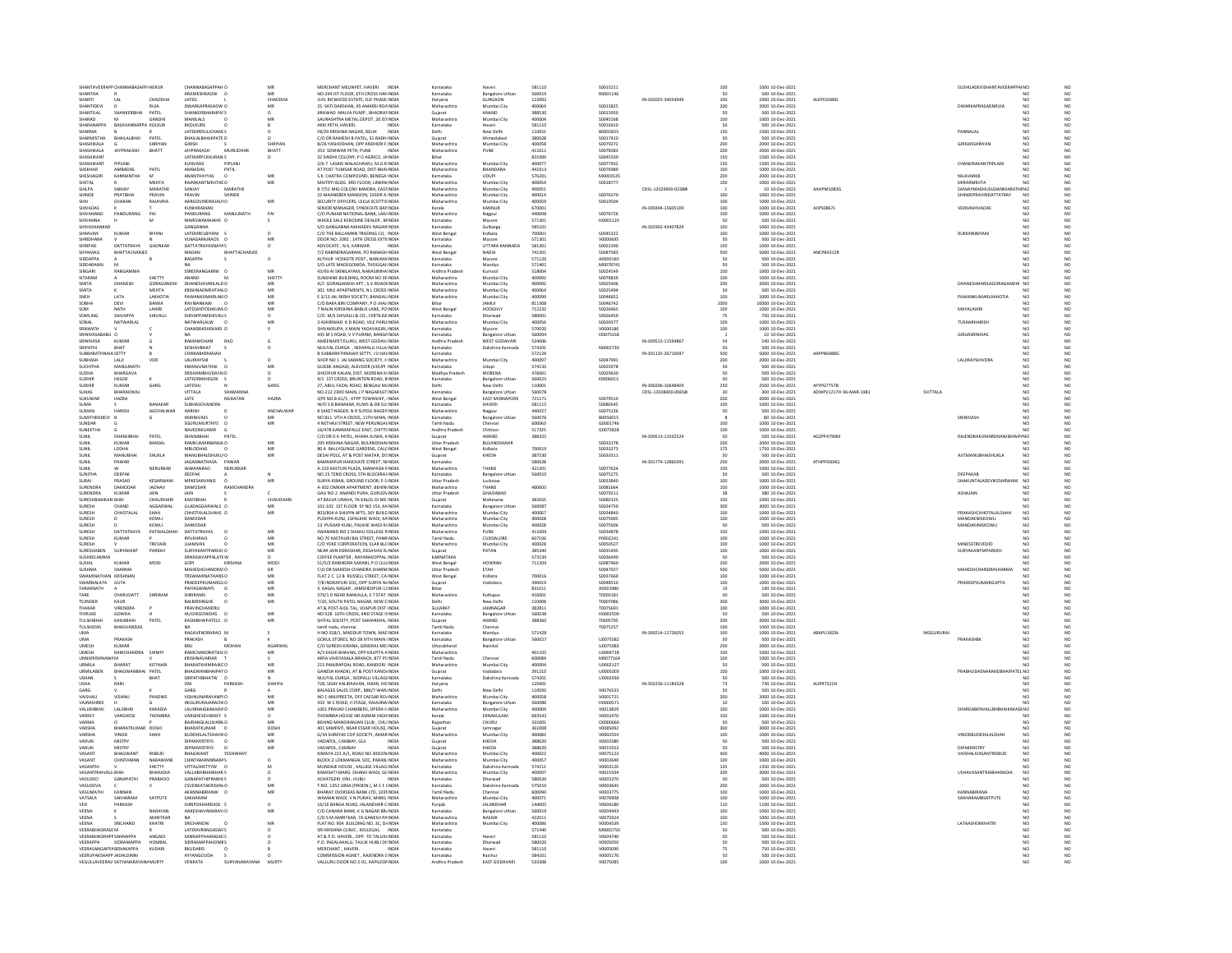| SHANTAVEFRAPP CI<br>SHANTHA                                                             |                           | CHANNARASAPPAH O<br>ARAMESHRAOW 0                  | MR<br>MR                | MERCHANT MELINPET, HAVERI INDIA<br>NO:294 IST FLOOR, 6TH CROSS HAN INDIA                     | Karnataka<br>Karnataka                    | <b>Bangalore Urban</b>                 | 581110<br>560019           | S0015211<br>R0001146                    |                     | 100                       | 1000 10-Dec-2021<br>500 10-Dec-2021                   |                        |           | SUSHILADEVISHANTAVEERAPPAINO                       |                                   |
|-----------------------------------------------------------------------------------------|---------------------------|----------------------------------------------------|-------------------------|----------------------------------------------------------------------------------------------|-------------------------------------------|----------------------------------------|----------------------------|-----------------------------------------|---------------------|---------------------------|-------------------------------------------------------|------------------------|-----------|----------------------------------------------------|-----------------------------------|
| SHANTI<br>$\mathbf{A}$                                                                  | CHADDHA                   | LATEG<br>DWARKAPRASADW                             | CHADDH                  | J141 RICWOOD ESTATE, DLF PHASE INDIA                                                         | Harvana                                   | GURGAON                                | 122002                     | \$0015825                               | IN-302025-34054949  | 100                       | 1000 10-Dec-2021                                      | ALEPC6580G             |           |                                                    |                                   |
| HANTIDEVI<br>SHANTILAL<br>SHANKERBHAI                                                   | PATEL                     | SHANKERBHAIMPA1S                                   | $\circ$                 | 25 SATI DARSHAN, 95 AMARSI ROA INDIA<br>JIRAWAD MALYA PUMP, BHADRAHNDIA                      | Maharashtr<br>Gujarat                     | Mumbai City<br>ANAND                   | 400064<br>388530           | S0015950                                |                     | 200                       | 2000 10-Dec-202<br>500 10-Dec-2021                    |                        |           | DWARKAPRASADNRUIA                                  | NO<br>NO<br>NO                    |
| HARAD                                                                                   | <b>GANDH</b>              | MANILALS                                           | MF                      | SAURASHTRA METAL DEPOT, 20 ISTINDIA                                                          | Maharashtra                               | Mumbai City                            | annona                     | \$0045168                               |                     | 100<br>50                 | 1000 10-Dec-202                                       |                        |           |                                                    |                                   |
| SHARANAPPA<br>BASAVANNAPPA KOLKUR<br><b>SHARMA</b>                                      |                           | <b>RKOLKURS</b><br>LATEMRDULICHANTS                |                         | AKKI PETH, HAVERI.<br><b>INDIA</b><br>FR/29 KRISHNA NAGAR DELHI<br><b>INDIA</b>              | Karnataka<br>Delhi                        | Haveri<br>New Delhi                    | 581110<br>110051           | \$0016910<br><b>ROOD2655</b>            |                     | 150                       | 500 10-Dec-2021<br>1500 10-Dec-2021                   |                        |           | PANNAL AL                                          | N <sub>0</sub>                    |
| SHARMISTH<br>BHAILALBHAI                                                                | PATEL                     | <b>BHAILALBHAIKPATE D</b>                          |                         | C/O DR RAMESH B PATEL, 31 RADH INDIA                                                         | Gujarat                                   | Ahmedaba                               | 380028                     | S0017410                                |                     | 50                        | 500 10-Dec-2021                                       |                        |           |                                                    |                                   |
| SHASHIKALA<br><b>SHASHIKALO</b><br><b>IAYPRAKASH</b>                                    | SHRIYAN<br>RHATT          | <b>GIRISH</b><br><b>IAYPRAKASH</b><br>MURLIDHAR    | SHRIYAN<br><b>BHATT</b> | B/26 YASHODHAN, OPP ANDHERI F INDIA<br>353 SOMWAR PETH, PUNE                                 | Maharashtra<br>Maharashtra                | Mumbai City<br>PLINE                   | 400058<br>411011           | S0079272<br>50078383                    |                     | 200<br>200                | 2000 10-Dec-2021<br>2000 10-Dec-202                   |                        |           | GIRISHSSHRIYAN                                     | NO<br>NO<br>NO                    |
| SHASHIKAN                                                                               |                           | LATEMRPCKHURAN S                                   | $\circ$                 | 32 SINDHI COLONY, P O AGRICO, JA INDIA                                                       |                                           |                                        | 831009                     | \$0045339                               |                     | 150                       | 1500 10-Dec-2021                                      |                        |           |                                                    | NO                                |
| <b>SHASHIKANT</b><br>PIPI ANI                                                           | PATIL                     | KUNVARIL<br>PIPLANI                                |                         | 2/6-7 LASAN WALACHAWLL M G RINDIA                                                            | Maharashtra                               | Mumbai City<br>BHANDARA                | 400077                     | \$0077932                               |                     | 150<br>100                | 1500 10-Dec-2021<br>1000 10-Dec-2021                  |                        |           | CHANDRAKANTPIPLANI                                 | N <sub>0</sub>                    |
| SHEKHAR<br>AMBADAS<br>SHESHAGIRI<br><b>KANNANTHA</b>                                    | M                         | AMBADAS<br>PATIL<br>ANANTHAYYAS<br>$\Omega$        | MR                      | AT POST TUMSAR ROAD, DIST-BHAINDIA<br>S.K. CHATRA COMPOUND. BENEGA INDIA                     | Maharashtra<br>Karnataka                  | UDUPI                                  | 441913<br>576201           | \$0076989<br>M0003535                   |                     | 200                       | 2000 10-Dec-2021                                      |                        |           | NILAVARKB                                          | NO <sub></sub>                    |
| SHETAL                                                                                  | MEHTA                     | RAJNIKANTMEHTAL O                                  |                         | MAITRYI BLDG 3RD FLOOR, LINKIN INDIA                                                         | Maharashtra                               | Mumbai City                            | 400054                     | S0018777                                |                     | 100                       | 1000 10-Dec-2021                                      |                        |           | <b>MIRARMEHTA</b>                                  |                                   |
| SHILPA<br>SANJAY<br><b>HINDE</b>                                                        | MARATHE<br>PRAVIN         | SANJAY<br>MARATHE<br>PRAVIN<br>SHINDE              |                         | B 7/51 MIG COLONY BANDRA, EASTINDIA                                                          | Maharashtra<br>Maharashtra                | Mumbai City                            | 400051<br>400014           | \$0076370                               | CDSL-12029900-02388 |                           | 10 10-Dec-2021                                        | AAHPM1083G             |           | SANJAYMADHUSUDANMARATHENO<br>SHINDEPRAVINDATTATRAY | NO                                |
| PRATIBH<br>CHARAN<br>SHIV                                                               | RAJAVRIA                  | HARGOVINDRAJAUFO                                   | MR                      | 22 MAANEBER MANSION, 193DR A INDIA<br>SECURITY OFFICERS, LEELA SCOTTIS INDIA                 | Maharashtra                               | Mumbai City<br>Mumbai City             | 400059                     | S0019504                                |                     | 100<br>100                | 1000 10-Dec-2021<br>1000 10-Dec-2021                  |                        |           |                                                    |                                   |
| SHIVADAS                                                                                |                           | KUNHIRAMAN<br>PANDURANG<br>MANJUNATH               |                         | SENIOR MANAGER, SYNDICATE BAN INDIA<br>C/O PUNJAB NATIONAL BANK, LAK/ INDIA                  | Kerala<br>Maharashtra                     | KANNUR<br>Nagpur                       | 670001<br>440008           | \$0076726                               | IN-300394-15605109  | 100<br>100                | 1000 10-Dec-2021<br>1000 10-Dec-2021                  | AJIPS0867              |           | VEENASHIVADAS                                      | NO <sub>1</sub><br>N <sub>C</sub> |
| SHIVANNA                                                                                |                           | MARISWAMAIAHS O                                    |                         | WHOLE SALE KEROSINE DEALER . MINDIA                                                          | Karnataka                                 | Mysore                                 | 571301                     | H0001120                                |                     | 50                        | 500 10-Dec-2021                                       |                        |           |                                                    | NO <sub></sub>                    |
| <b>HIVASHA</b><br>SHRAVAN<br>KUMAR                                                      | BIYANI                    | GANGANNA<br>LATEMRCLBIYANI                         | $\circ$                 | S/O GANGANNA MAHADEV NAGAR INDIA<br>C/O THE BALLAMNN TRADING CO, INDIA                       | Karnataka<br>West Bengal                  | Gulbarga<br>Kolkata                    | 585101<br>700001           | S0045322                                | IN-302902-43407824  | 100<br>100                | 1000 10-Dec-202<br>1000 10-Dec-2021                   |                        |           | RUKMINIBIYAN                                       | NO<br>NO                          |
| HRIDHARA                                                                                |                           | ANAGARAJRAOS O                                     |                         | DOOR NO: 2092 , 14TH CROSS EXTEINDIA                                                         | Karnataka                                 |                                        | 571301                     | V000069                                 |                     | so                        | 500 10-Dec-2021                                       |                        |           |                                                    | NO                                |
| DATTATRAYA<br>SHRIPAD<br><b>SHYAMALI</b><br>RHATTACHARIEF                               | GAONKAR                   | <b>DATTATRAYASNAYAS</b><br>MADAN<br>RHATTACHARIEF  |                         | ADVOCATE, N K, KARWAR.<br><b>INDIA</b><br>7/2 RABINDRASARANI, PO RANAGH INDIA                | Karnataka                                 | UTTARA KANNADA<br>NADIA                | 581301<br>741201           | S0022390<br>\$0087583                   |                     | 100                       | 1000 10-Dec-2021<br>5000 10-Dec-2021                  | ANCPR4312R             |           |                                                    |                                   |
| <b>IDDAPPA</b>                                                                          |                           | BASAPPA                                            | $\alpha$                | <b>ALTHUR HOSKOTE POST., NANJANI INDIA</b>                                                   | West Bengal<br>Karnataka                  | Mysore                                 | 571120                     |                                         |                     | <b>500</b><br><b>50</b>   | 500 10-Dec-202                                        |                        |           |                                                    | NO<br>NO                          |
| SIDDARAMU<br>SINGARI<br>RANGAMM                                                         |                           | <b>NA</b><br>SSREERANGAMW O                        | MR                      | S/O LATE MADEGOWDA, THOGGAI INDIA<br>43/93 AI SRINILAYAM, NARASIMHA INDIA                    | Karnataka<br>Andhra Prades                | Mandya                                 | 571401<br>518004           | M0078741<br>50024549                    |                     |                           | 500 10-Dec-2021<br>1000 10-Dec-2021                   |                        |           |                                                    | $\overline{M}$                    |
| SITARAM                                                                                 | SHETTY                    | ANAND                                              | SHETTY                  | SUNSHINE BUILDING, ROOM NO 3E INDIA                                                          | Maharashtra                               | Mumbai City                            | 400092                     | \$0078839                               |                     | 100<br>100                | 1000 10-Dec-2021                                      |                        |           |                                                    | NO                                |
| SMITA<br><b>DHANES</b>                                                                  | GORAGANI                  | DHANESHHARILALD O                                  | MR                      | 4/2 GORAGANDHI APT SV ROADUNDIA                                                              | Maharashtra                               | Mumbai Cit                             | 400092                     | 50025406                                |                     | 200                       | 2000 10-Dec-2021                                      |                        |           | DHANESHHARILAGORAGANDI                             | NO<br>NO                          |
| SMITA<br>SNEH<br>LATA                                                                   | MEHTA<br>LAKHOTIA         | KRISHNAOMEHTAWO<br><b>PAWANKUMARLAKIO</b>          | MR<br>MR                | 301 MILI APARTMENTS, N L CROSS INDIA<br>E 3/13 JAL NIDHI SOCIETY, BANGAL INDIA               | Maharashtra<br>Maharashtra                | Mumbai City<br>Mumbai City             | 400064<br>400090           | S0025494<br>\$0046652                   |                     | 100                       | 500 10-Dec-2021<br>1000 10-Dec-2021                   |                        |           | PAWANKUMARLAKHOTIA                                 | N <sub>C</sub><br>NO              |
| DEVI                                                                                    |                           | VIBANKAW                                           |                         | C/O BAKA BIRI COMPANY, P O JHAJ INDIA                                                        |                                           |                                        | 811308                     | \$0046742                               |                     | 1000<br>100               | 10000 10-Dec-202                                      |                        |           |                                                    |                                   |
| NATH<br>SOM<br>SOMITING<br>SHIVAPPA                                                     | <b>LAHIRI</b><br>SHIVALL  | LATESANTOSHKUM O<br>SHIVAPPAMSHIVALLS              | MR<br>$\Omega$          | 7 NALIN KIRISHNA BABUS LANE, POINDIA<br>C/O M/S SHIVALLI & CO. FERTILISEINDIA                | West Bengal<br>Karnataka                  | HOOGHLY<br>Dharwad                     | 712232<br>580001           | S0026465<br>\$0026450                   |                     | 75                        | 1000 10-Dec-2021<br>750 10-Dec-2021                   |                        |           | MAYALAHIRI                                         | N <sub>0</sub>                    |
| NATWARLAI<br>SONAL                                                                      |                           | NATWARLALW                                         | MR                      | 3 ASHIRWAD K D ROAD, VILE PARL INDIA                                                         | Maharashtra                               | Mumbai City                            | 400056                     | \$0039377                               |                     | 100                       | 1000 10-Dec-2021                                      |                        |           | <b>TUSHARHARISH</b>                                |                                   |
| SRIKANTH                                                                                |                           | CHANDRASHEKARS O                                   |                         | SHIVAKRUPA, II MAIN YADAVAGIRI, INDIA                                                        | Karnataka                                 | Mysore                                 | 570020                     | V0000180                                |                     | 100                       | 1000 10-Dec-2021                                      |                        |           |                                                    | NO<br>NO <sub></sub>              |
| SRINIVASA<br><b>KUMAR</b>                                                               |                           | RAMAMOHAN<br>RAO                                   | G                       | 435 M S ROAD, V V PURAM, BANGAINDIA<br>AMEENAPET ELURU. WEST GODAV/INDIA                     | Karnataka<br>Andhra Pradesh               | <b>Bangalore Urba</b><br>WEST GODAVARI | 560004<br>534006           | 00075158                                | IN-300513-11594867  | 54                        | 10 10-Dec-2021<br>540 10-Dec-2021                     |                        |           |                                                    | NO<br>NO <sub></sub>              |
| <b>RIPATHI</b><br><b>HAT</b>                                                            |                           | KESHAVBHAT                                         |                         | NULIYAL DURGA , NIDAPALLI VILLA INDIA                                                        | Karnataka                                 | Dakshina Kannad                        | 574201                     | N0001730                                |                     | 50                        | 500 10-Dec-202                                        |                        |           |                                                    |                                   |
| <b>SUBBARATH</b><br>IA SETTY<br><b>SUBHASH</b><br>LAUI                                  |                           | СНІККАВНЕМАІАН<br>LALIRAYSHI                       | $\circ$                 | B SUBBARATHNAIAH SETTY, I D HALINDIA<br>SHOP NO 1 JAI SARANG SOCIETY. HINDIA                 | Karnataka<br>Maharashtra                  | Mumbai City                            | 572124<br>400097           | S0047991                                | IN-301135-26710047  | 500<br>200                | 5000 10-Dec-2021<br>2000 10-Dec-2021                  | AAPPB6488G             |           | <b>LALJIRAYSHIVORA</b>                             | NO<br>NO<br>NO                    |
| <b>SUCHITHA</b><br>MANJUNATI                                                            |                           | KMANJUNATHW                                        |                         | GUDDE ANGADI, ALEVOOR (UDUPI INDIA                                                           | Karnataka                                 | Udupi                                  | 574133                     | \$0029378                               |                     |                           | 500 10-Dec-2021                                       |                        |           |                                                    |                                   |
| <b>SUDHA</b><br>BHARGAVA                                                                |                           | SRISHAMBHUDAYAID                                   | $\circ$                 | SHEOPUR KALAN, DIST, MORENA N INDIA                                                          | Madhya Pradesh                            | MORENA                                 | 476001                     | \$0029630                               |                     |                           | 500 10-Dec-2021                                       |                        |           |                                                    | NO                                |
| SUDHIR<br>HEGDE<br>SUDHIR<br>KUMAR                                                      | GARG                      | LATEDRKKHEGDE<br>LATESHI                           | GARG                    | 9/1 1ST CROSS, BRUNTON ROAD, EINDIA<br>27, ABUL FAZAL ROAD, BENGALI M INDIA                  | Karnataka<br>Delhi                        | Bangalore Urbar<br>New Delhi           | 560025<br>110001           | K0006013                                | IN-300206-10648404  | 250                       | 500 10-Dec-202<br>2500 10-Dec-2021                    | AFYPG7757B             |           |                                                    | NO                                |
| SLIHAS<br>RHARADWA                                                                      |                           | VITTALA<br>CHARANNIA                               |                         | NO-212 23RD MAIN, J P NAGAR16T INDIA                                                         | Karnataka                                 | Bangalore Urba                         | 560078                     |                                         | DSL-12038400-00658  | 30                        | 300 10-Dec-2021                                       | ADWPV1217H 06-MAR-1981 | SVITTALA  |                                                    | NO<br>$\overline{M}$              |
| SUKUMAR<br><b>HAZRA</b><br>SUMA                                                         | RANAKAR                   | NILRATAN<br>LATE<br>SURHASCHANDRA                  | <b>HAZRA</b>            | QTR NO.B-61/S, KTPP TOWNSHIP, IINDIA<br>W/O S R RANAKAR, KUWS & DR SUUNDIA                   | West Bengal<br>Karnataka                  | <b>EAST MIDNAPORE</b><br>HAVERI        | 721171<br>581115           | \$0079510<br>songosas                   |                     | 200<br>100                | 2000 10-Dec-2021<br>1000 10-Dec-2021                  |                        |           |                                                    | N <sub>0</sub>                    |
| SUMAN<br><b>HARISH</b>                                                                  | AGCHALWAF                 | HARISH                                             | ANCHALWA                | 8 SAKET NAGER, N R SUYOG NAGEF INDIA                                                         | Maharashtra                               | Nagpur                                 | 440027                     | \$0075136                               |                     |                           | 500 10-Dec-202                                        |                        |           |                                                    | NC                                |
| SUMITHRADEVI<br>SUNDAR                                                                  |                           | <b>HSRINIVASS</b><br>SGURLIMURTHYS                 | MB<br>MR                | NO 811 VTH A CROSS, 11TH MAIN, INDIA                                                         | Karnataka<br><b>Tamil Nadu</b>            | <b>Bangalore Urban</b>                 | 560076<br>600063           | B0050015<br>60001746                    |                     |                           | 80 10-Dec-2021                                        |                        |           | SRINIVASH                                          | N <sub>C</sub><br>NO<br>N         |
| SUNEETHA                                                                                |                           | NAVEENKUAMR                                        |                         | 4 NETHAJI STREET, NEW PERUNGALINDIA<br>16/478 KAMMAPALLE EAST, CHITT(INDIA                   | Andhra Pradesh                            | Chittoor                               | 517325                     | G0075828                                |                     | 100<br>100                | 1000 10-Dec-2021<br>1000 10-Dec-2021                  |                        |           |                                                    |                                   |
| SHNIL<br><b>DUANIIQUA</b>                                                               | PATEL                     | PATEL<br>DHANIIRHAI                                |                         | C/O DR D K PATEL KHARA KLIWA KINDIA                                                          | Guiarat                                   | ANAND                                  | 388325                     |                                         | IN-300513-11032524  | so                        | 500 10-Dec-2021                                       | AG7PP4790M             |           | RAIFNDRAKLIMARDHANIIR<br><b>IPINO</b>              | NO                                |
| KUMAR<br><b>SUNIL</b><br><b>SUNIL</b><br>LODHA                                          | BANSAL                    | RAMKUMARBANSAI O<br><b>MBLODHAS</b>                | MR<br>MB                | 295 KRISHNA NAGAR, BULANDSHAI INDIA<br>80 A BALLYGUNGE GARDENS, CALCINDIA                    | Uttar Pradesh<br>West Bengal              | BULANDSHAH<br>Kolkata                  | 700019                     | \$0033178<br>S0033273                   |                     | 200                       | 2000 10-Dec-2021<br>1750 10-Dec-2021                  |                        |           |                                                    | NO <sub></sub>                    |
| SUNIL                                                                                   | SHUKLA                    | MANUBHAUSHUKL/O                                    | MR                      | DESAI POLE, AT & POST MATAR, DI!INDIA                                                        | Gujarat                                   | KHEDA                                  | 387530                     | \$0033311                               |                     | 175<br>50                 | 500 10-Dec-2021                                       |                        |           | AJITMANUBHAISHUKLA                                 |                                   |
| <b>SUNIL</b><br>PAWAR                                                                   |                           | JAGANNATHASA PAWAR                                 |                         | BAMMAPUR HANCHATE STREET. N INDIA                                                            | Karnataka                                 |                                        | 580028                     |                                         |                     |                           | 2000 10-Dec-2021                                      | ATHPP9304Q             |           |                                                    |                                   |
|                                                                                         |                           |                                                    |                         |                                                                                              |                                           |                                        |                            |                                         | IN-301774-12860391  |                           |                                                       |                        |           |                                                    | NO                                |
| SUNIT<br><b>SUNITHA</b>                                                                 | NERURKAR                  | <b>WAMANRAO</b><br>NERURKAR                        |                         | 4-220 KASTURI PLAZA MANPADA FINDIA                                                           | Maharashtra                               | THANE                                  | 421201<br>560010           | 50077624                                |                     |                           | 1000 10-Dec-2021                                      |                        |           | DEEPAKAB                                           | NO                                |
| DEEPAK<br>SURAI<br>PRASAD                                                               | KESARWAN                  | DEEPAK<br><b>MPKESARVANIS</b><br>$\Omega$          | MR                      | NO 23 72ND CROSS, 5TH BLOCKRAJINDIA<br>SURYA KIRAN, GROUND FLOOR, F-11NDIA                   | Karnataka<br><b>Uttar Pradesh</b>         | <b>Bangalore Urba</b><br>Luckno        |                            | S0075275<br>\$0033840                   |                     | 200<br>100<br>50<br>100   | 500 10-Dec-2021<br>1000 10-Dec-2021                   |                        |           | SHAKUNTALADEVIKESARWANI                            | NO<br>NO <sub></sub>              |
| <b>SURENDRA</b><br>DAMODA                                                               | JADHAV                    | DAMODAR<br><b>JAIN</b>                             |                         | 1-302 OMKAR APARTMENT, BEHIN INDIA                                                           | Maharashtra                               | THANE                                  | 400605                     | \$0081664                               |                     | 100                       | 1000 10-Dec-2021                                      |                        |           |                                                    |                                   |
| SURENDRA<br><b>KUMAR</b><br>SURESHI                                                     | JAIN<br>CHAUDHAR          | KANTIBHAI                                          |                         | GALI NO.2 ANANDI PURA, GURUDVINDIA<br>AT BALVA UNAVA, TA KALOL DI ME INDIA                   | Uttar Pradesh<br>Gujarat                  | GHAZIABAD<br>Mahesana                  | 382655                     | S0079211<br>\$008012                    |                     | 38<br>100                 | 380 10-Dec-2021<br>1000 10-Dec-202                    |                        |           | ASHAJAIN                                           | NO<br>N <sub>C</sub>              |
| SURESH<br>CHAND                                                                         | AGGARWAL                  | LILADAGGARWALS O                                   | MR                      | 101-102 1ST FLOOR SY NO 153, KAINDIA                                                         | Karnataka                                 | <b>Bangalore Urban</b>                 | 560087                     | \$0034750                               |                     | 300                       | 3000 10-Dec-2021                                      |                        |           |                                                    | NO                                |
| CHHOTALAI<br>SURFSH<br>SURESH                                                           | SHAH<br><b>KOWL</b>       | CHHOTALALSHAHS O                                   | MR                      | 803/804 A SHILPIN APTS, SKY BUILE INDIA<br>USHPA KUNJ, 13PALKHE WADI, KAINDIA                |                                           | Mumbai Cit<br>Mumbai City              | 400067<br>400028           | son a sear<br>\$007590                  |                     |                           | 1000 10-Dec-202                                       |                        |           | PRAKASHCHHOTALALSHAI<br><b>ANDAKNISKOWL</b>        | NC<br>NC<br>NC<br>NC              |
| SURESH                                                                                  | KOWLI                     | DAMODAR                                            |                         | 13 PUSHAP KUNJ, PALKHE WADI KJINDIA                                                          | Maharashtra<br>Maharashtra<br>Maharashtra | Mumbai City                            | 400028                     | \$0075906                               |                     | 100<br>100<br>50          | 1000 10-Dec-2021<br>500 10-Dec-2021                   |                        |           | MANDAKINISKOWLI                                    | NO<br>NO                          |
| DATTATRAYA<br>SURESH                                                                    | PATWALD                   | DATTATRAYAS                                        | MR                      | WANAND NO 2 SHAHU COLLEGE FINDM                                                              | Maharashtra                               |                                        | 411009                     | \$003487                                |                     | 100                       | 1000 10-Dec-202                                       |                        |           |                                                    |                                   |
| SURESH<br>KUMAR<br>SURFSH                                                               | TREVAD                    | RPUKHRAJS<br><b>LITAMSHIS</b>                      | MR<br>MR                | NO 70 KASTHURI BAI STREET, PANRINDIA<br>C/O YOKE CORPORATION. ELAR BLEINDIA                  | Tamil Nadu<br>Maharashtra                 | CUDDALORI<br>Mumbai City               | 607106<br>400028           | P0002241<br>sonsos27                    |                     | 100<br>100                | 1000 10-Dec-2021<br>1000 10-Dec-2021                  |                        |           | MINESSTREVEDID                                     | NO<br>$_{NC}$                     |
| SURESHABEN<br>SURYAKANT                                                                 | PAREKH                    | <b>SURYAKANTPAREKHO</b>                            | MR                      | NEAR JAIN DERASHAR, DESAIVAS RINDIA                                                          | Gujarat                                   | PATAN                                  | 385340                     | S0035495                                |                     | 100                       | 1000 10-Dec-2021                                      |                        |           | SURYAKANTMPAREKH                                   | NO<br>N <sub>C</sub>              |
| SLISHEELAMMA<br>KUMAR<br>SUSHIL                                                         | MODI                      | SRIKMJAYAPPALATE W<br>GOPI<br><b>KRISHN</b>        | MOD                     | COFFEE PLANTER RAYARAKOPPAL INDIA<br>51/5/2 RABINDRA SARANI, P O LILLINDIA                   | KARNATAKA<br>West Bengal                  | <b>HOWRAH</b>                          | 573139<br>711204           | \$0036490<br>\$0087460                  |                     | 50<br>200                 | 500.10-Dec-2021<br>2000 10-Dec-2021                   |                        |           |                                                    | NO                                |
| <b>SUSHMA</b><br>SHARMA                                                                 |                           | MAHESHCHANDRASO                                    |                         | CVO DR MAHESH CHANDRA SHARM INDIA                                                            | <b>Uttar Pradesh</b>                      | <b>ETAH</b>                            |                            | S0047927                                |                     |                           | 5000 10-Dec-2021                                      |                        |           | <b>MAHESHCHANDRASHARMA</b>                         | N <sub>C</sub>                    |
| <b>MANUMATH</b><br>SWARNALATA<br>GUTA                                                   |                           | <b>TRSWAMINATHANS O</b><br>PRADEEPKUMARGUO         | DR<br>MR<br>MR          | FLAT 2 C 12 B RUSSELL STREET, CA INDIA<br>7/B INDRAPURI SOC, OPP SURYA NJINDIA               | West Bengal<br>Gujarat                    | Kolkata<br>Vadodara                    | 700016<br>390019           | 5003766<br>\$0048510                    |                     |                           | 1000 10-Dec-202<br>1000 10-Dec-2021                   |                        |           | PRADEEPKUMARGUPTA                                  | NO<br>NO<br>NO<br>NO              |
| <b>TARAKNATH</b>                                                                        |                           | PAIYASWAMYS                                        | MR                      | 3 KAGAL NAGAR JAMSHEDPUR-11INDIA                                                             | <b>Dihar</b>                              |                                        | 831011                     | 40001980                                |                     | 500<br>100<br>100<br>$19$ | 190 10-Dec-2021                                       |                        |           |                                                    | NO                                |
| TARE<br>CHARUDAT                                                                        |                           | SHRIRAMS<br>$\Omega$                               | MR                      | 379/1 D NEAR RANKALLA, S T STAT INDIA                                                        | Maharashtra                               | Kolhapu                                | 416001                     | T0003181                                |                     |                           | 500 10-Dec-2021                                       |                        |           |                                                    |                                   |
| <b>TEJINDER</b><br>KAUR<br><b>HAKAR</b><br>VIRENDRA                                     |                           | <b>BALBIRSINGHS</b><br>PRAVINCHANDRL               | MR                      | 7/20, SOUTH PATEL NAGAR, NEW CINDIA<br>AT & POST AJOL TAL, VIJAPUR DIST INDIA                | Delhi<br>GUJARA'                          | New Delh                               | 110008<br>382811           | T0007086<br>T0075691                    |                     | 300<br>100                | 3000 10-Dec-2021<br>1000 10-Dec-2021                  |                        |           |                                                    | NO <sub></sub>                    |
| THIRUKE<br>GOWDA                                                                        |                           | HUCHEGOWDAS O                                      | MR                      | NO:528 16TH CROSS, IIND STAGE II INDIA                                                       | Karnataka                                 | <b>Bangalore Urban</b>                 | 560038                     | H0002500                                |                     | so                        | 500 10-Dec-2021                                       |                        |           |                                                    | NO <sub></sub>                    |
| <b>TULSHIB</b><br>TULSHIDAS<br><b>BHAGVANDAS</b>                                        | PATEL                     | KASHIBHAIPATELS                                    | MR                      | SHITAL SOCIETY, POST SAMARKHA, INDIA<br>tamil nadu, chennai<br><b>INDIA</b>                  | Gujarat<br>Tamil Nadu                     | ANANE<br>Chennai                       | 388360                     | T000579<br>T0075257                     |                     | 200<br>100                | 2000 10-Dec-2021<br>1000 10-Dec-2021                  |                        |           |                                                    |                                   |
| <b>UMA</b>                                                                              |                           | RAGAVENDRARAO M                                    |                         | H NO 318/1, MADDUR TOWN, MAC INDIA                                                           | Karnataka                                 | Mandya                                 | 571428                     |                                         | IN-300214-11726055  |                           | 1000 10-Dec-2021                                      | ABAPU1829L             | MGGURURAL |                                                    | NO <sub></sub><br>NO              |
| PRAKASH<br>UMA<br>UMESH<br><b>KUMAR</b>                                                 |                           | PRAKASH<br>MOHAN<br>RRII                           | AGARWAI                 | GOKUL STORES, NO-28 IVTH MAIN INDIA<br>C/O SURESH KIRANA, GENERAL ME INDIA                   | Karnataka<br>Uttarakhand                  | <b>Bangalore Urban</b><br>Najpital     | 560027                     | U0075582<br>U0075083                    |                     | 100<br>50<br>200          | 500 10-Dec-2021<br>2000 10-Dec-2021                   |                        |           | PRAKASHB                                           | NO<br>NO <sub></sub>              |
| <b>JMESH</b><br><b>RAMCHANDRA</b>                                                       |                           | RAMCHANDRATSHII O                                  |                         | .<br>A/3 KASHI BHAVAN, OPP KALPITA A INDIA                                                   | Maharashtra                               |                                        | 401105                     | 00004718                                |                     | 100                       | 1000 10-Dec-202                                       |                        |           |                                                    |                                   |
| UNNIKRIS<br><b>IZM</b><br>LIRMILA<br>RHARAT                                             | KOTHAR                    | KRISHNAVARIAR T<br>RHARATKHIMRAIKCO                |                         | ARYA VAIDYASALA BRANCH, 877 PC INDIA                                                         | <b>Tamil Nadu</b>                         | Chennai                                | 600084<br>annona           | M0077164                                |                     | 100<br>so                 | 1000 10-Dec-2021                                      |                        |           |                                                    | NO                                |
| URMILABEN<br>BHAGWANI                                                                   | PATEL                     | <b>BHAGWANBHAIPAT O</b>                            | MR                      | 215 PANJRAPOAL ROAD, KANDORI INDIA<br>GANESH KHADKI, AT & POST KAND INDIA                    | Maharashtra<br>Gujarat                    | Mumbai City<br>Vadodara                | 391210                     | U0002127<br>U0005003                    |                     | 100                       | 500 10-Dec-2021<br>1000 10-Dec-2021                   |                        |           | PRABHUDASNARANDBHAIPATEL NO                        | NO                                |
| <b>USHAN</b>                                                                            | BHAT                      | SRIPATHIBHATW O                                    |                         | NULIYAL DURGA . NIDPALLI VILLAGI INDIA                                                       | Karnataka                                 | Dakshina Kannada                       | 574201                     | U0002930                                |                     | 50                        | 500 10-Dec-2021                                       |                        |           |                                                    | NO <sub></sub>                    |
| GARG                                                                                    |                           | <b>OM</b><br>GARG                                  |                         | 728, SISAY KALIRAAVAN, HISAR, HISINDIA<br>BALAGEE SALES CORP., 886/7 WAR INDIA               | Haryana<br>Delhi                          | New Delh                               | 125001<br>110030           | V0076533                                | IN-302236-11184328  | $\overline{73}$<br>50     | 730 10-Dec-202<br>500 10-Dec-2021                     | ALIPR7522H             |           |                                                    | NO                                |
| <b>IAHZIAV</b>                                                                          | PHADNI:                   | VISHNI INARAYANPHO                                 | MR                      | NO 1 ANUPREETA, OFF CAESAR ROJINDIA                                                          | Maharashtra                               | Mumbai City                            | 400058                     | v000172                                 |                     |                           | 2000 10-Dec-202                                       |                        |           |                                                    | NO                                |
| VAJRASHREE<br>VALLRHRHA<br><b>JALIRHAL</b>                                              | KAKADIA                   | HKGURURAJARAOWO<br>LALIBHAIGKAKADIZO               | MR<br>MR                | 433 W C ROAD, II STAGE, RAJAJINA INDIA<br>1001 PRASAD CHAMBERS, OPERA HINDIA                 | Karnataka<br>Maharashtra                  | <b>Bangalore Urban</b><br>Mumbai City  | 560086<br>annona           | H0000571<br>V0013829                    |                     | 200<br>10<br>100          | 100 10-Dec-2021<br>1000 10-Dec-2021                   |                        |           | SHARDARENVALLBHRHAIKAKADI NO                       | N <sub>C</sub><br>N <sub>0</sub>  |
| VARGHESE<br>VARKEY                                                                      | THOMBRA                   | VARGHESEVARKEY !                                   | $\circ$                 | THOMBRA HOUSE NR.ASRAM HIGH INDIA                                                            | Kerala                                    | ERNAKULAM                              | 683542                     | V0002470                                |                     | 100                       | 1000 10-Dec-2021                                      |                        |           |                                                    |                                   |
| VARMA<br><b>VARSHA</b>                                                                  |                           | <b>BAJRANGLALIIVARNO</b><br>ARATKUMAR              | MR                      | BEHIND MANORANJAN CLUB . CHU INDIA                                                           | Rajasthan                                 | CHURU                                  | 331001<br>361008           | 00000060<br>v008509                     |                     | 50                        | 500 10-Dec-2021<br>3000 10-Dec-202                    |                        |           |                                                    | NO                                |
| VARSHA<br>VINOD                                                                         | DOSH<br>SHAH              | <b>BUDDHILALTSHAHVO</b>                            | MR                      | 01 SAMPATI, NEAR ESSAR HOUSE, INDIA<br>G/34 SHREYAS COP SOCIETY, AMARINDIA                   | Gujarat<br>Maharashtra                    | lamnaga<br>Mumbai City                 | 400082                     | V0002554                                |                     | 300<br>100                | 1000 10-Dec-2021                                      |                        |           | <b>VINODBUDDHILALSHAH</b>                          | NO                                |
| VARLIN<br>MISTRY                                                                        |                           | <b>DIPAKMISTRYS</b>                                | MR                      | VADAPOL, CAMBAY, GUJ<br><b>INDIA</b>                                                         | Gujarat                                   | KHEDA                                  | 188620                     | vonozsan                                |                     | so                        | 500 10-Dec-2021                                       |                        |           |                                                    | NO                                |
| MISTRY<br>VARUN<br>VASANT<br>BHAGWANT                                                   | RISBUD                    | DIPAKMISTRYS<br>BHAGWANT<br><b>YESHWANT</b>        | MR                      | VADAPOL, CAMBAY<br>INDIA<br>KIMAYA 221 A/1, ROAD NO 30SION INDIA                             | Gujarat<br>Maharashtra                    | KHEDA<br>Mumbai City                   | 388620<br>400022           | V0015552<br>V0075123                    |                     | 400                       | 500 10-Dec-2021<br>4000 10-Dec-2021                   |                        |           | DIPAKMISTRY<br>VAISHALIVASANTRISBUD                | NO<br>NO <sub>1</sub>             |
| VASANT<br>CHINTAMAI                                                                     |                           | CHINTAMANNNARAS                                    |                         | BLOCK-2 LOKMANGAL SOC, PARAN INDIA                                                           | Maharashtra                               | Mumbai City                            | 400057                     | v0002640                                |                     | 100                       | 1000 10-Dec-2021                                      |                        |           |                                                    |                                   |
| VASANTH<br><b>ASANTIF</b>                                                               | SHETTY<br><b>HARADI</b>   | VITTALSHETTYW O<br>VALLABHBHAIBHAR:                |                         | MUNDAJE HOUSE . KALLIGE VILLAG INDIA<br>RAMISATI MARG DHANJI WADI, GCINDIA                   | Karnataka<br>Maharashtra                  | Dakshina Kannada<br>Mumbai City        | 574211<br>400097           | V0003120<br>v001550                     |                     | 135                       | 1350 10-Dec-2021<br>2000 10-Dec-202                   |                        |           | <b>USHAVASANTRAIBHARADU</b>                        | NO                                |
| VASUDEO<br>GANAPATH                                                                     | PRABHOO                   | <b>GANAPATHIPRABH(S</b>                            |                         | ACHATGERI ONI, HUBLI<br>INDIA                                                                | Karnataka                                 | Dharwad                                | 580020                     | V0003370                                |                     | 200<br>50                 | 500 10-Dec-2021                                       |                        |           |                                                    | NO                                |
| VASUDEVA<br>VASUMATH                                                                    |                           | CSVENKATAKRISHN O<br>AKANNABIRANW O                | MR<br>MR                | T.NO. 1352 UREA (PRODN.), M C F LINDIA<br>BHARAT OVERSEAS BANK LTD, 1031 INDIA               | Karnataka<br><b>Tamil Nadu</b>            | Dakshina Kannada                       | 575010<br>600090           | V0003645<br>v0003775                    |                     | 200<br>100                | 2000 10-Dec-2021<br>1000 10-Dec-2021                  |                        |           | KANNABIRANA                                        | NO                                |
| VATSALA<br>SAKHARAM                                                                     | SATPUTE                   | SAKHARAM                                           |                         | WAMAN WADI, V N PURAV, MARG INDIA                                                            | Maharashtra                               | Mumbai City                            | 400071                     | V0076908                                |                     | 100                       | 1000 10-Dec-2021                                      |                        |           | SAKHARAMBSATPUTE                                   | NO<br>NO <sub></sub>              |
| PARKASI                                                                                 |                           | RIPOKHARDASS S                                     |                         | 16/16 BANGA ROAD, JALANDHAR CINDIA                                                           | Punjab                                    | <b>JALANDHAR</b>                       | 144005                     | v0004180                                |                     | 110                       | 1100 10-Dec-202                                       |                        |           |                                                    |                                   |
| VEENA<br><b>VEENA</b>                                                                   | NARAYAN<br><b>MRITKAR</b> | HAKESHAVANARAY/O                                   | MR                      | C/O CANARA BANK, K G NAGAR BR INDIA<br>C/O S M AMRITKAR, 7A GANESH PAINDIA                   | Karnataka<br>Maharashtra                  | <b>Bangalore Urban</b><br>NASHI        | 560019<br>422011           | V0004443<br>V0075924                    |                     | 100<br>100                | 1000 10-Dec-2021<br>1000 10-Dec-2021                  |                        |           |                                                    | NO<br>NO                          |
| <b>VEENA</b><br>SRICHAND                                                                | KHATRI                    | SRICHANDW                                          | MR                      | FLAT NO. 904 BUILDING NO. 3C, DJ INDIA                                                       | Maharashtra                               | Mumbai City                            | 400086                     | V0004539                                |                     | 150                       | 1500 10-Dec-2021                                      |                        |           | LATAASHOKKHATRI                                    | NO                                |
| <b>VEFRARHADRASE M</b><br>EERABHADRAPF SANNAPPA                                         | ANGAD                     | <b>I ATFMVRANGASW/S</b><br>SANNAPPAAANGAD!         |                         | SRI KRISHNA CLINIC KOLLEGAL INDIA<br>AT & P.O. HAVERI., OPP. TO TALUK INDIA                  | Karnataka                                 |                                        | 571440<br>581110           | M0002750<br>V000474                     |                     |                           | 500.10-Dec-2021<br>500 10-Dec-2021                    |                        |           |                                                    | NO                                |
| VEERAPPA<br>SIDRAMAPPA                                                                  | HOMBAL                    | <b>SIDRAMAPPAHOMBS</b>                             |                         | P.O. INGALAHALLI, TALUK HUBLI DI: INDIA                                                      | Karnataka                                 | Dharwad                                | 580020                     | V0005050                                |                     |                           | 500 10-Dec-2021                                       |                        |           |                                                    |                                   |
| VEERASANGAPPARENAKAPPA<br>VEERUPAKSHAPP JADALDINNI<br>VEGULI AVEERAV SATYANARAYANAMURTY | KUDAR                     | BKUDARIS<br>AYYANGOUDA<br>SURYANARAYANA<br>VENKATA | MURTY                   | MERCHANT HAVERL<br>COMMISSION AGNET, RAJENDRA CINDIA<br>VALLURU DOOR NO 2-91, KAPILESV INDIA | Karnataka<br>Karnataka<br>Andhra Pradesh  | Raichur<br><b>FAST GODAVARI</b>        | 581110<br>584101<br>533308 | voorsoen<br>V0005170<br><b>VOOZSORS</b> |                     | 100                       | 750 10-Dec-202<br>500 10-Dec-2021<br>1000 10-Dec-2021 |                        |           |                                                    | NO<br>NO<br>NO<br>NO <sub>1</sub> |